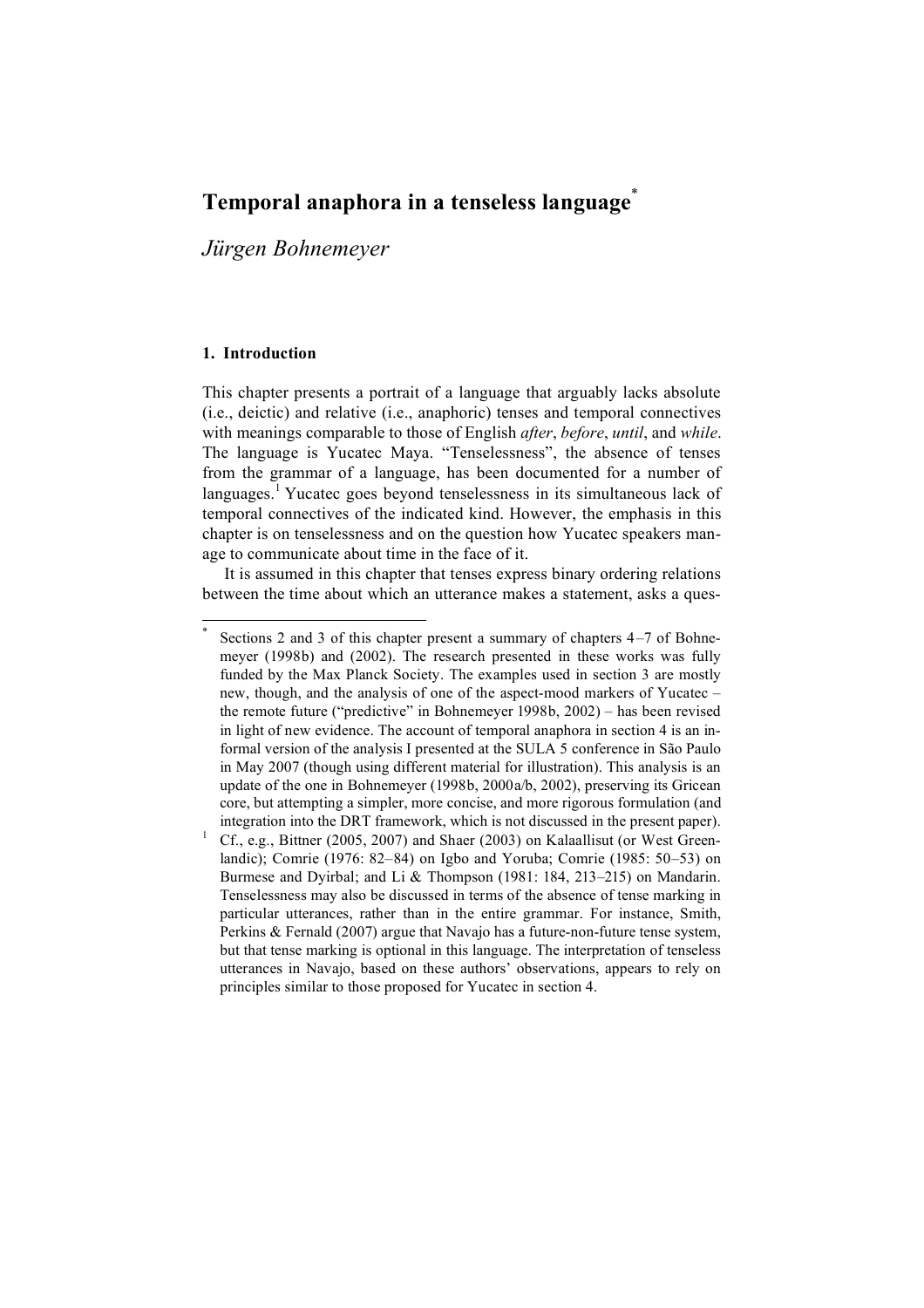# **Temporal anaphora in a tenseless language**\*

*Jürgen Bohnemeyer*

# **1. Introduction**

This chapter presents a portrait of a language that arguably lacks absolute (i.e., deictic) and relative (i.e., anaphoric) tenses and temporal connectives with meanings comparable to those of English *after*, *before*, *until*, and *while*. The language is Yucatec Maya. "Tenselessness", the absence of tenses from the grammar of a language, has been documented for a number of languages.<sup>1</sup> Yucatec goes beyond tenselessness in its simultaneous lack of temporal connectives of the indicated kind. However, the emphasis in this chapter is on tenselessness and on the question how Yucatec speakers manage to communicate about time in the face of it.

It is assumed in this chapter that tenses express binary ordering relations between the time about which an utterance makes a statement, asks a ques-

Sections 2 and 3 of this chapter present a summary of chapters 4–7 of Bohnemeyer (1998b) and (2002). The research presented in these works was fully funded by the Max Planck Society. The examples used in section 3 are mostly new, though, and the analysis of one of the aspect-mood markers of Yucatec – the remote future ("predictive" in Bohnemeyer 1998b, 2002) – has been revised in light of new evidence. The account of temporal anaphora in section 4 is an informal version of the analysis I presented at the SULA 5 conference in São Paulo in May 2007 (though using different material for illustration). This analysis is an update of the one in Bohnemeyer (1998b, 2000a/b, 2002), preserving its Gricean core, but attempting a simpler, more concise, and more rigorous formulation (and

integration into the DRT framework, which is not discussed in the present paper).<br><sup>1</sup> Cf., e.g., Bittner (2005, 2007) and Shaer (2003) on Kalaallisut (or West Greenlandic); Comrie (1976: 82–84) on Igbo and Yoruba; Comrie (1985: 50–53) on Burmese and Dyirbal; and Li & Thompson (1981: 184, 213–215) on Mandarin. Tenselessness may also be discussed in terms of the absence of tense marking in particular utterances, rather than in the entire grammar. For instance, Smith, Perkins & Fernald (2007) argue that Navajo has a future-non-future tense system, but that tense marking is optional in this language. The interpretation of tenseless utterances in Navajo, based on these authors' observations, appears to rely on principles similar to those proposed for Yucatec in section 4.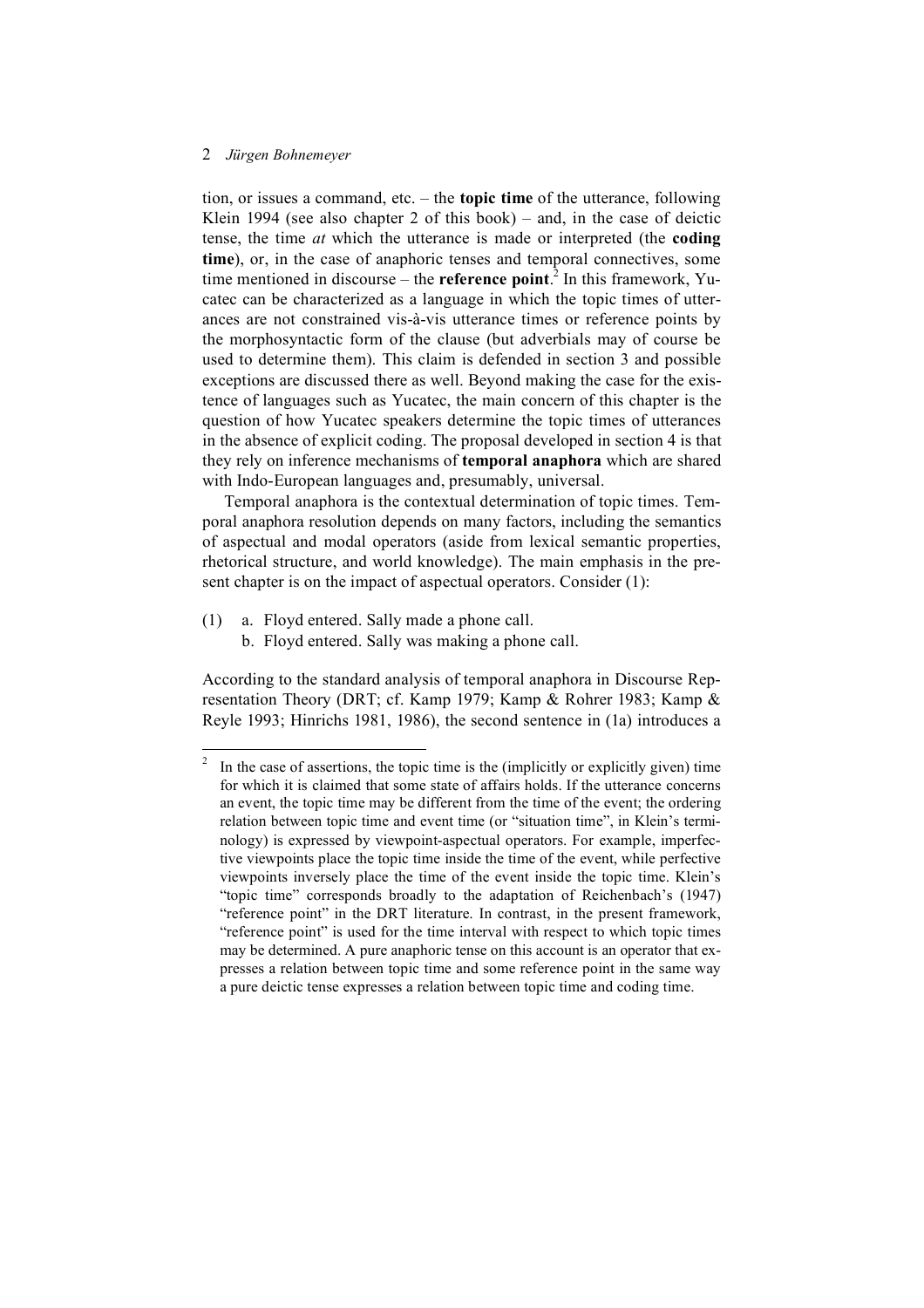tion, or issues a command, etc. – the **topic time** of the utterance, following Klein 1994 (see also chapter 2 of this book) – and, in the case of deictic tense, the time *at* which the utterance is made or interpreted (the **coding time**), or, in the case of anaphoric tenses and temporal connectives, some time mentioned in discourse – the **reference point**. 2 In this framework, Yucatec can be characterized as a language in which the topic times of utterances are not constrained vis-à-vis utterance times or reference points by the morphosyntactic form of the clause (but adverbials may of course be used to determine them). This claim is defended in section 3 and possible exceptions are discussed there as well. Beyond making the case for the existence of languages such as Yucatec, the main concern of this chapter is the question of how Yucatec speakers determine the topic times of utterances in the absence of explicit coding. The proposal developed in section 4 is that they rely on inference mechanisms of **temporal anaphora** which are shared with Indo-European languages and, presumably, universal.

Temporal anaphora is the contextual determination of topic times. Temporal anaphora resolution depends on many factors, including the semantics of aspectual and modal operators (aside from lexical semantic properties, rhetorical structure, and world knowledge). The main emphasis in the present chapter is on the impact of aspectual operators. Consider (1):

- (1) a. Floyd entered. Sally made a phone call.
	- b. Floyd entered. Sally was making a phone call.

According to the standard analysis of temporal anaphora in Discourse Representation Theory (DRT; cf. Kamp 1979; Kamp & Rohrer 1983; Kamp & Reyle 1993; Hinrichs 1981, 1986), the second sentence in (1a) introduces a

 <sup>2</sup> In the case of assertions, the topic time is the (implicitly or explicitly given) time for which it is claimed that some state of affairs holds. If the utterance concerns an event, the topic time may be different from the time of the event; the ordering relation between topic time and event time (or "situation time", in Klein's terminology) is expressed by viewpoint-aspectual operators. For example, imperfective viewpoints place the topic time inside the time of the event, while perfective viewpoints inversely place the time of the event inside the topic time. Klein's "topic time" corresponds broadly to the adaptation of Reichenbach's (1947) "reference point" in the DRT literature. In contrast, in the present framework, "reference point" is used for the time interval with respect to which topic times may be determined. A pure anaphoric tense on this account is an operator that expresses a relation between topic time and some reference point in the same way a pure deictic tense expresses a relation between topic time and coding time.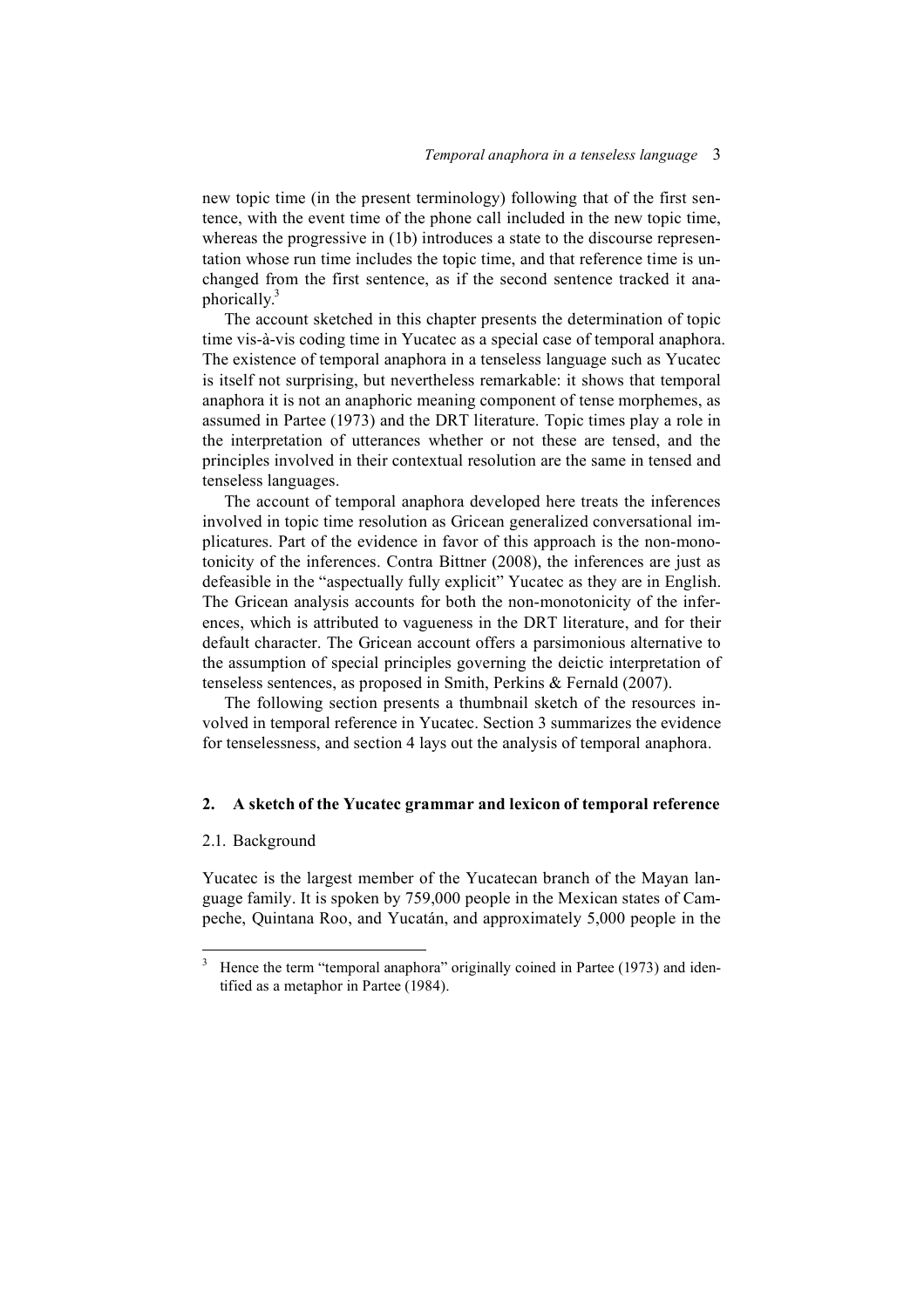new topic time (in the present terminology) following that of the first sentence, with the event time of the phone call included in the new topic time, whereas the progressive in (1b) introduces a state to the discourse representation whose run time includes the topic time, and that reference time is unchanged from the first sentence, as if the second sentence tracked it anaphorically.<sup>3</sup>

The account sketched in this chapter presents the determination of topic time vis-à-vis coding time in Yucatec as a special case of temporal anaphora. The existence of temporal anaphora in a tenseless language such as Yucatec is itself not surprising, but nevertheless remarkable: it shows that temporal anaphora it is not an anaphoric meaning component of tense morphemes, as assumed in Partee (1973) and the DRT literature. Topic times play a role in the interpretation of utterances whether or not these are tensed, and the principles involved in their contextual resolution are the same in tensed and tenseless languages.

The account of temporal anaphora developed here treats the inferences involved in topic time resolution as Gricean generalized conversational implicatures. Part of the evidence in favor of this approach is the non-monotonicity of the inferences. Contra Bittner (2008), the inferences are just as defeasible in the "aspectually fully explicit" Yucatec as they are in English. The Gricean analysis accounts for both the non-monotonicity of the inferences, which is attributed to vagueness in the DRT literature, and for their default character. The Gricean account offers a parsimonious alternative to the assumption of special principles governing the deictic interpretation of tenseless sentences, as proposed in Smith, Perkins & Fernald (2007).

The following section presents a thumbnail sketch of the resources involved in temporal reference in Yucatec. Section 3 summarizes the evidence for tenselessness, and section 4 lays out the analysis of temporal anaphora.

### **2. A sketch of the Yucatec grammar and lexicon of temporal reference**

# 2.1. Background

Yucatec is the largest member of the Yucatecan branch of the Mayan language family. It is spoken by 759,000 people in the Mexican states of Campeche, Quintana Roo, and Yucatán, and approximately 5,000 people in the

 <sup>3</sup> Hence the term "temporal anaphora" originally coined in Partee (1973) and identified as a metaphor in Partee (1984).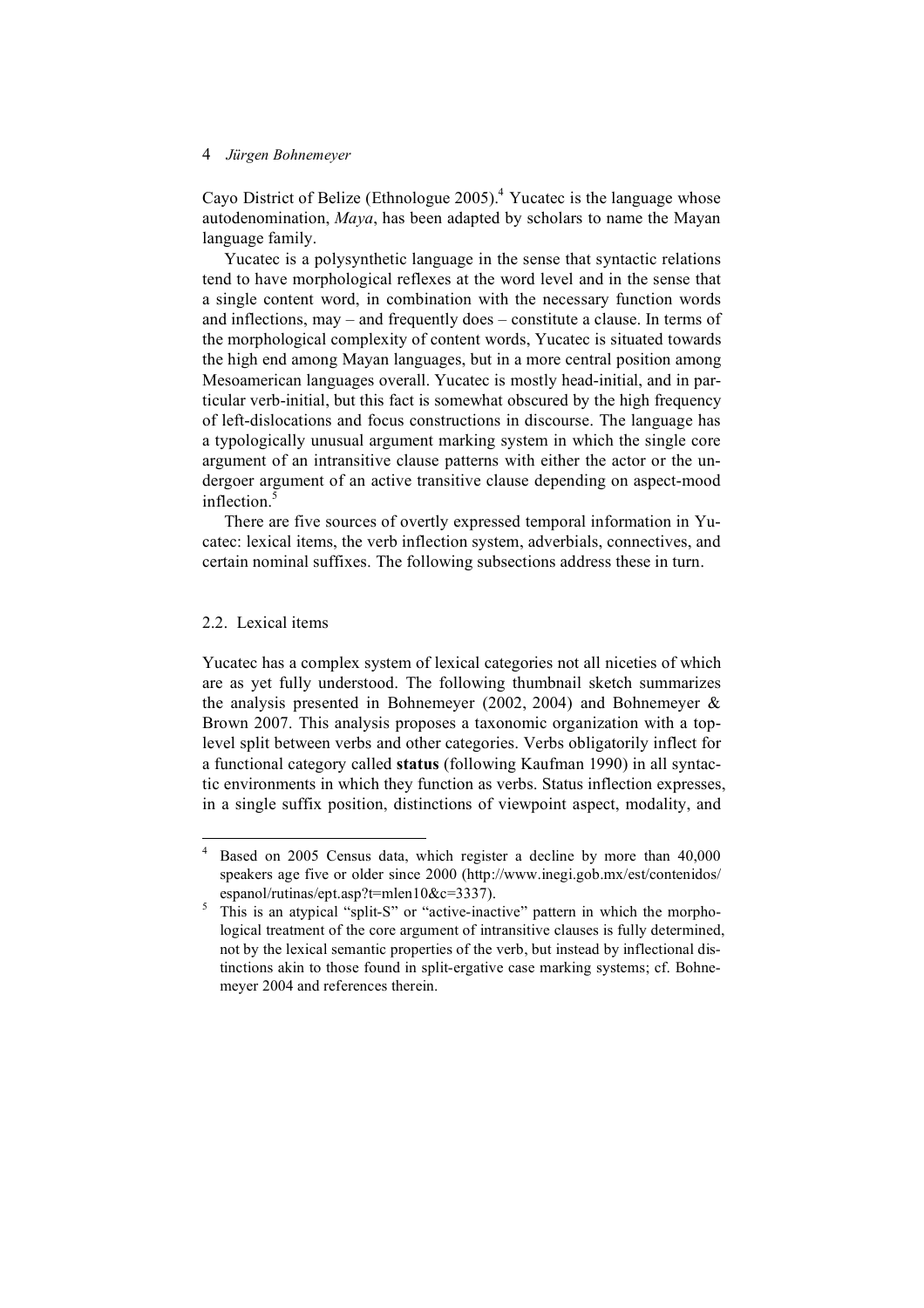Cayo District of Belize (Ethnologue 2005). <sup>4</sup> Yucatec is the language whose autodenomination, *Maya*, has been adapted by scholars to name the Mayan language family.

Yucatec is a polysynthetic language in the sense that syntactic relations tend to have morphological reflexes at the word level and in the sense that a single content word, in combination with the necessary function words and inflections, may – and frequently does – constitute a clause. In terms of the morphological complexity of content words, Yucatec is situated towards the high end among Mayan languages, but in a more central position among Mesoamerican languages overall. Yucatec is mostly head-initial, and in particular verb-initial, but this fact is somewhat obscured by the high frequency of left-dislocations and focus constructions in discourse. The language has a typologically unusual argument marking system in which the single core argument of an intransitive clause patterns with either the actor or the undergoer argument of an active transitive clause depending on aspect-mood inflection.<sup>5</sup>

There are five sources of overtly expressed temporal information in Yucatec: lexical items, the verb inflection system, adverbials, connectives, and certain nominal suffixes. The following subsections address these in turn.

# 2.2. Lexical items

Yucatec has a complex system of lexical categories not all niceties of which are as yet fully understood. The following thumbnail sketch summarizes the analysis presented in Bohnemeyer (2002, 2004) and Bohnemeyer & Brown 2007. This analysis proposes a taxonomic organization with a toplevel split between verbs and other categories. Verbs obligatorily inflect for a functional category called **status** (following Kaufman 1990) in all syntactic environments in which they function as verbs. Status inflection expresses, in a single suffix position, distinctions of viewpoint aspect, modality, and

 <sup>4</sup> Based on 2005 Census data, which register a decline by more than 40,000 speakers age five or older since 2000 (http://www.inegi.gob.mx/est/contenidos/ espanol/rutinas/ept.asp?t=mlen10&c=3337).

<sup>&</sup>lt;sup>5</sup> This is an atypical "split-S" or "active-inactive" pattern in which the morphological treatment of the core argument of intransitive clauses is fully determined, not by the lexical semantic properties of the verb, but instead by inflectional distinctions akin to those found in split-ergative case marking systems; cf. Bohnemeyer 2004 and references therein.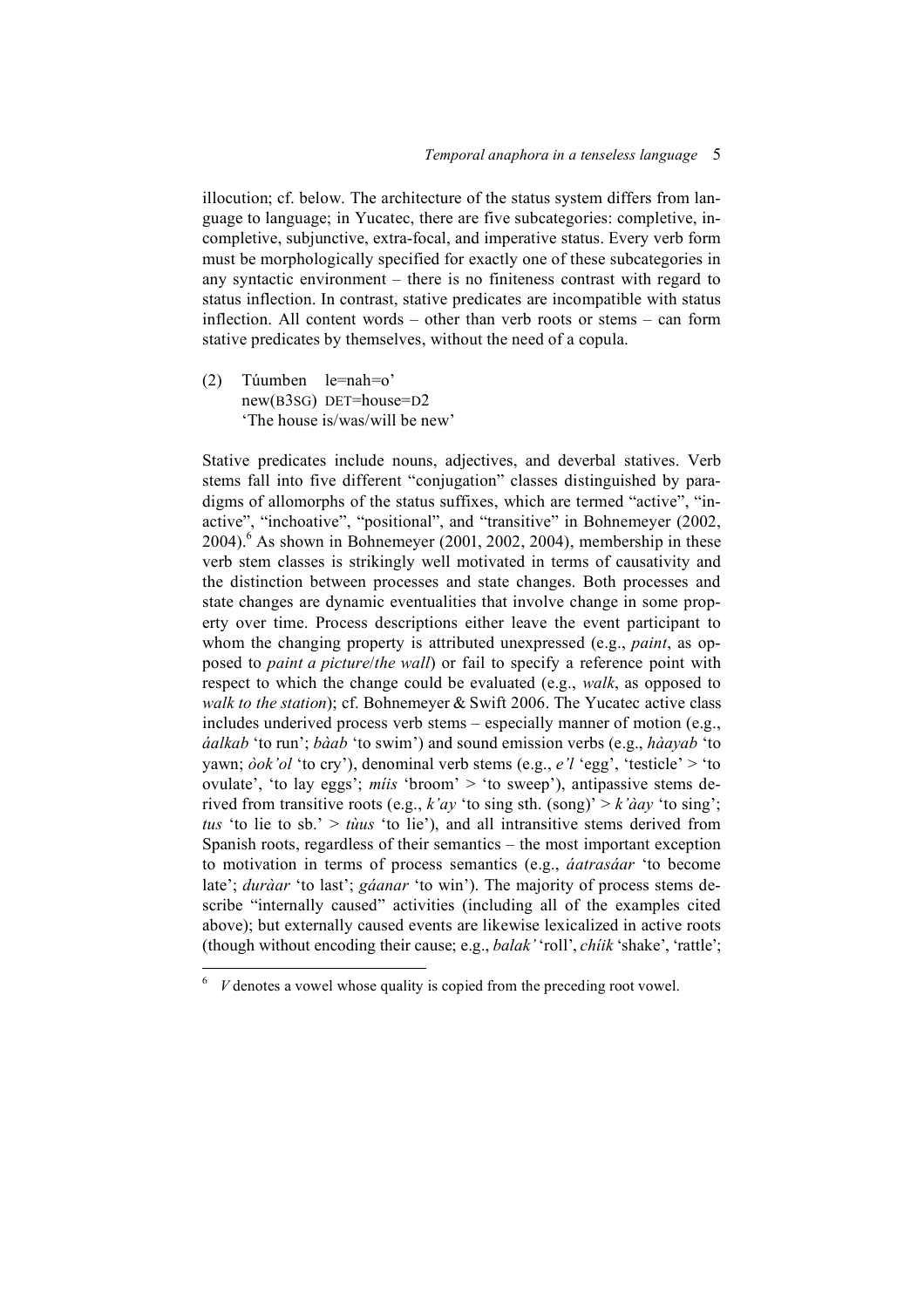illocution; cf. below. The architecture of the status system differs from language to language; in Yucatec, there are five subcategories: completive, incompletive, subjunctive, extra-focal, and imperative status. Every verb form must be morphologically specified for exactly one of these subcategories in any syntactic environment – there is no finiteness contrast with regard to status inflection. In contrast, stative predicates are incompatible with status inflection. All content words – other than verb roots or stems – can form stative predicates by themselves, without the need of a copula.

(2) Túumben le=nah=o' new(B3SG) DET=house=D2 'The house is/was/will be new'

Stative predicates include nouns, adjectives, and deverbal statives. Verb stems fall into five different "conjugation" classes distinguished by paradigms of allomorphs of the status suffixes, which are termed "active", "inactive", "inchoative", "positional", and "transitive" in Bohnemeyer (2002,  $2004$ ).<sup>6</sup> As shown in Bohnemeyer (2001, 2002, 2004), membership in these verb stem classes is strikingly well motivated in terms of causativity and the distinction between processes and state changes. Both processes and state changes are dynamic eventualities that involve change in some property over time. Process descriptions either leave the event participant to whom the changing property is attributed unexpressed (e.g., *paint*, as opposed to *paint a picture*/*the wall*) or fail to specify a reference point with respect to which the change could be evaluated (e.g., *walk*, as opposed to *walk to the station*); cf. Bohnemeyer & Swift 2006. The Yucatec active class includes underived process verb stems – especially manner of motion (e.g., *áalkab* 'to run'; *bàab* 'to swim') and sound emission verbs (e.g., *hàayab* 'to yawn; *òok'ol* 'to cry'), denominal verb stems (e.g., *e'l* 'egg', 'testicle' > 'to ovulate', 'to lay eggs'; *míis* 'broom' > 'to sweep'), antipassive stems derived from transitive roots (e.g., *k'ay* 'to sing sth. (song)' > *k'àay* 'to sing'; *tus* 'to lie to sb.' > *tùus* 'to lie'), and all intransitive stems derived from Spanish roots, regardless of their semantics – the most important exception to motivation in terms of process semantics (e.g., *áatrasáar* 'to become late'; *duràar* 'to last'; *gáanar* 'to win'). The majority of process stems describe "internally caused" activities (including all of the examples cited above); but externally caused events are likewise lexicalized in active roots (though without encoding their cause; e.g., *balak'*'roll', *chíik* 'shake', 'rattle';

*V* denotes a vowel whose quality is copied from the preceding root vowel.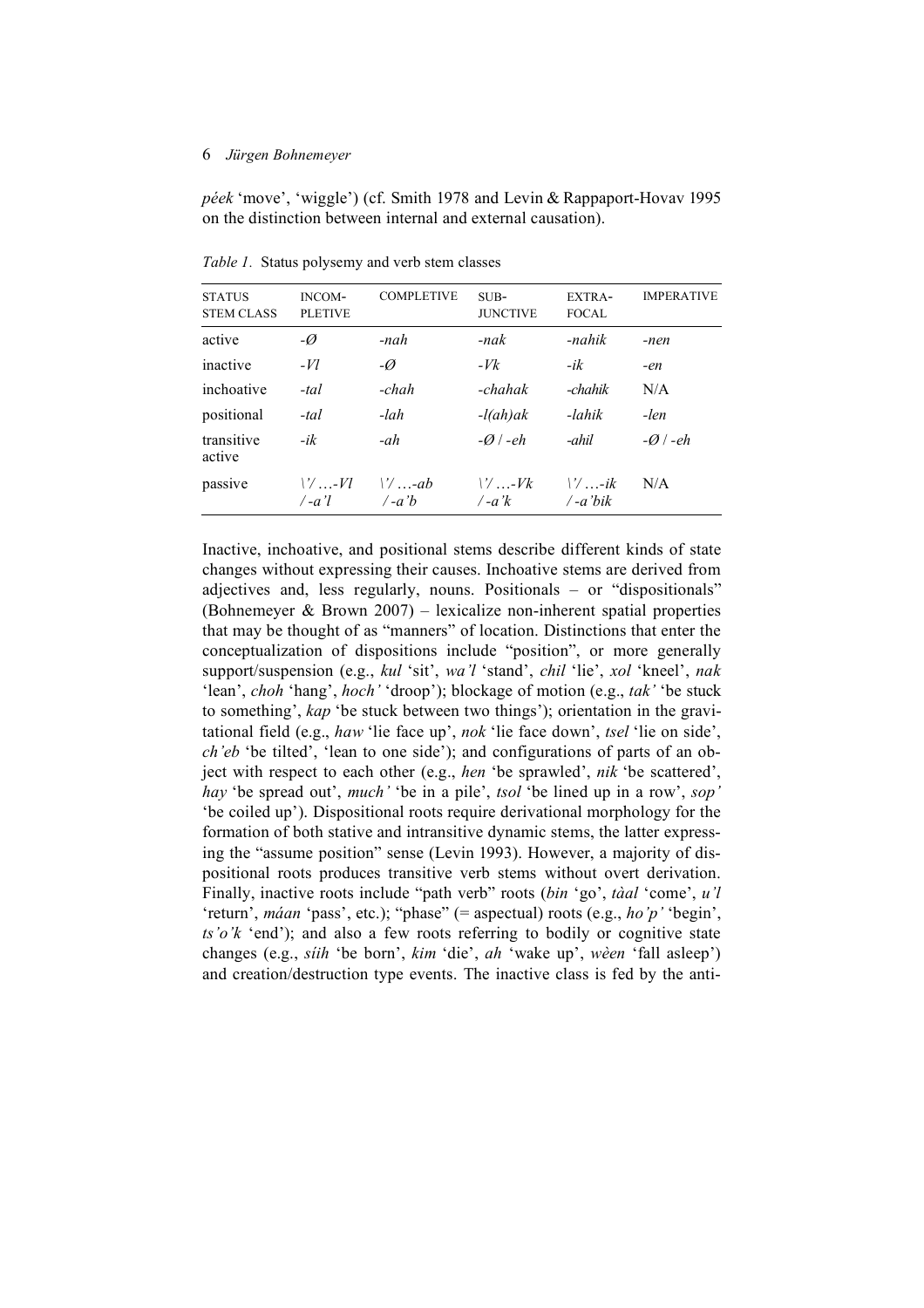*péek* 'move', 'wiggle') (cf. Smith 1978 and Levin & Rappaport-Hovav 1995 on the distinction between internal and external causation).

| <b>STATUS</b><br><b>STEM CLASS</b> | <b>INCOM-</b><br><b>PLETIVE</b>        | <b>COMPLETIVE</b>                   | SUB-<br><b>JUNCTIVE</b>                       | EXTRA-<br><b>FOCAL</b>                        | <b>IMPERATIVE</b> |
|------------------------------------|----------------------------------------|-------------------------------------|-----------------------------------------------|-----------------------------------------------|-------------------|
| active                             | -0                                     | -nah                                | $-nak$                                        | $-nahik$                                      | -nen              |
| inactive                           | $-Vl$                                  | $-\varnothing$                      | $-Vk$                                         | $-ik$                                         | $-en$             |
| inchoative                         | $-tal$                                 | $-chah$                             | $-chahak$                                     | $-chahik$                                     | N/A               |
| positional                         | $-tal$                                 | -lah                                | $-l(ah)ak$                                    | -lahik                                        | -len              |
| transitive<br>active               | -ik                                    | $-ah$                               | $-Q$ / $-eh$                                  | -ahil                                         | $-Q$ / $-eh$      |
| passive                            | $\mathcal{V}'$ - $VI$<br>$\sqrt{-a'l}$ | $\frac{1}{2}$ -ab<br>$\sqrt{-a^2b}$ | $\frac{1}{2}$ - $Vk$<br>$\sqrt{-a^{\prime}k}$ | $\frac{1}{2}$ $\ldots$ ik<br>$\sqrt{-a'}$ hik | N/A               |

*Table 1.* Status polysemy and verb stem classes

Inactive, inchoative, and positional stems describe different kinds of state changes without expressing their causes. Inchoative stems are derived from adjectives and, less regularly, nouns. Positionals – or "dispositionals" (Bohnemeyer  $& Brown\ 2007$ ) – lexicalize non-inherent spatial properties that may be thought of as "manners" of location. Distinctions that enter the conceptualization of dispositions include "position", or more generally support/suspension (e.g., *kul* 'sit', *wa'l* 'stand', *chil* 'lie', *xol* 'kneel', *nak*  'lean', *choh* 'hang', *hoch'* 'droop'); blockage of motion (e.g., *tak'* 'be stuck to something', *kap* 'be stuck between two things'); orientation in the gravitational field (e.g., *haw* 'lie face up', *nok* 'lie face down', *tsel* 'lie on side', *ch'eb* 'be tilted', 'lean to one side'); and configurations of parts of an object with respect to each other (e.g., *hen* 'be sprawled', *nik* 'be scattered', *hay* 'be spread out', *much'* 'be in a pile', *tsol* 'be lined up in a row', *sop'*  'be coiled up'). Dispositional roots require derivational morphology for the formation of both stative and intransitive dynamic stems, the latter expressing the "assume position" sense (Levin 1993). However, a majority of dispositional roots produces transitive verb stems without overt derivation. Finally, inactive roots include "path verb" roots (*bin* 'go', *tàal* 'come', *u'l*  'return', *máan* 'pass', etc.); "phase" (= aspectual) roots (e.g., *ho'p'* 'begin', *ts'o'k* 'end'); and also a few roots referring to bodily or cognitive state changes (e.g., *síih* 'be born', *kim* 'die', *ah* 'wake up', *wèen* 'fall asleep') and creation/destruction type events. The inactive class is fed by the anti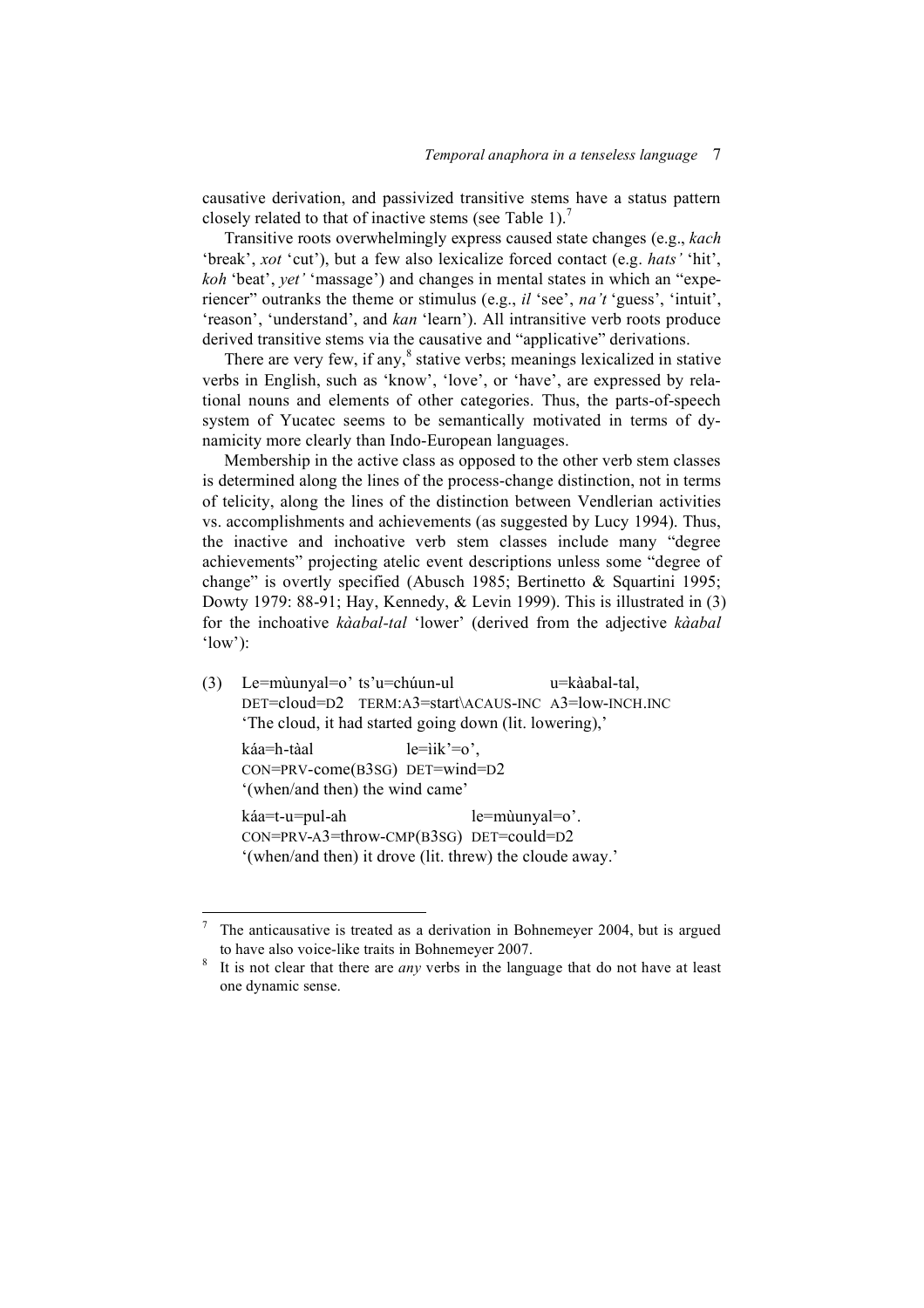causative derivation, and passivized transitive stems have a status pattern closely related to that of inactive stems (see Table 1). $^{7}$ 

Transitive roots overwhelmingly express caused state changes (e.g., *kach* 'break', *xot* 'cut'), but a few also lexicalize forced contact (e.g. *hats'* 'hit', *koh* 'beat', *yet'* 'massage') and changes in mental states in which an "experiencer" outranks the theme or stimulus (e.g., *il* 'see', *na't* 'guess', 'intuit', 'reason', 'understand', and *kan* 'learn'). All intransitive verb roots produce derived transitive stems via the causative and "applicative" derivations.

There are very few, if any, $\mathrm{s}$  stative verbs; meanings lexicalized in stative verbs in English, such as 'know', 'love', or 'have', are expressed by relational nouns and elements of other categories. Thus, the parts-of-speech system of Yucatec seems to be semantically motivated in terms of dynamicity more clearly than Indo-European languages.

Membership in the active class as opposed to the other verb stem classes is determined along the lines of the process-change distinction, not in terms of telicity, along the lines of the distinction between Vendlerian activities vs. accomplishments and achievements (as suggested by Lucy 1994). Thus, the inactive and inchoative verb stem classes include many "degree achievements" projecting atelic event descriptions unless some "degree of change" is overtly specified (Abusch 1985; Bertinetto & Squartini 1995; Dowty 1979: 88-91; Hay, Kennedy, & Levin 1999). This is illustrated in (3) for the inchoative *kàabal-tal* 'lower' (derived from the adjective *kàabal*  $'low'$ 

(3) Le=mùunyal=o' ts'u=chúun-ul u=kàabal-tal, DET=cloud=D2 TERM:A3=start\ACAUS-INC A3=low-INCH.INC 'The cloud, it had started going down (lit. lowering),'

káa=h-tàal le=ìik'=o', CON=PRV-come(B3SG) DET=wind=D2 '(when/and then) the wind came'

káa=t-u=pul-ah le=mùunyal=o'. CON=PRV-A3=throw-CMP(B3SG) DET=could=D2 '(when/and then) it drove (lit. threw) the cloude away.'

 <sup>7</sup> The anticausative is treated as a derivation in Bohnemeyer 2004, but is argued to have also voice-like traits in Bohnemeyer 2007.

<sup>8</sup> It is not clear that there are *any* verbs in the language that do not have at least one dynamic sense.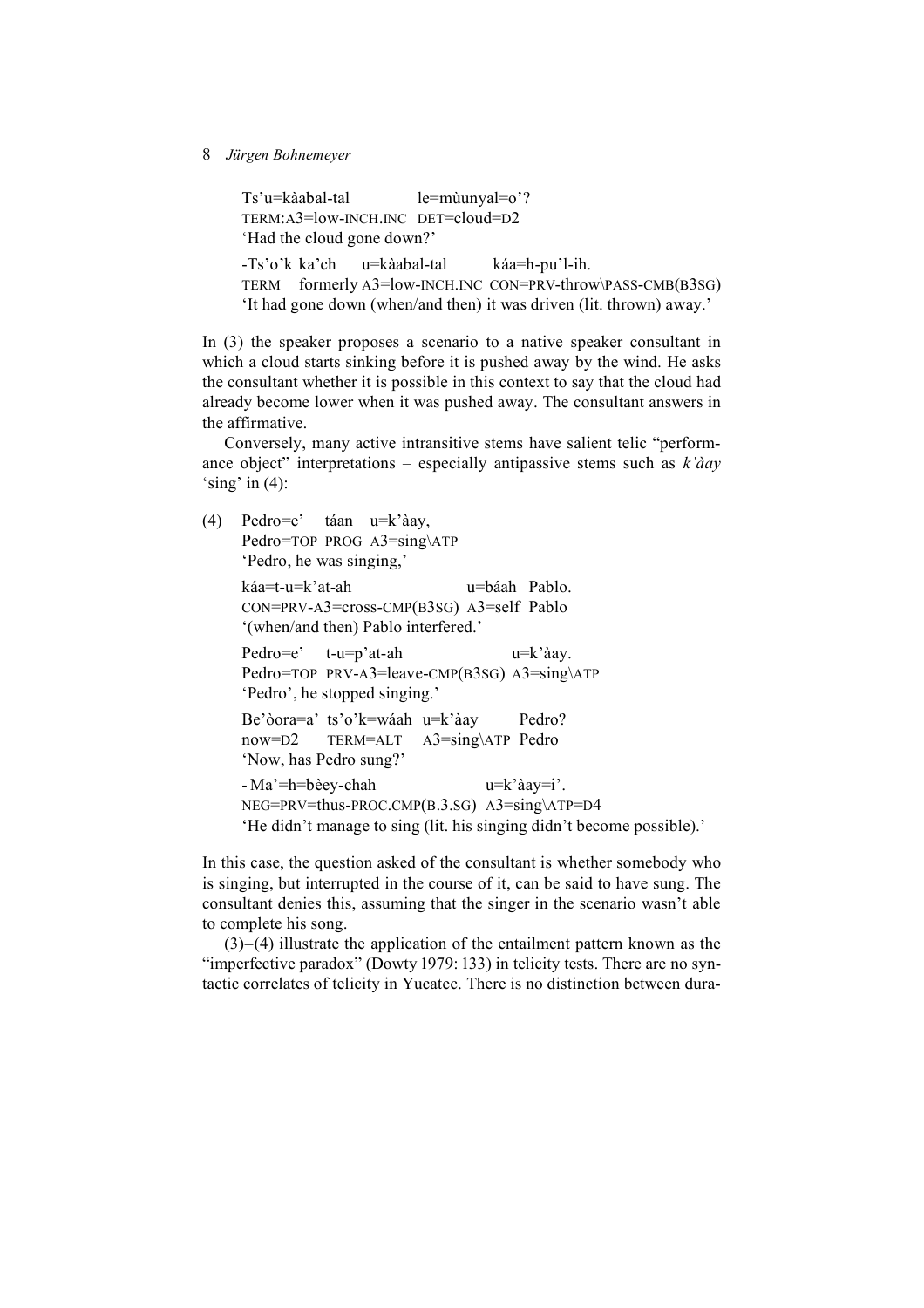```
Ts'u=kàabal-tal le=mùunyal=o'?
TERM:A3=low-INCH.INC DET=cloud=D2
'Had the cloud gone down?'
-Ts'o'k ka'ch u=kàabal-tal káa=h-pu'l-ih.
TERM formerly A3=low-INCH.INC CON=PRV-throw\PASS-CMB(B3SG)
'It had gone down (when/and then) it was driven (lit. thrown) away.'
```
In (3) the speaker proposes a scenario to a native speaker consultant in which a cloud starts sinking before it is pushed away by the wind. He asks the consultant whether it is possible in this context to say that the cloud had already become lower when it was pushed away. The consultant answers in the affirmative.

Conversely, many active intransitive stems have salient telic "performance object" interpretations – especially antipassive stems such as *k'àay* 'sing' in  $(4)$ :

(4) Pedro=e' táan u=k'àay, Pedro=TOP PROG A3=sing\ATP 'Pedro, he was singing,'

> káa=t-u=k'at-ah u=báah Pablo. CON=PRV-A3=cross-CMP(B3SG) A3=self Pablo '(when/and then) Pablo interfered.'

Pedro=e' t-u=p'at-ah u=k'àay. Pedro=TOP PRV-A3=leave-CMP(B3SG) A3=sing\ATP 'Pedro', he stopped singing.' Be'òora=a' ts'o'k=wáah u=k'àay Pedro? now=D2 TERM=ALT A3=sing\ATP Pedro 'Now, has Pedro sung?'  $-Ma' = h = b\text{e}e v - chah$   $u = k'\text{a}a v = i'.$ NEG=PRV=thus-PROC.CMP(B.3.SG) A3=sing\ATP=D4 'He didn't manage to sing (lit. his singing didn't become possible).'

In this case, the question asked of the consultant is whether somebody who is singing, but interrupted in the course of it, can be said to have sung. The consultant denies this, assuming that the singer in the scenario wasn't able to complete his song.

(3)–(4) illustrate the application of the entailment pattern known as the "imperfective paradox" (Dowty 1979: 133) in telicity tests. There are no syntactic correlates of telicity in Yucatec. There is no distinction between dura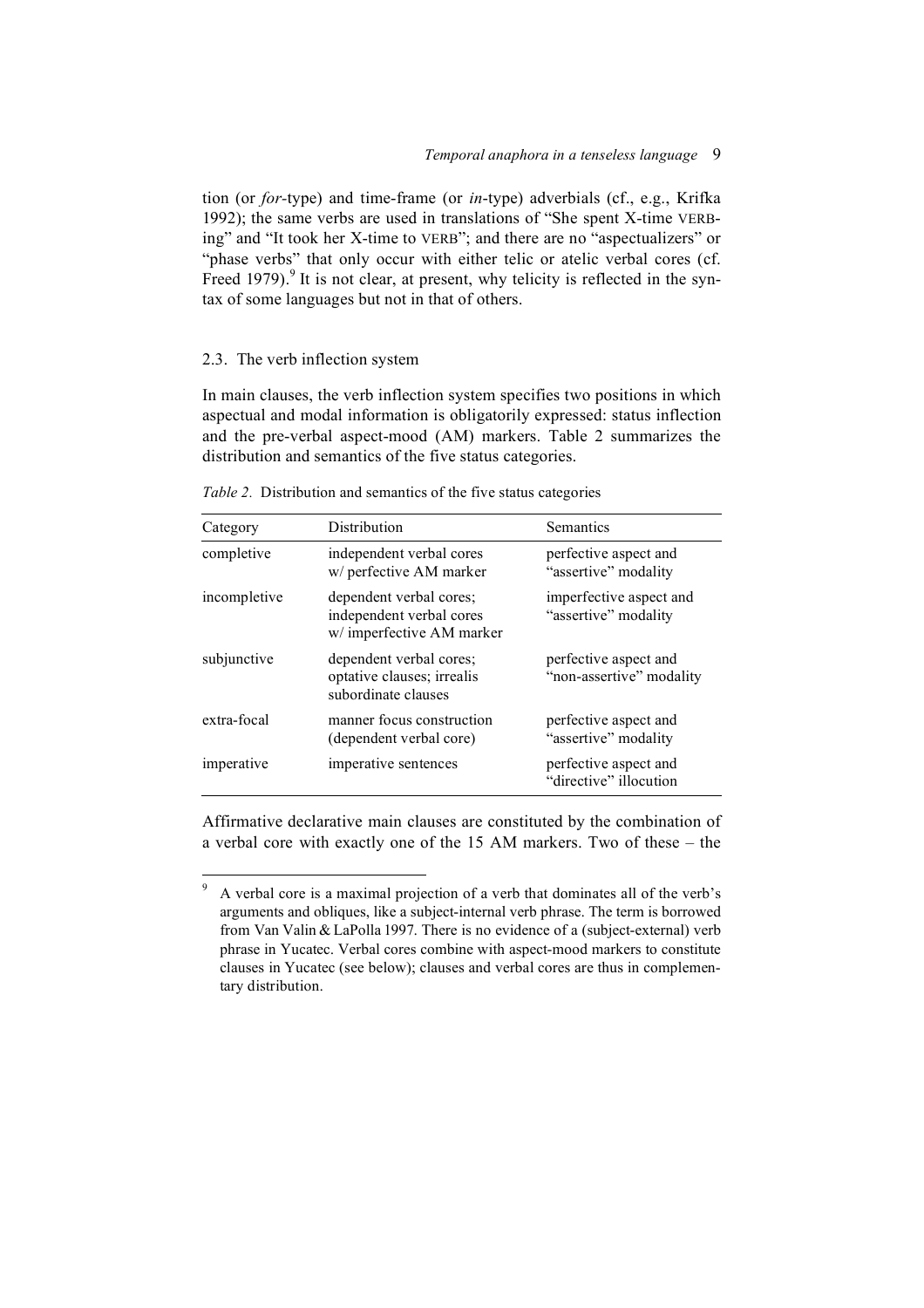tion (or *for-*type) and time-frame (or *in*-type) adverbials (cf., e.g., Krifka 1992); the same verbs are used in translations of "She spent X-time VERBing" and "It took her X-time to VERB"; and there are no "aspectualizers" or "phase verbs" that only occur with either telic or atelic verbal cores (cf. Freed 1979). $9$  It is not clear, at present, why telicity is reflected in the syntax of some languages but not in that of others.

# 2.3. The verb inflection system

In main clauses, the verb inflection system specifies two positions in which aspectual and modal information is obligatorily expressed: status inflection and the pre-verbal aspect-mood (AM) markers. Table 2 summarizes the distribution and semantics of the five status categories.

| Category     | Distribution                                                                     | Semantics                                         |
|--------------|----------------------------------------------------------------------------------|---------------------------------------------------|
| completive   | independent verbal cores<br>w/ perfective AM marker                              | perfective aspect and<br>"assertive" modality     |
| incompletive | dependent verbal cores;<br>independent verbal cores<br>w/ imperfective AM marker | imperfective aspect and<br>"assertive" modality   |
| subjunctive  | dependent verbal cores;<br>optative clauses; irrealis<br>subordinate clauses     | perfective aspect and<br>"non-assertive" modality |
| extra-focal  | manner focus construction<br>(dependent verbal core)                             | perfective aspect and<br>"assertive" modality     |
| imperative   | imperative sentences                                                             | perfective aspect and<br>"directive" illocution   |

*Table 2.* Distribution and semantics of the five status categories

Affirmative declarative main clauses are constituted by the combination of a verbal core with exactly one of the 15 AM markers. Two of these – the

 <sup>9</sup> A verbal core is a maximal projection of a verb that dominates all of the verb's arguments and obliques, like a subject-internal verb phrase. The term is borrowed from Van Valin & LaPolla 1997. There is no evidence of a (subject-external) verb phrase in Yucatec. Verbal cores combine with aspect-mood markers to constitute clauses in Yucatec (see below); clauses and verbal cores are thus in complementary distribution.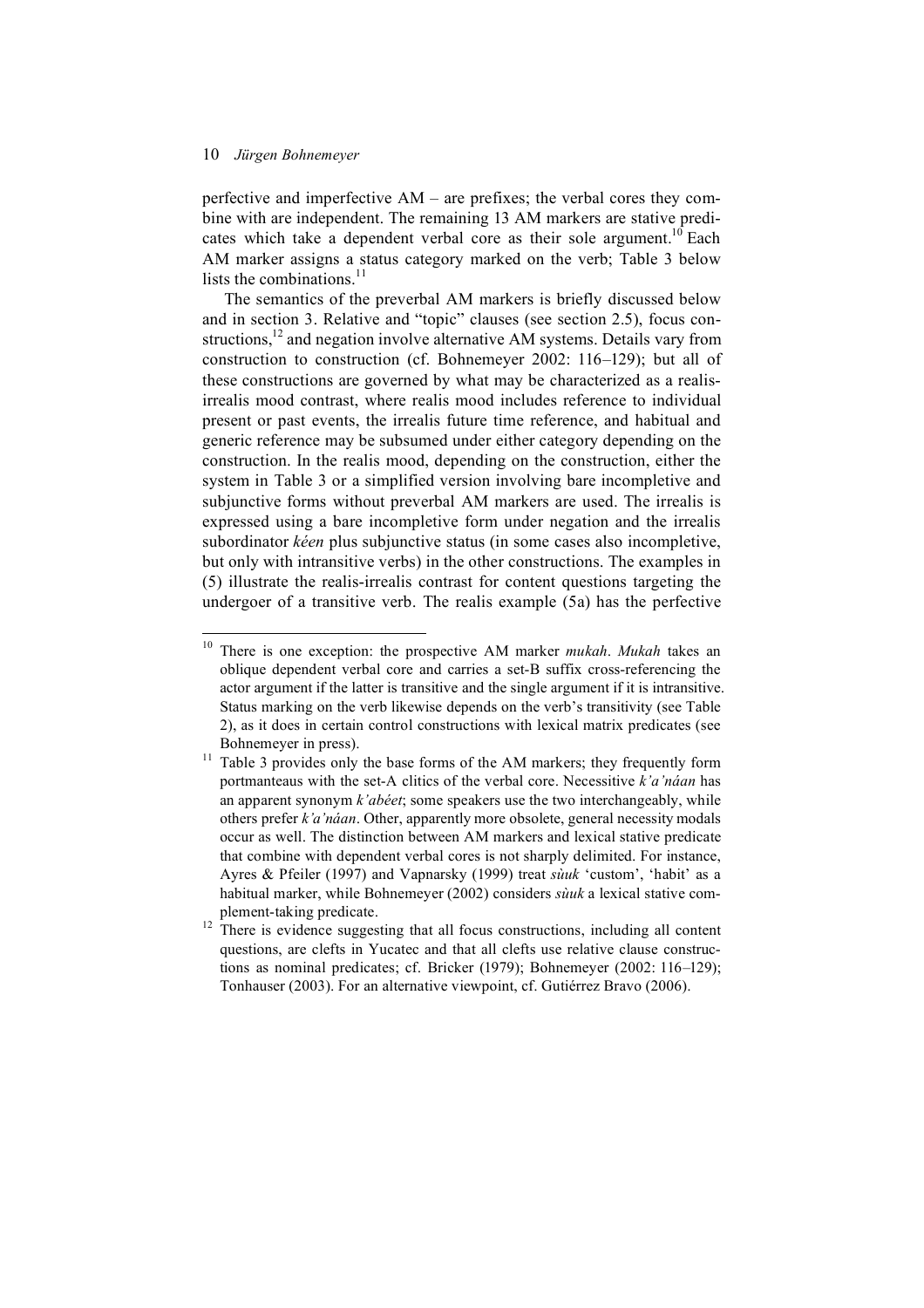perfective and imperfective AM – are prefixes; the verbal cores they combine with are independent. The remaining 13 AM markers are stative predicates which take a dependent verbal core as their sole argument.<sup>10</sup> Each AM marker assigns a status category marked on the verb; Table 3 below lists the combinations. $^{11}$ 

The semantics of the preverbal AM markers is briefly discussed below and in section 3. Relative and "topic" clauses (see section 2.5), focus constructions,<sup>12</sup> and negation involve alternative AM systems. Details vary from construction to construction (cf. Bohnemeyer 2002: 116–129); but all of these constructions are governed by what may be characterized as a realisirrealis mood contrast, where realis mood includes reference to individual present or past events, the irrealis future time reference, and habitual and generic reference may be subsumed under either category depending on the construction. In the realis mood, depending on the construction, either the system in Table 3 or a simplified version involving bare incompletive and subjunctive forms without preverbal AM markers are used. The irrealis is expressed using a bare incompletive form under negation and the irrealis subordinator *kéen* plus subjunctive status (in some cases also incompletive, but only with intransitive verbs) in the other constructions. The examples in (5) illustrate the realis-irrealis contrast for content questions targeting the undergoer of a transitive verb. The realis example (5a) has the perfective

 <sup>10</sup> There is one exception: the prospective AM marker *mukah*. *Mukah* takes an oblique dependent verbal core and carries a set-B suffix cross-referencing the actor argument if the latter is transitive and the single argument if it is intransitive. Status marking on the verb likewise depends on the verb's transitivity (see Table 2), as it does in certain control constructions with lexical matrix predicates (see Bohnemeyer in press).

<sup>&</sup>lt;sup>11</sup> Table 3 provides only the base forms of the AM markers; they frequently form portmanteaus with the set-A clitics of the verbal core. Necessitive *k'a'náan* has an apparent synonym *k'abéet*; some speakers use the two interchangeably, while others prefer *k'a'náan*. Other, apparently more obsolete, general necessity modals occur as well. The distinction between AM markers and lexical stative predicate that combine with dependent verbal cores is not sharply delimited. For instance, Ayres & Pfeiler (1997) and Vapnarsky (1999) treat *sùuk* 'custom', 'habit' as a habitual marker, while Bohnemeyer (2002) considers *sùuk* a lexical stative complement-taking predicate.

<sup>&</sup>lt;sup>12</sup> There is evidence suggesting that all focus constructions, including all content questions, are clefts in Yucatec and that all clefts use relative clause constructions as nominal predicates; cf. Bricker (1979); Bohnemeyer (2002: 116–129); Tonhauser (2003). For an alternative viewpoint, cf. Gutiérrez Bravo (2006).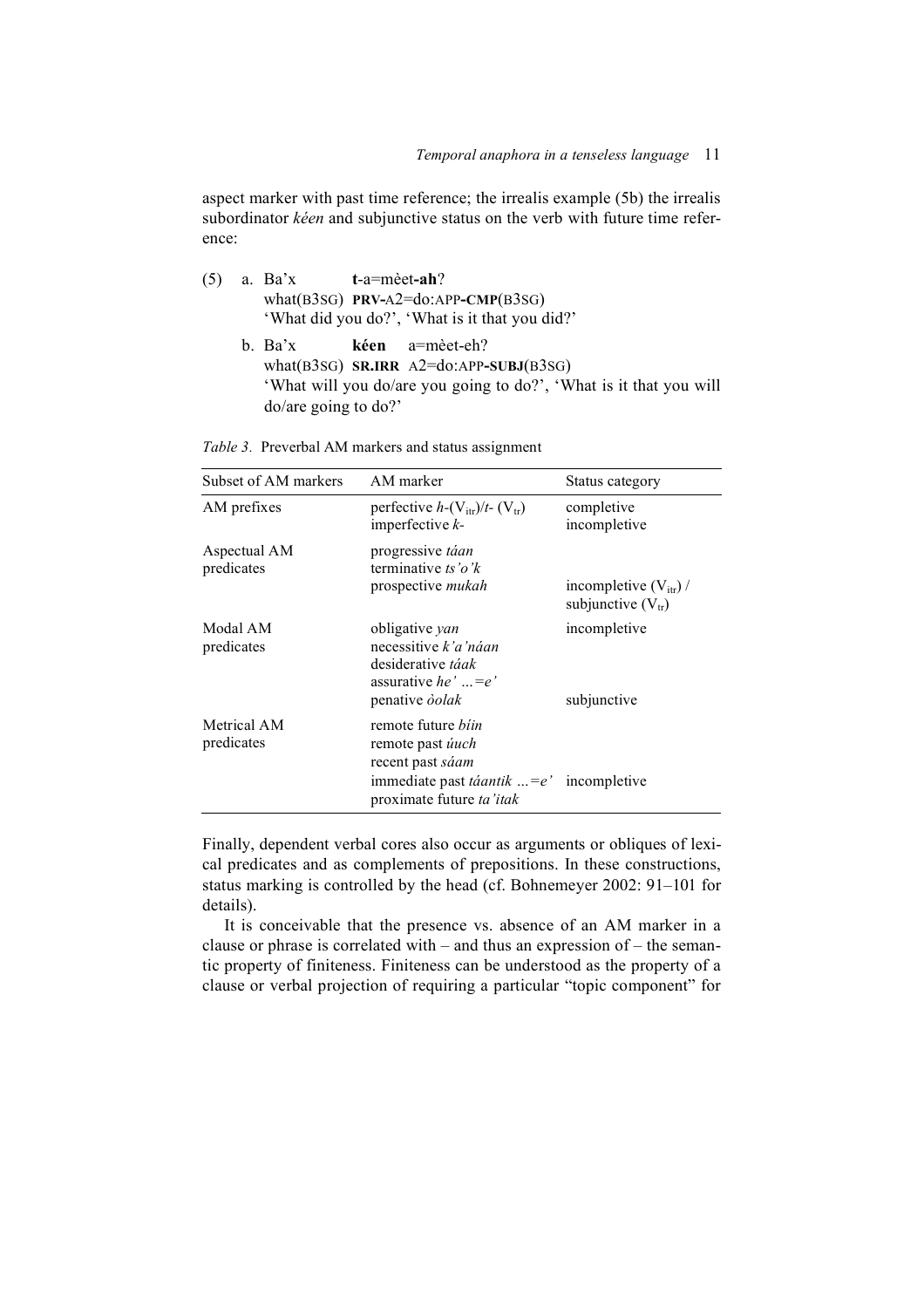aspect marker with past time reference; the irrealis example (5b) the irrealis subordinator *kéen* and subjunctive status on the verb with future time reference:

- (5) a. Ba'x **t**-a=mèet**-ah**? what(B3SG) **PRV-**A2=do:APP**-CMP**(B3SG) 'What did you do?', 'What is it that you did?'
	- b. Ba'x **kéen** a=mèet-eh? what(B3SG) **SR.IRR** A2=do:APP**-SUBJ**(B3SG) 'What will you do/are you going to do?', 'What is it that you will do/are going to do?'

| Subset of AM markers       | AM marker                                                                                                                                                 | Status category                                             |
|----------------------------|-----------------------------------------------------------------------------------------------------------------------------------------------------------|-------------------------------------------------------------|
| AM prefixes                | perfective $h$ -(V <sub>itr</sub> )/t- (V <sub>tr</sub> )<br>imperfective $k$ -                                                                           | completive<br>incompletive                                  |
| Aspectual AM<br>predicates | progressive táan<br>terminative ts'o'k<br>prospective mukah                                                                                               | incompletive $(V_{\text{itr}})$ /<br>subjunctive $(V_{tr})$ |
| Modal AM<br>predicates     | obligative <i>yan</i><br>necessitive k'a'náan<br>desiderative <i>táak</i><br>assurative he'= $e'$<br>penative <i>òolak</i>                                | incompletive<br>subjunctive                                 |
| Metrical AM<br>predicates  | remote future <i>biin</i><br>remote past <i>uuch</i><br>recent past sáam<br>immediate past <i>táantik</i> = $e'$ incompletive<br>proximate future ta'itak |                                                             |

*Table 3.* Preverbal AM markers and status assignment

Finally, dependent verbal cores also occur as arguments or obliques of lexical predicates and as complements of prepositions. In these constructions, status marking is controlled by the head (cf. Bohnemeyer 2002: 91–101 for details).

It is conceivable that the presence vs. absence of an AM marker in a clause or phrase is correlated with – and thus an expression of – the semantic property of finiteness. Finiteness can be understood as the property of a clause or verbal projection of requiring a particular "topic component" for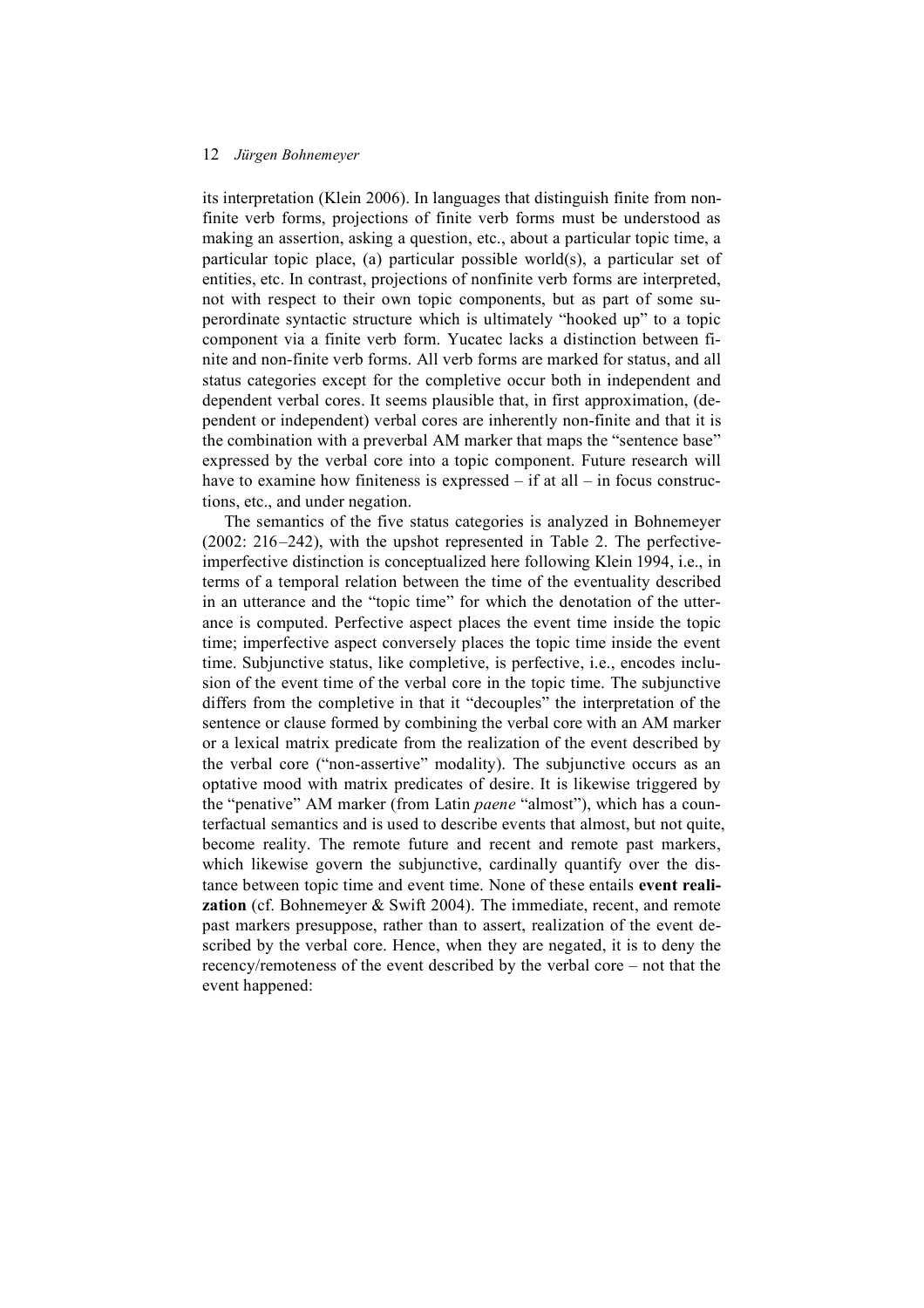its interpretation (Klein 2006). In languages that distinguish finite from nonfinite verb forms, projections of finite verb forms must be understood as making an assertion, asking a question, etc., about a particular topic time, a particular topic place, (a) particular possible world(s), a particular set of entities, etc. In contrast, projections of nonfinite verb forms are interpreted, not with respect to their own topic components, but as part of some superordinate syntactic structure which is ultimately "hooked up" to a topic component via a finite verb form. Yucatec lacks a distinction between finite and non-finite verb forms. All verb forms are marked for status, and all status categories except for the completive occur both in independent and dependent verbal cores. It seems plausible that, in first approximation, (dependent or independent) verbal cores are inherently non-finite and that it is the combination with a preverbal AM marker that maps the "sentence base" expressed by the verbal core into a topic component. Future research will have to examine how finiteness is expressed – if at all – in focus constructions, etc., and under negation.

The semantics of the five status categories is analyzed in Bohnemeyer (2002: 216–242), with the upshot represented in Table 2. The perfectiveimperfective distinction is conceptualized here following Klein 1994, i.e., in terms of a temporal relation between the time of the eventuality described in an utterance and the "topic time" for which the denotation of the utterance is computed. Perfective aspect places the event time inside the topic time; imperfective aspect conversely places the topic time inside the event time. Subjunctive status, like completive, is perfective, i.e., encodes inclusion of the event time of the verbal core in the topic time. The subjunctive differs from the completive in that it "decouples" the interpretation of the sentence or clause formed by combining the verbal core with an AM marker or a lexical matrix predicate from the realization of the event described by the verbal core ("non-assertive" modality). The subjunctive occurs as an optative mood with matrix predicates of desire. It is likewise triggered by the "penative" AM marker (from Latin *paene* "almost"), which has a counterfactual semantics and is used to describe events that almost, but not quite, become reality. The remote future and recent and remote past markers, which likewise govern the subjunctive, cardinally quantify over the distance between topic time and event time. None of these entails **event realization** (cf. Bohnemeyer & Swift 2004). The immediate, recent, and remote past markers presuppose, rather than to assert, realization of the event described by the verbal core. Hence, when they are negated, it is to deny the recency/remoteness of the event described by the verbal core – not that the event happened: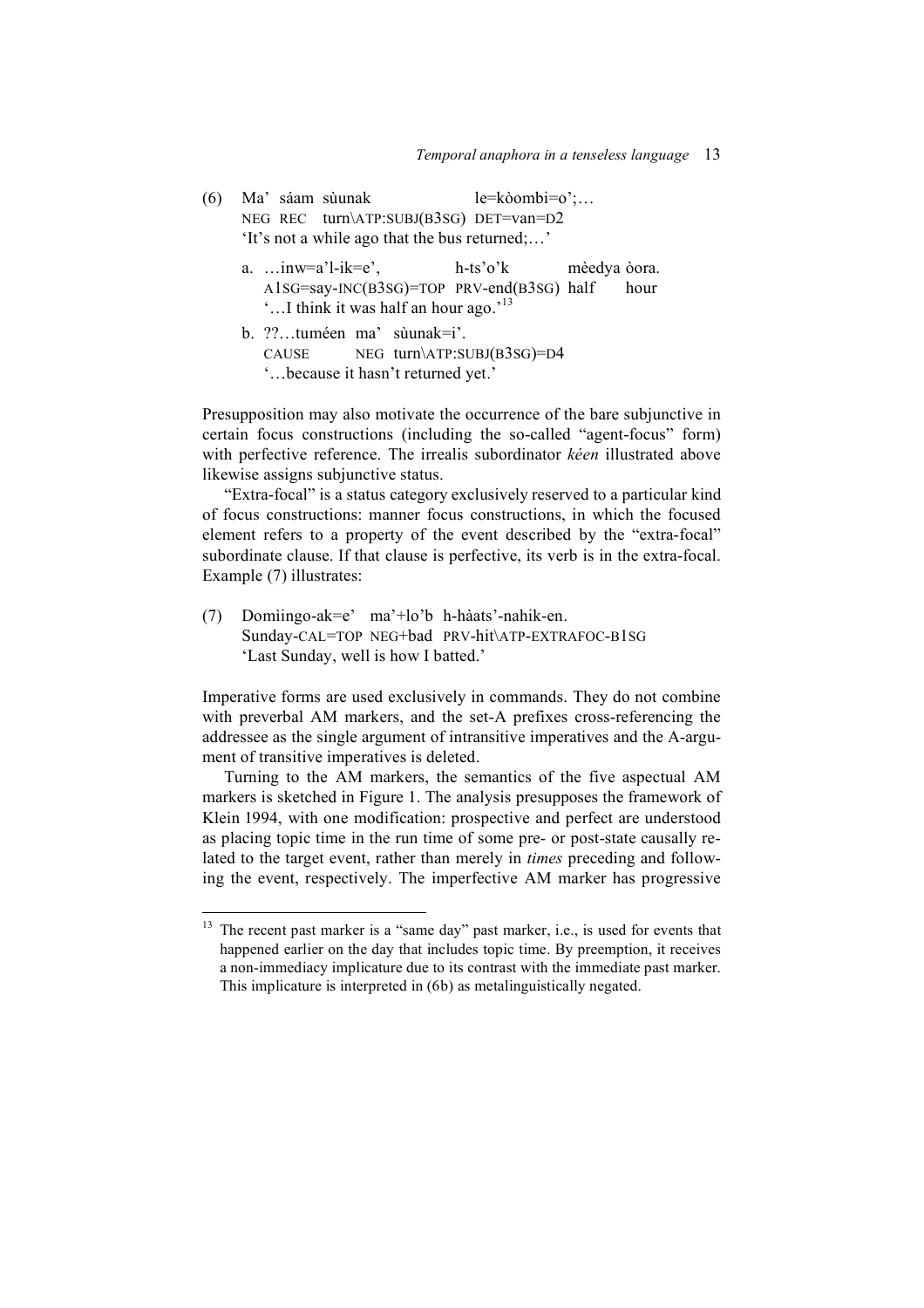- (6) Ma' sáam sùunak le=kòombi=o';… NEG REC turn\ATP:SUBJ(B3SG) DET=van=D2 'It's not a while ago that the bus returned;…'
	- a. …inw=a'l-ik=e', h-ts'o'k mèedya òora. A1SG=say-INC(B3SG)=TOP PRV-end(B3SG) half hour '…I think it was half an hour ago.' 13
	- b. ??…tuméen ma' sùunak=i'. CAUSE NEG turn\ATP:SUBJ(B3SG)=D4 '…because it hasn't returned yet.'

Presupposition may also motivate the occurrence of the bare subjunctive in certain focus constructions (including the so-called "agent-focus" form) with perfective reference. The irrealis subordinator *kéen* illustrated above likewise assigns subjunctive status.

"Extra-focal" is a status category exclusively reserved to a particular kind of focus constructions: manner focus constructions, in which the focused element refers to a property of the event described by the "extra-focal" subordinate clause. If that clause is perfective, its verb is in the extra-focal. Example (7) illustrates:

(7) Domìingo-ak=e' ma'+lo'b h-hàats'-nahik-en. Sunday-CAL=TOP NEG+bad PRV-hit\ATP-EXTRAFOC-B1SG 'Last Sunday, well is how I batted.'

Imperative forms are used exclusively in commands. They do not combine with preverbal AM markers, and the set-A prefixes cross-referencing the addressee as the single argument of intransitive imperatives and the A-argument of transitive imperatives is deleted.

Turning to the AM markers, the semantics of the five aspectual AM markers is sketched in Figure 1. The analysis presupposes the framework of Klein 1994, with one modification: prospective and perfect are understood as placing topic time in the run time of some pre- or post-state causally related to the target event, rather than merely in *times* preceding and following the event, respectively. The imperfective AM marker has progressive

<sup>&</sup>lt;sup>13</sup> The recent past marker is a "same day" past marker, i.e., is used for events that happened earlier on the day that includes topic time. By preemption, it receives a non-immediacy implicature due to its contrast with the immediate past marker. This implicature is interpreted in (6b) as metalinguistically negated.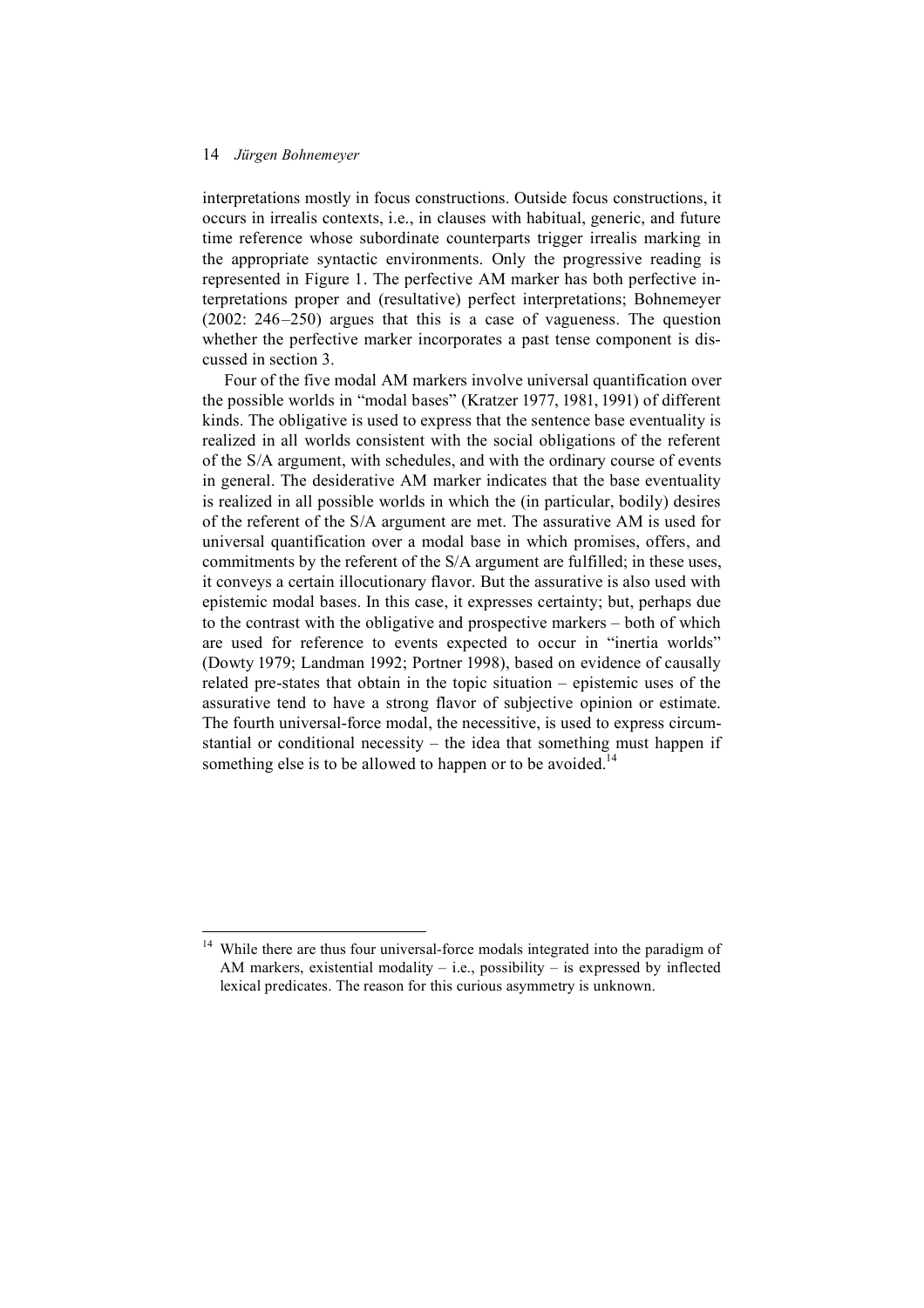interpretations mostly in focus constructions. Outside focus constructions, it occurs in irrealis contexts, i.e., in clauses with habitual, generic, and future time reference whose subordinate counterparts trigger irrealis marking in the appropriate syntactic environments. Only the progressive reading is represented in Figure 1. The perfective AM marker has both perfective interpretations proper and (resultative) perfect interpretations; Bohnemeyer (2002: 246–250) argues that this is a case of vagueness. The question whether the perfective marker incorporates a past tense component is discussed in section 3.

Four of the five modal AM markers involve universal quantification over the possible worlds in "modal bases" (Kratzer 1977, 1981, 1991) of different kinds. The obligative is used to express that the sentence base eventuality is realized in all worlds consistent with the social obligations of the referent of the S/A argument, with schedules, and with the ordinary course of events in general. The desiderative AM marker indicates that the base eventuality is realized in all possible worlds in which the (in particular, bodily) desires of the referent of the S/A argument are met. The assurative AM is used for universal quantification over a modal base in which promises, offers, and commitments by the referent of the S/A argument are fulfilled; in these uses, it conveys a certain illocutionary flavor. But the assurative is also used with epistemic modal bases. In this case, it expresses certainty; but, perhaps due to the contrast with the obligative and prospective markers – both of which are used for reference to events expected to occur in "inertia worlds" (Dowty 1979; Landman 1992; Portner 1998), based on evidence of causally related pre-states that obtain in the topic situation – epistemic uses of the assurative tend to have a strong flavor of subjective opinion or estimate. The fourth universal-force modal, the necessitive, is used to express circumstantial or conditional necessity – the idea that something must happen if something else is to be allowed to happen or to be avoided.<sup>14</sup>

<sup>&</sup>lt;sup>14</sup> While there are thus four universal-force modals integrated into the paradigm of AM markers, existential modality – i.e., possibility – is expressed by inflected lexical predicates. The reason for this curious asymmetry is unknown.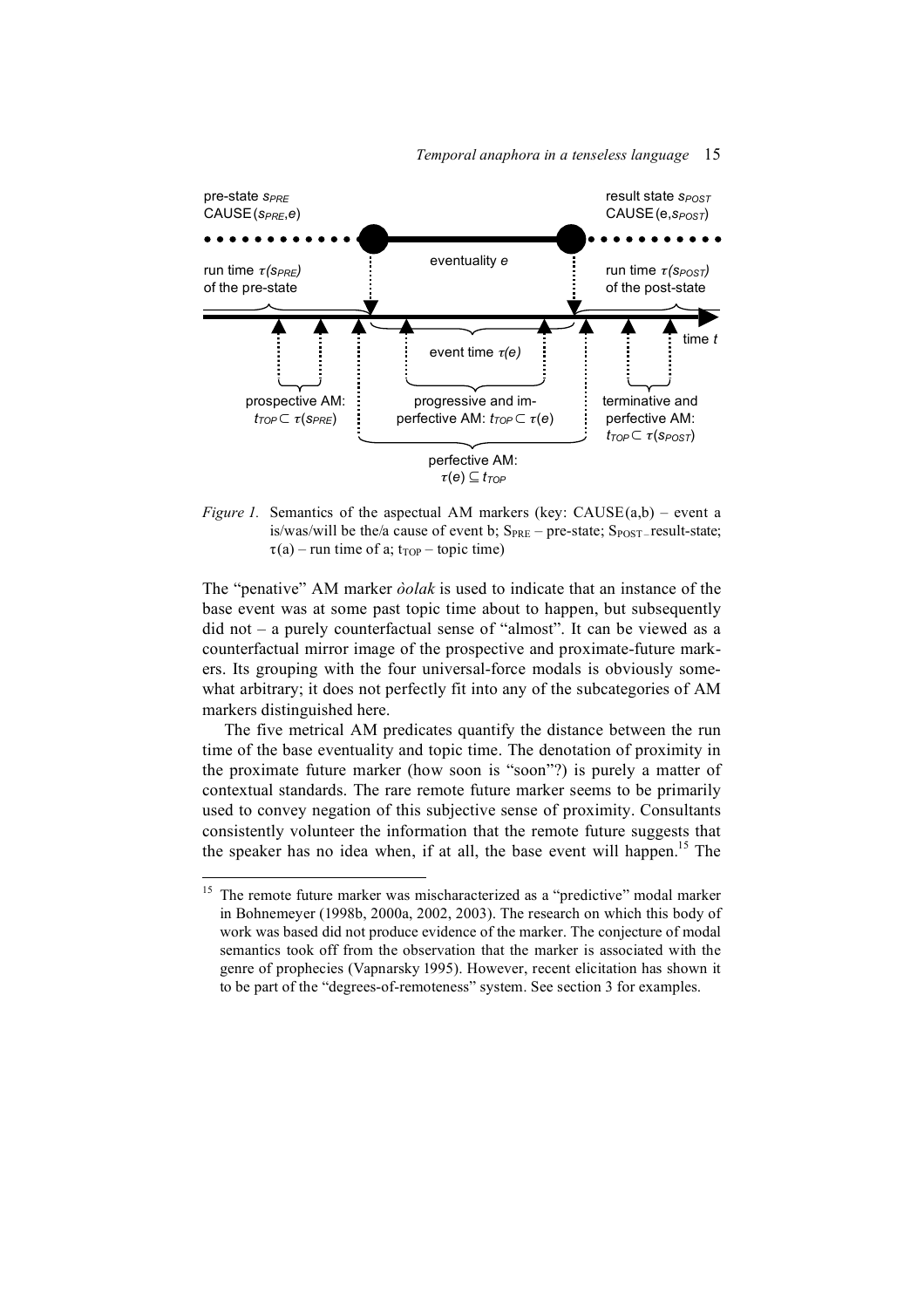

*Figure 1.* Semantics of the aspectual AM markers (key:  $CAUSE(a,b)$  – event a is/was/will be the/a cause of event b;  $S_{PRE}$  – pre-state;  $S_{POST}$  result-state;  $\tau(a)$  – run time of a; t<sub>TOP</sub> – topic time)

The "penative" AM marker *òolak* is used to indicate that an instance of the base event was at some past topic time about to happen, but subsequently did not – a purely counterfactual sense of "almost". It can be viewed as a counterfactual mirror image of the prospective and proximate-future markers. Its grouping with the four universal-force modals is obviously somewhat arbitrary; it does not perfectly fit into any of the subcategories of AM markers distinguished here.

The five metrical AM predicates quantify the distance between the run time of the base eventuality and topic time. The denotation of proximity in the proximate future marker (how soon is "soon"?) is purely a matter of contextual standards. The rare remote future marker seems to be primarily used to convey negation of this subjective sense of proximity. Consultants consistently volunteer the information that the remote future suggests that the speaker has no idea when, if at all, the base event will happen. <sup>15</sup> The

<sup>&</sup>lt;sup>15</sup> The remote future marker was mischaracterized as a "predictive" modal marker in Bohnemeyer (1998b, 2000a, 2002, 2003). The research on which this body of work was based did not produce evidence of the marker. The conjecture of modal semantics took off from the observation that the marker is associated with the genre of prophecies (Vapnarsky 1995). However, recent elicitation has shown it to be part of the "degrees-of-remoteness" system. See section 3 for examples.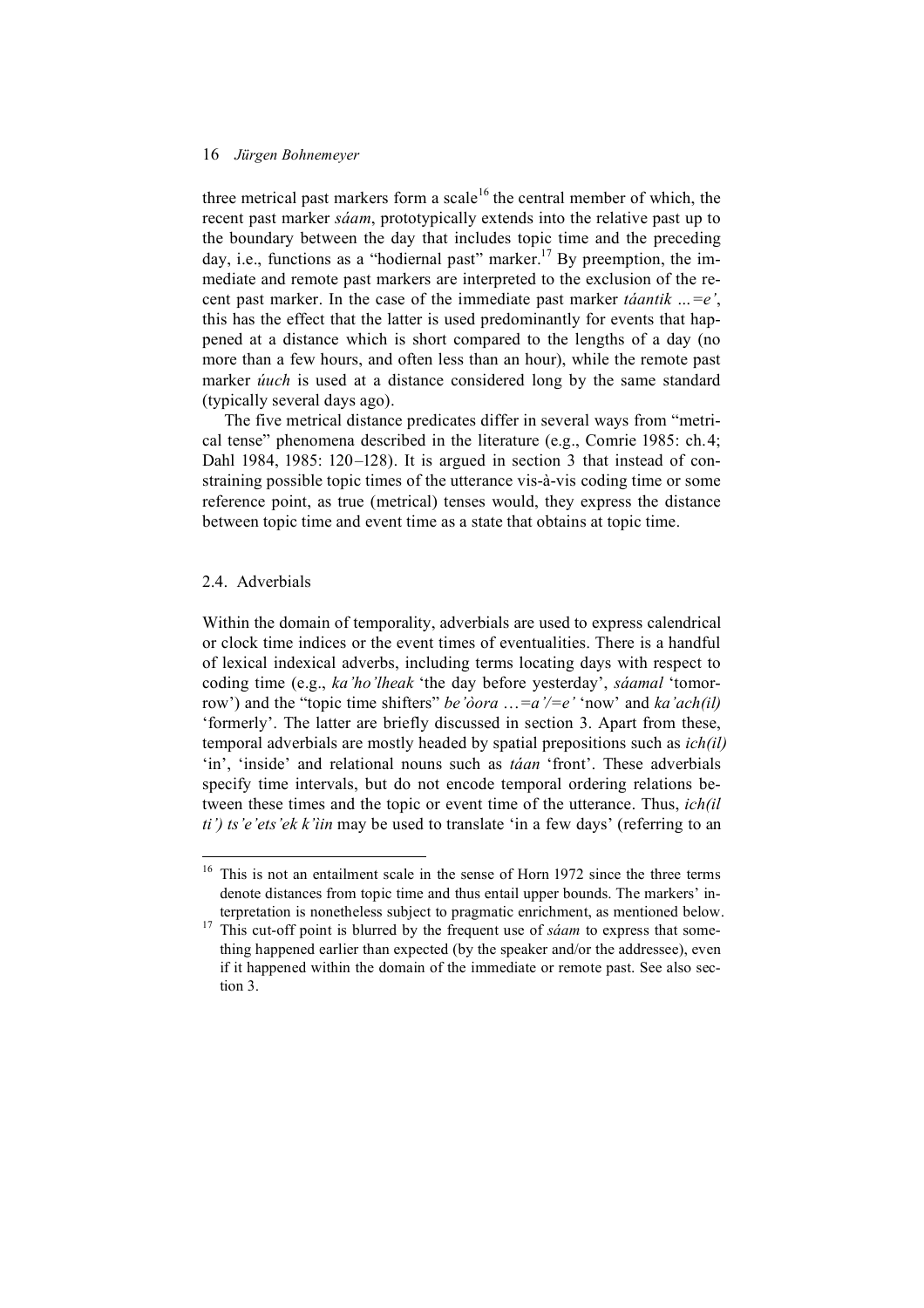three metrical past markers form a scale<sup>16</sup> the central member of which, the recent past marker *sáam*, prototypically extends into the relative past up to the boundary between the day that includes topic time and the preceding day, i.e., functions as a "hodiernal past" marker.<sup>17</sup> By preemption, the immediate and remote past markers are interpreted to the exclusion of the recent past marker. In the case of the immediate past marker *táantik …=e'*, this has the effect that the latter is used predominantly for events that happened at a distance which is short compared to the lengths of a day (no more than a few hours, and often less than an hour), while the remote past marker *úuch* is used at a distance considered long by the same standard (typically several days ago).

The five metrical distance predicates differ in several ways from "metrical tense" phenomena described in the literature (e.g., Comrie 1985: ch.4; Dahl 1984, 1985: 120–128). It is argued in section 3 that instead of constraining possible topic times of the utterance vis-à-vis coding time or some reference point, as true (metrical) tenses would, they express the distance between topic time and event time as a state that obtains at topic time.

# 2.4. Adverbials

Within the domain of temporality, adverbials are used to express calendrical or clock time indices or the event times of eventualities. There is a handful of lexical indexical adverbs, including terms locating days with respect to coding time (e.g., *ka'ho'lheak* 'the day before yesterday', *sáamal* 'tomorrow') and the "topic time shifters" *be'òora* …*=a'/=e'* 'now' and *ka'ach(il)*  'formerly'. The latter are briefly discussed in section 3. Apart from these, temporal adverbials are mostly headed by spatial prepositions such as *ich(il)* 'in', 'inside' and relational nouns such as *táan* 'front'. These adverbials specify time intervals, but do not encode temporal ordering relations between these times and the topic or event time of the utterance. Thus, *ich(il ti') ts'e'ets'ek k'ìin* may be used to translate 'in a few days' (referring to an

<sup>&</sup>lt;sup>16</sup> This is not an entailment scale in the sense of Horn 1972 since the three terms denote distances from topic time and thus entail upper bounds. The markers' interpretation is nonetheless subject to pragmatic enrichment, as mentioned below.

<sup>&</sup>lt;sup>17</sup> This cut-off point is blurred by the frequent use of *sáam* to express that something happened earlier than expected (by the speaker and/or the addressee), even if it happened within the domain of the immediate or remote past. See also section 3.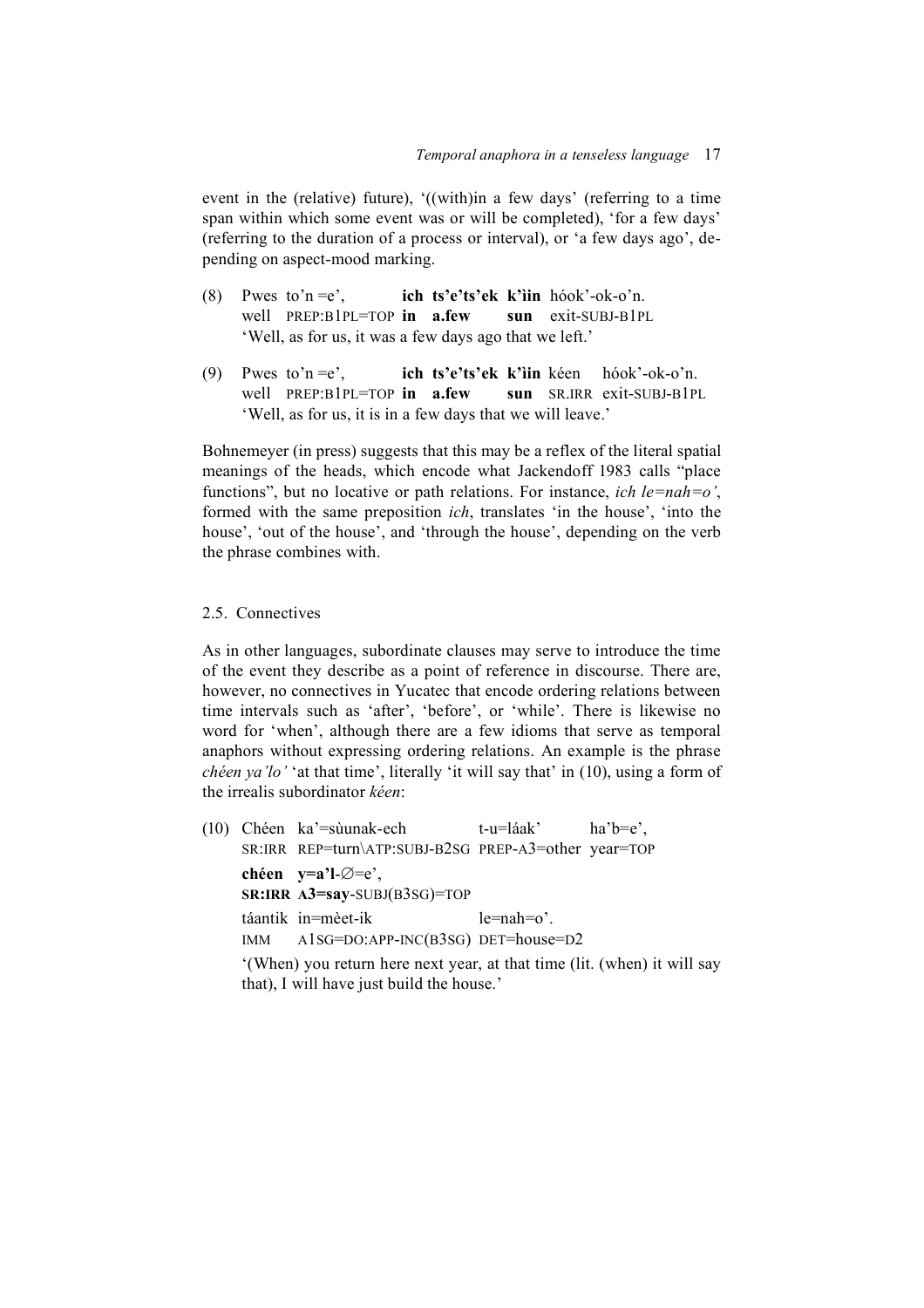event in the (relative) future), '((with)in a few days' (referring to a time span within which some event was or will be completed), 'for a few days' (referring to the duration of a process or interval), or 'a few days ago', depending on aspect-mood marking.

- (8) Pwes to'n =e', **ich ts'e'ts'ek k'ìin** hóok'-ok-o'n. well PREP:B1PL=TOP **in a.few sun** exit-SUBJ-B1PL 'Well, as for us, it was a few days ago that we left.'
- (9) Pwes to'n =e', **ich ts'e'ts'ek k'ìin** kéen hóok'-ok-o'n. well PREP:B1PL=TOP **in a.few sun** SR.IRR exit-SUBJ-B1PL 'Well, as for us, it is in a few days that we will leave.'

Bohnemeyer (in press) suggests that this may be a reflex of the literal spatial meanings of the heads, which encode what Jackendoff 1983 calls "place functions", but no locative or path relations. For instance, *ich le=nah=o'*, formed with the same preposition *ich*, translates 'in the house', 'into the house', 'out of the house', and 'through the house', depending on the verb the phrase combines with.

# 2.5. Connectives

As in other languages, subordinate clauses may serve to introduce the time of the event they describe as a point of reference in discourse. There are, however, no connectives in Yucatec that encode ordering relations between time intervals such as 'after', 'before', or 'while'. There is likewise no word for 'when', although there are a few idioms that serve as temporal anaphors without expressing ordering relations. An example is the phrase *chéen ya'lo'* 'at that time', literally 'it will say that' in (10), using a form of the irrealis subordinator *kéen*:

(10) Chéen ka'=sùunak-ech t-u=láak' ha'b=e', SR:IRR REP=turn\ATP:SUBJ-B2SG PREP-A3=other year=TOP **chéen y=a'l**-∅=e', **SR:IRR A3=say**-SUBJ(B3SG)=TOP táantik in=mèet-ik le=nah=o'. IMM A1SG=DO:APP-INC(B3SG) DET=house=D2 '(When) you return here next year, at that time (lit. (when) it will say that), I will have just build the house.'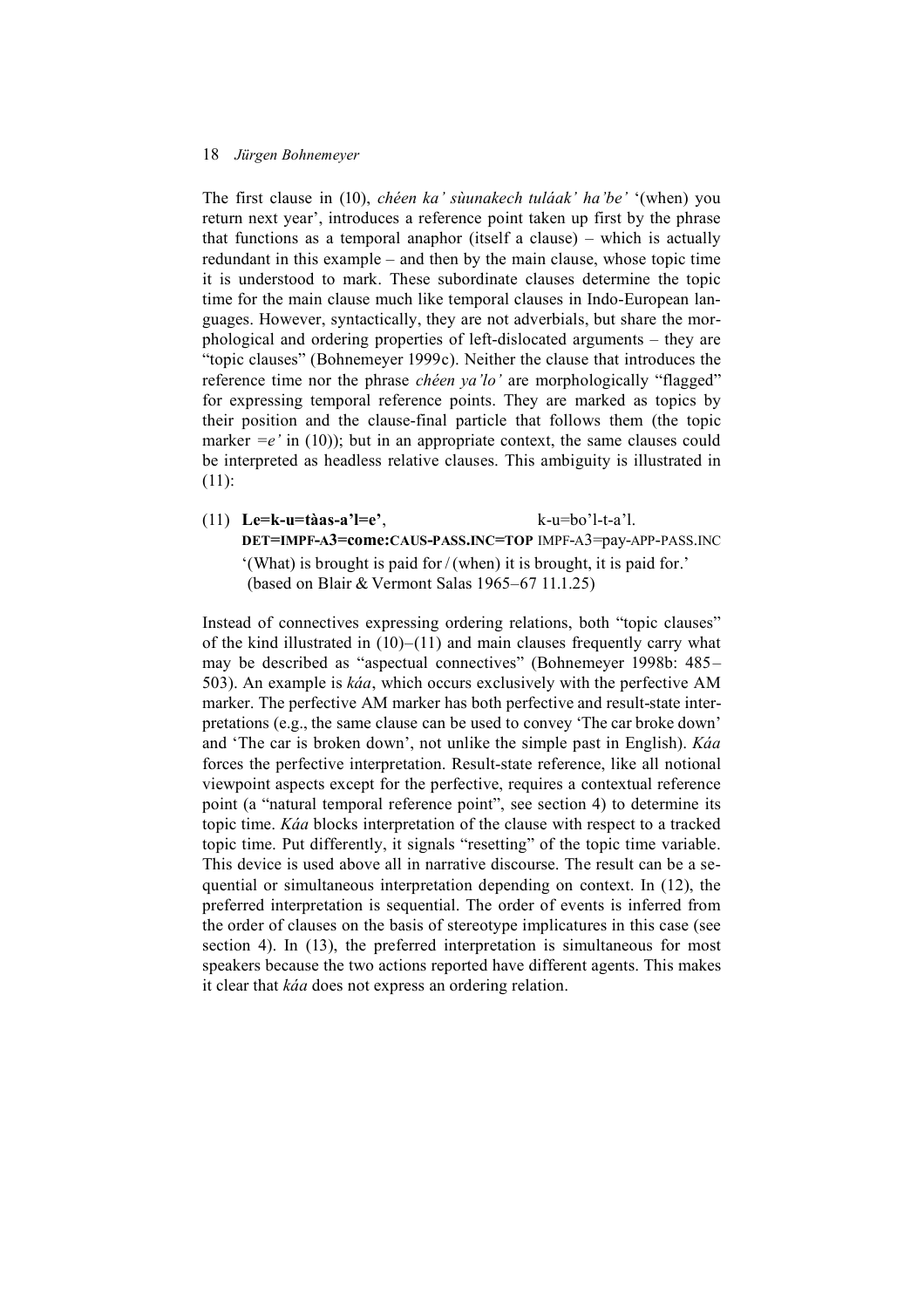The first clause in (10), *chéen ka' sùunakech tuláak' ha'be'* '(when) you return next year', introduces a reference point taken up first by the phrase that functions as a temporal anaphor (itself a clause) – which is actually redundant in this example – and then by the main clause, whose topic time it is understood to mark. These subordinate clauses determine the topic time for the main clause much like temporal clauses in Indo-European languages. However, syntactically, they are not adverbials, but share the morphological and ordering properties of left-dislocated arguments – they are "topic clauses" (Bohnemeyer 1999c). Neither the clause that introduces the reference time nor the phrase *chéen ya'lo'* are morphologically "flagged" for expressing temporal reference points. They are marked as topics by their position and the clause-final particle that follows them (the topic marker  $=e'$  in (10)); but in an appropriate context, the same clauses could be interpreted as headless relative clauses. This ambiguity is illustrated in (11):

(11) **Le=k-u=tàas-a'l=e'**, k-u=bo'l-t-a'l. **DET=IMPF-A3=come:CAUS-PASS.INC=TOP** IMPF-A3=pay-APP-PASS.INC '(What) is brought is paid for / (when) it is brought, it is paid for.' (based on Blair & Vermont Salas 1965–67 11.1.25)

Instead of connectives expressing ordering relations, both "topic clauses" of the kind illustrated in  $(10)$ – $(11)$  and main clauses frequently carry what may be described as "aspectual connectives" (Bohnemeyer 1998b: 485– 503). An example is *káa*, which occurs exclusively with the perfective AM marker. The perfective AM marker has both perfective and result-state interpretations (e.g., the same clause can be used to convey 'The car broke down' and 'The car is broken down', not unlike the simple past in English). *Káa* forces the perfective interpretation. Result-state reference, like all notional viewpoint aspects except for the perfective, requires a contextual reference point (a "natural temporal reference point", see section 4) to determine its topic time. *Káa* blocks interpretation of the clause with respect to a tracked topic time. Put differently, it signals "resetting" of the topic time variable. This device is used above all in narrative discourse. The result can be a sequential or simultaneous interpretation depending on context. In (12), the preferred interpretation is sequential. The order of events is inferred from the order of clauses on the basis of stereotype implicatures in this case (see section 4). In (13), the preferred interpretation is simultaneous for most speakers because the two actions reported have different agents. This makes it clear that *káa* does not express an ordering relation.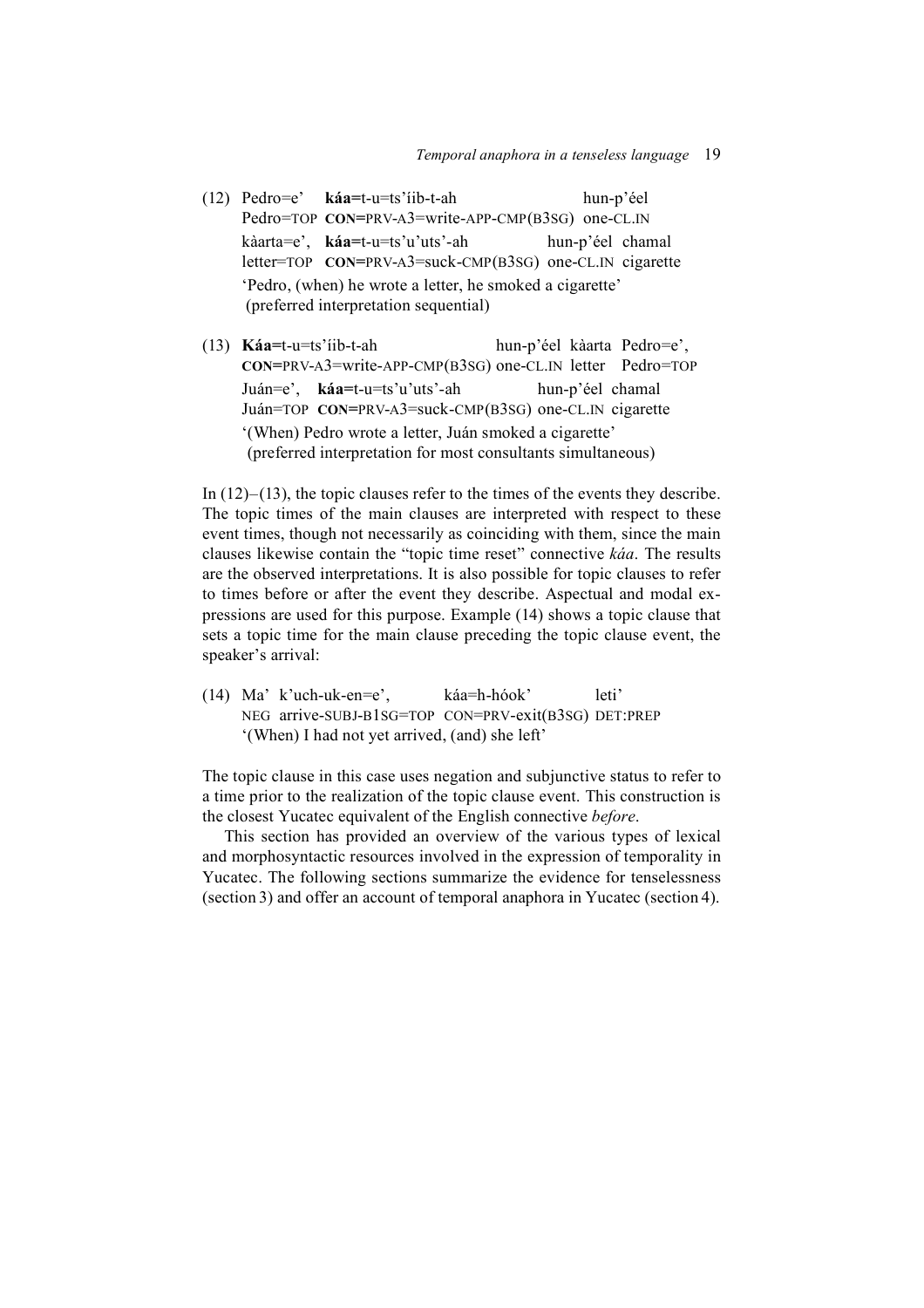- (12) Pedro=e' **káa=**t-u=ts'íib-t-ah hun-p'éel Pedro=TOP **CON=**PRV-A3=write-APP-CMP(B3SG) one-CL.IN kàarta=e', **káa=**t-u=ts'u'uts'-ah hun-p'éel chamal letter=TOP **CON=**PRV-A3=suck-CMP(B3SG) one-CL.IN cigarette 'Pedro, (when) he wrote a letter, he smoked a cigarette' (preferred interpretation sequential)
- (13) **Káa=**t-u=ts'íib-t-ah hun-p'éel kàarta Pedro=e', **CON=**PRV-A3=write-APP-CMP(B3SG) one-CL.IN letter Pedro=TOP Juán=e', **káa=**t-u=ts'u'uts'-ah hun-p'éel chamal Juán=TOP **CON=**PRV-A3=suck-CMP(B3SG) one-CL.IN cigarette '(When) Pedro wrote a letter, Juán smoked a cigarette' (preferred interpretation for most consultants simultaneous)

In (12)–(13), the topic clauses refer to the times of the events they describe. The topic times of the main clauses are interpreted with respect to these event times, though not necessarily as coinciding with them, since the main clauses likewise contain the "topic time reset" connective *káa*. The results are the observed interpretations. It is also possible for topic clauses to refer to times before or after the event they describe. Aspectual and modal expressions are used for this purpose. Example (14) shows a topic clause that sets a topic time for the main clause preceding the topic clause event, the speaker's arrival:

(14) Ma' k'uch-uk-en=e', káa=h-hóok' leti' NEG arrive-SUBJ-B1SG=TOP CON=PRV-exit(B3SG) DET:PREP '(When) I had not yet arrived, (and) she left'

The topic clause in this case uses negation and subjunctive status to refer to a time prior to the realization of the topic clause event. This construction is the closest Yucatec equivalent of the English connective *before*.

This section has provided an overview of the various types of lexical and morphosyntactic resources involved in the expression of temporality in Yucatec. The following sections summarize the evidence for tenselessness (section 3) and offer an account of temporal anaphora in Yucatec (section 4).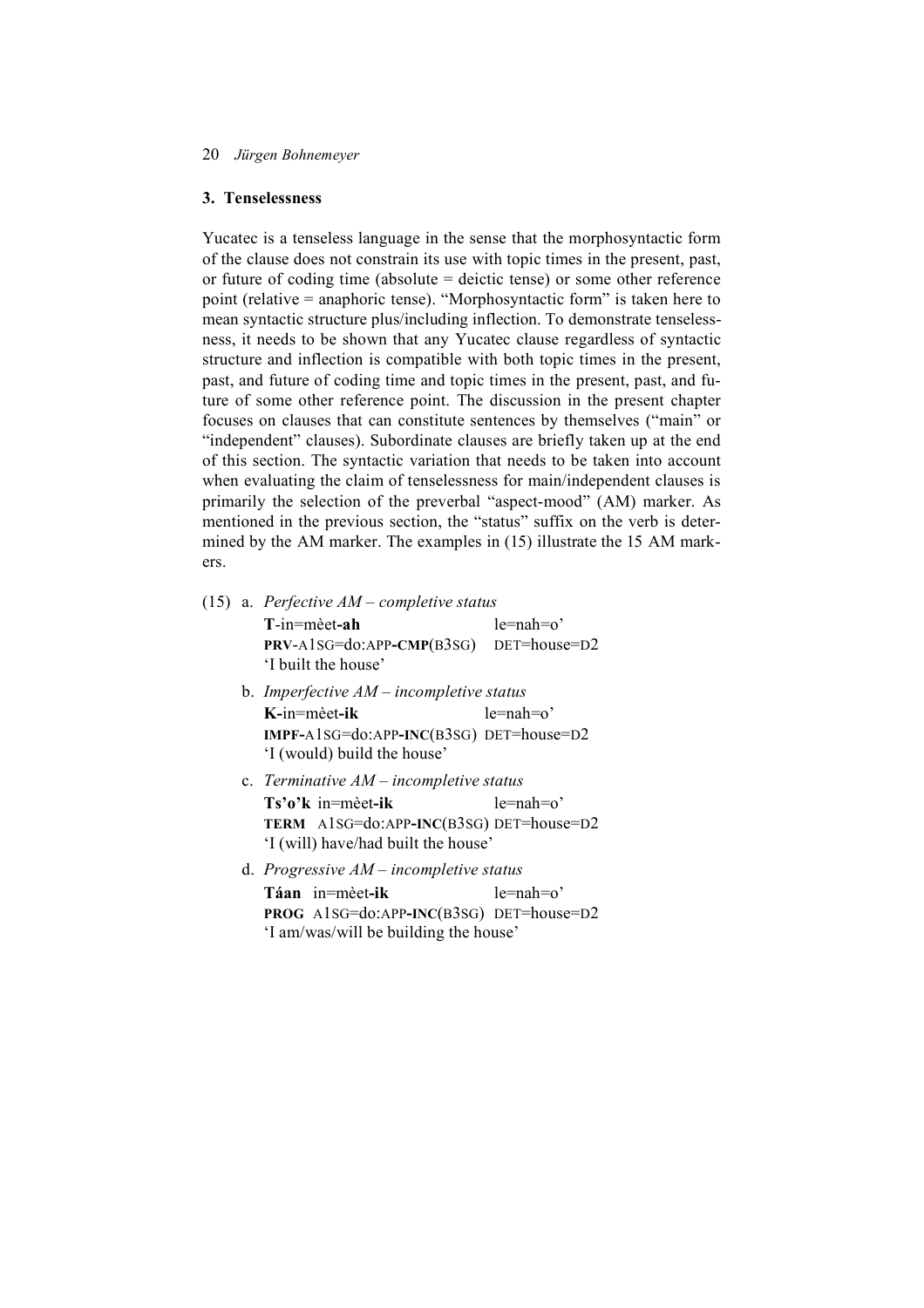# **3. Tenselessness**

Yucatec is a tenseless language in the sense that the morphosyntactic form of the clause does not constrain its use with topic times in the present, past, or future of coding time (absolute = deictic tense) or some other reference point (relative = anaphoric tense). "Morphosyntactic form" is taken here to mean syntactic structure plus/including inflection. To demonstrate tenselessness, it needs to be shown that any Yucatec clause regardless of syntactic structure and inflection is compatible with both topic times in the present, past, and future of coding time and topic times in the present, past, and future of some other reference point. The discussion in the present chapter focuses on clauses that can constitute sentences by themselves ("main" or "independent" clauses). Subordinate clauses are briefly taken up at the end of this section. The syntactic variation that needs to be taken into account when evaluating the claim of tenselessness for main/independent clauses is primarily the selection of the preverbal "aspect-mood" (AM) marker. As mentioned in the previous section, the "status" suffix on the verb is determined by the AM marker. The examples in (15) illustrate the 15 AM markers.

|  |  |  |  | (15) a. Perfective $AM$ – completive status |  |
|--|--|--|--|---------------------------------------------|--|
|--|--|--|--|---------------------------------------------|--|

| $T-in=m\text{e}et-ah$                      | $le = nah = o'$ |
|--------------------------------------------|-----------------|
| $PRV-A1SG=do:APP-CMP(B3SG)$ $DET=house=D2$ |                 |
| 'I built the house'                        |                 |

- b. *Imperfective AM – incompletive status* **K-**in=mèet**-ik** le=nah=o' **IMPF-**A1SG=do:APP**-INC**(B3SG) DET=house=D2 'I (would) build the house'
- c. *Terminative AM – incompletive status* **Ts'o'k** in=mèet**-ik** le=nah=o' **TERM** A1SG=do:APP**-INC**(B3SG) DET=house=D2 'I (will) have/had built the house'
- d. *Progressive AM – incompletive status* **Táan** in=mèet**-ik** le=nah=o' **PROG** A1SG=do:APP**-INC**(B3SG) DET=house=D2 'I am/was/will be building the house'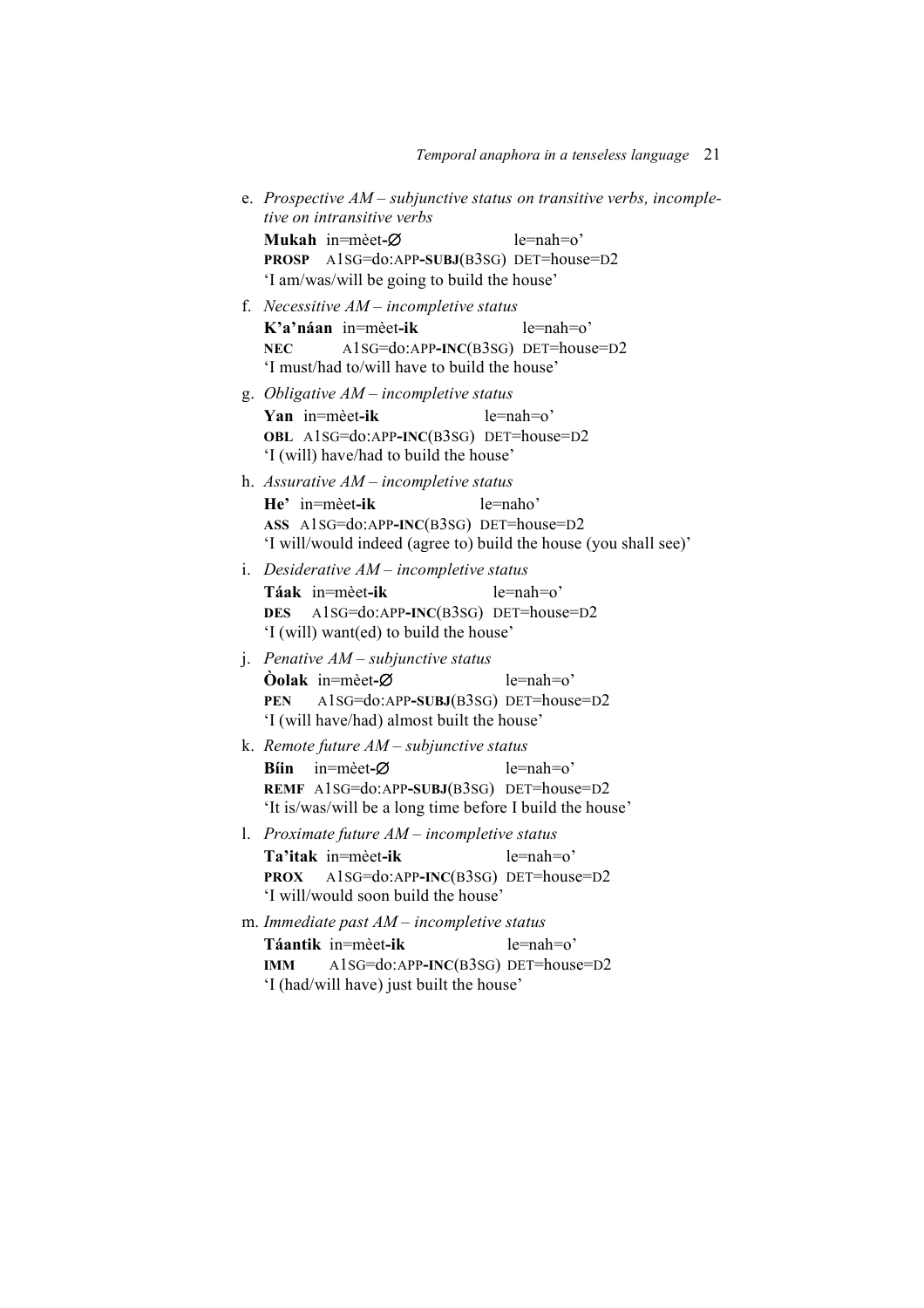|    | e. Prospective $AM$ – subjunctive status on transitive verbs, incomple-<br>tive on intransitive verbs                                                                                                       |
|----|-------------------------------------------------------------------------------------------------------------------------------------------------------------------------------------------------------------|
|    | Mukah in=mèet-Ø<br>$le = nah = o'$<br><b>PROSP</b> AlsG=do:APP-SUBJ(B3SG) DET=house=D2<br>'I am/was/will be going to build the house'                                                                       |
|    | f. Necessitive $AM$ – incompletive status<br>K'a'náan in=mèet-ik<br>$le = nah = o'$<br>A1SG=do:APP-INC(B3SG) DET=house=D2<br><b>NEC</b><br>'I must/had to/will have to build the house'                     |
|    | g. Obligative $AM$ – incompletive status<br>Yan in=mèet-ik<br>$le = nah = o'$<br>OBL A1SG=do:APP-INC(B3SG) DET=house=D2<br>'I (will) have/had to build the house'                                           |
|    | h. Assurative $AM$ – incompletive status<br>He' in=mèet-ik<br>le=naho'<br>ASS A1SG=do:APP-INC(B3SG) DET=house=D2<br>'I will/would indeed (agree to) build the house (you shall see)'                        |
| 1. | Desiderative $AM$ – incompletive status<br>Táak in=mèet-ik<br>$le = nah = o'$<br>A1SG=do:APP-INC(B3SG) DET=house=D2<br><b>DES</b><br>'I (will) want(ed) to build the house'                                 |
|    | j. Penative $AM$ – subjunctive status<br><b>Oolak</b> in=mèet- $\varnothing$<br>$le = nah = o'$<br>A1SG=do:APP-SUBJ(B3SG) DET=house=D2<br>PEN<br>'I (will have/had) almost built the house'                 |
|    | k. Remote future $AM$ – subjunctive status<br><b>Biin</b> in=mèet- $\varnothing$<br>$le = nah = o'$<br>REMF A1SG=do:APP-SUBJ(B3SG) DET=house=D2<br>'It is/was/will be a long time before I build the house' |
|    | 1. Proximate future $AM$ – incompletive status<br>Ta'itak in=mèet-ik<br>$le = nah = o'$<br>A1SG=do:APP-INC(B3SG) DET=house=D2<br><b>PROX</b><br>'I will/would soon build the house'                         |
|    | m. Immediate past $AM$ – incompletive status<br>Táantik in=mèet-ik<br>$le = nah = o'$<br>A1SG=do:APP-INC(B3SG) DET=house=D2<br><b>IMM</b><br>'I (had/will have) just built the house'                       |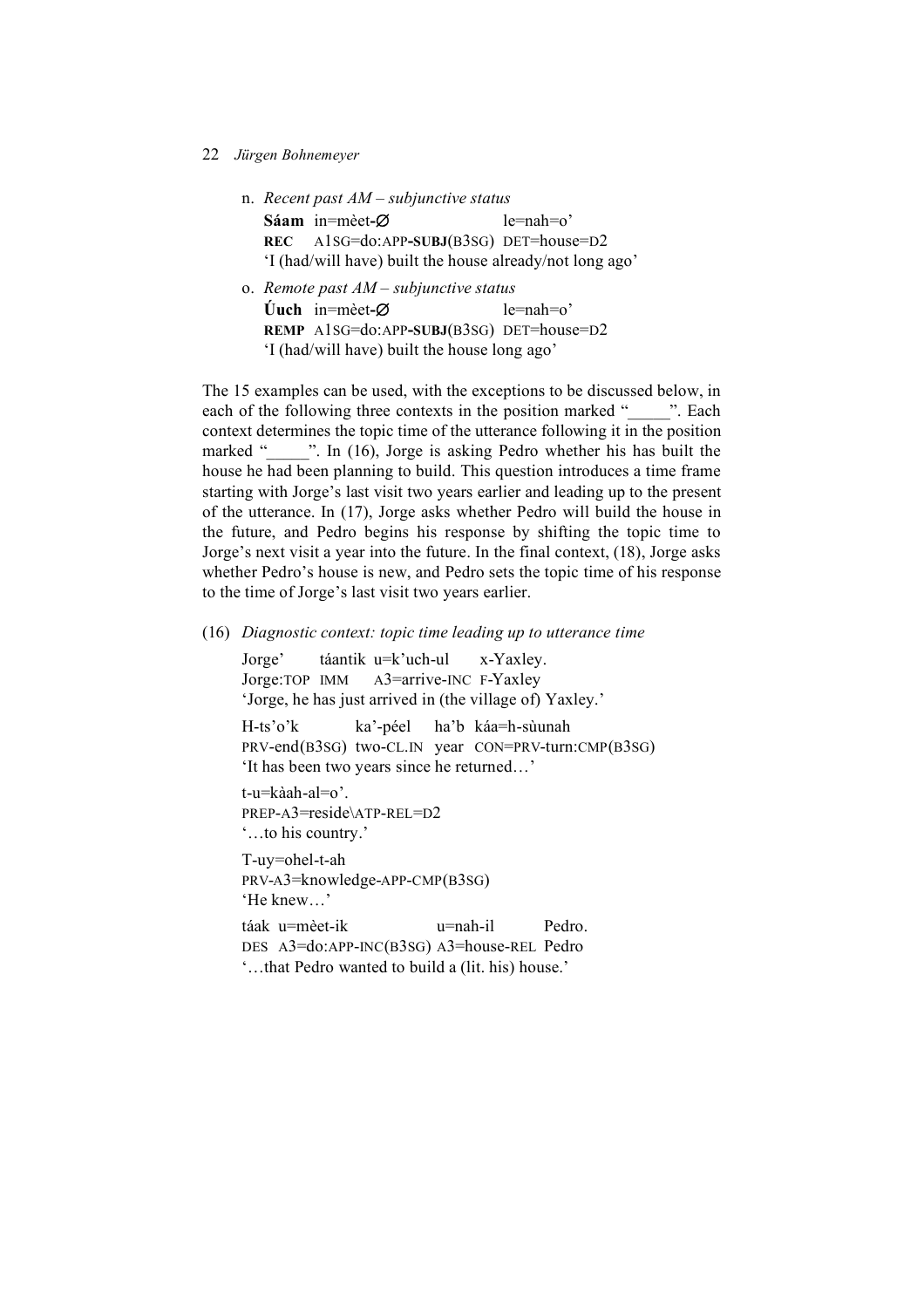| n. Recent past $AM$ – subjunctive status |                                                          |                 |
|------------------------------------------|----------------------------------------------------------|-----------------|
|                                          | Sáam in=mèet- $\varnothing$                              | $le = nah = o'$ |
|                                          | $REC$ $A1SG=do:APP-SUBJ(B3SG)$ $DET=house=D2$            |                 |
|                                          | 'I (had/will have) built the house already/not long ago' |                 |
|                                          | o. Remote past $AM$ – subjunctive status                 |                 |
|                                          | <b>Úuch</b> in=mèet- $\varnothing$                       | $le = nah = o'$ |

**REMP** A1SG=do:APP**-SUBJ**(B3SG) DET=house=D2 'I (had/will have) built the house long ago'

The 15 examples can be used, with the exceptions to be discussed below, in each of the following three contexts in the position marked "<sup>"</sup>. Each context determines the topic time of the utterance following it in the position marked "  $\therefore$  In (16), Jorge is asking Pedro whether his has built the house he had been planning to build. This question introduces a time frame starting with Jorge's last visit two years earlier and leading up to the present of the utterance. In (17), Jorge asks whether Pedro will build the house in the future, and Pedro begins his response by shifting the topic time to Jorge's next visit a year into the future. In the final context, (18), Jorge asks whether Pedro's house is new, and Pedro sets the topic time of his response to the time of Jorge's last visit two years earlier.

(16) *Diagnostic context: topic time leading up to utterance time* 

Jorge' táantik u=k'uch-ul x-Yaxley. Jorge:TOP IMM A3=arrive-INC F-Yaxley 'Jorge, he has just arrived in (the village of) Yaxley.' H-ts'o'k ka'-péel ha'b káa=h-sùunah PRV-end(B3SG) two-CL.IN year CON=PRV-turn:CMP(B3SG) 'It has been two years since he returned…' t-u=kàah-al=o'. PREP-A3=reside\ATP-REL=D2 '…to his country.' T-uy=ohel-t-ah PRV-A3=knowledge-APP-CMP(B3SG) 'He knew…'

táak u=mèet-ik u=nah-il Pedro. DES A3=do:APP-INC(B3SG) A3=house-REL Pedro '…that Pedro wanted to build a (lit. his) house.'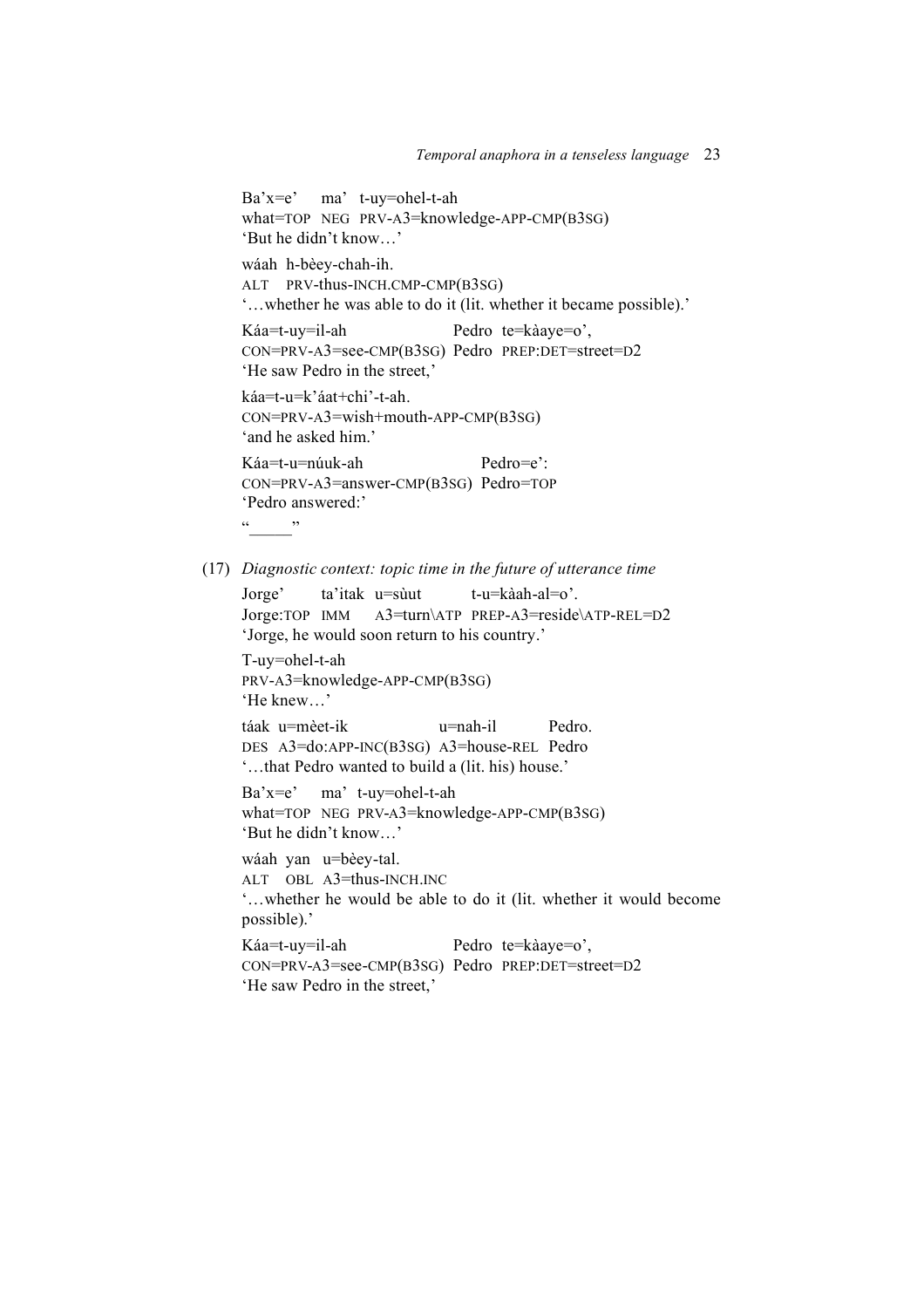```
Ba'x=e' ma' t-uy=ohel-t-ah 
     what=TOP NEG PRV-A3=knowledge-APP-CMP(B3SG)
     'But he didn't know…'
     wáah h-bèey-chah-ih.
     ALT PRV-thus-INCH.CMP-CMP(B3SG) 
     '…whether he was able to do it (lit. whether it became possible).'
     Káa=t-uy=il-ah Pedro te=kàaye=o',
     CON=PRV-A3=see-CMP(B3SG) Pedro PREP:DET=street=D2 
     'He saw Pedro in the street,'
     káa=t-u=k'áat+chi'-t-ah. 
     CON=PRV-A3=wish+mouth-APP-CMP(B3SG)
     'and he asked him.'
     Káa=t-u=núuk-ah Pedro=e':
     CON=PRV-A3=answer-CMP(B3SG) Pedro=TOP
     'Pedro answered:'
     \overline{\cdots}(17) Diagnostic context: topic time in the future of utterance time 
     Jorge' ta'itak u=sùut t-u=kàah-al=o'. 
     Jorge:TOP IMM A3=turn\ATP PREP-A3=reside\ATP-REL=D2
     'Jorge, he would soon return to his country.'
     T-uy=ohel-t-ah
     PRV-A3=knowledge-APP-CMP(B3SG)
     'He knew…'
     táak u=mèet-ik u=nah-il Pedro.
     DES A3=do:APP-INC(B3SG) A3=house-REL Pedro
     '…that Pedro wanted to build a (lit. his) house.'
     Ba'x=e' ma' t-uy=ohel-t-ah 
     what=TOP NEG PRV-A3=knowledge-APP-CMP(B3SG)
     'But he didn't know…'
     wáah yan u=bèey-tal.
     ALT OBL A3=thus-INCH.INC 
     '…whether he would be able to do it (lit. whether it would become
     possible).'
     Káa=t-uv=il-ah Pedro te=kàaye=o',
     CON=PRV-A3=see-CMP(B3SG) Pedro PREP:DET=street=D2 
     'He saw Pedro in the street,'
```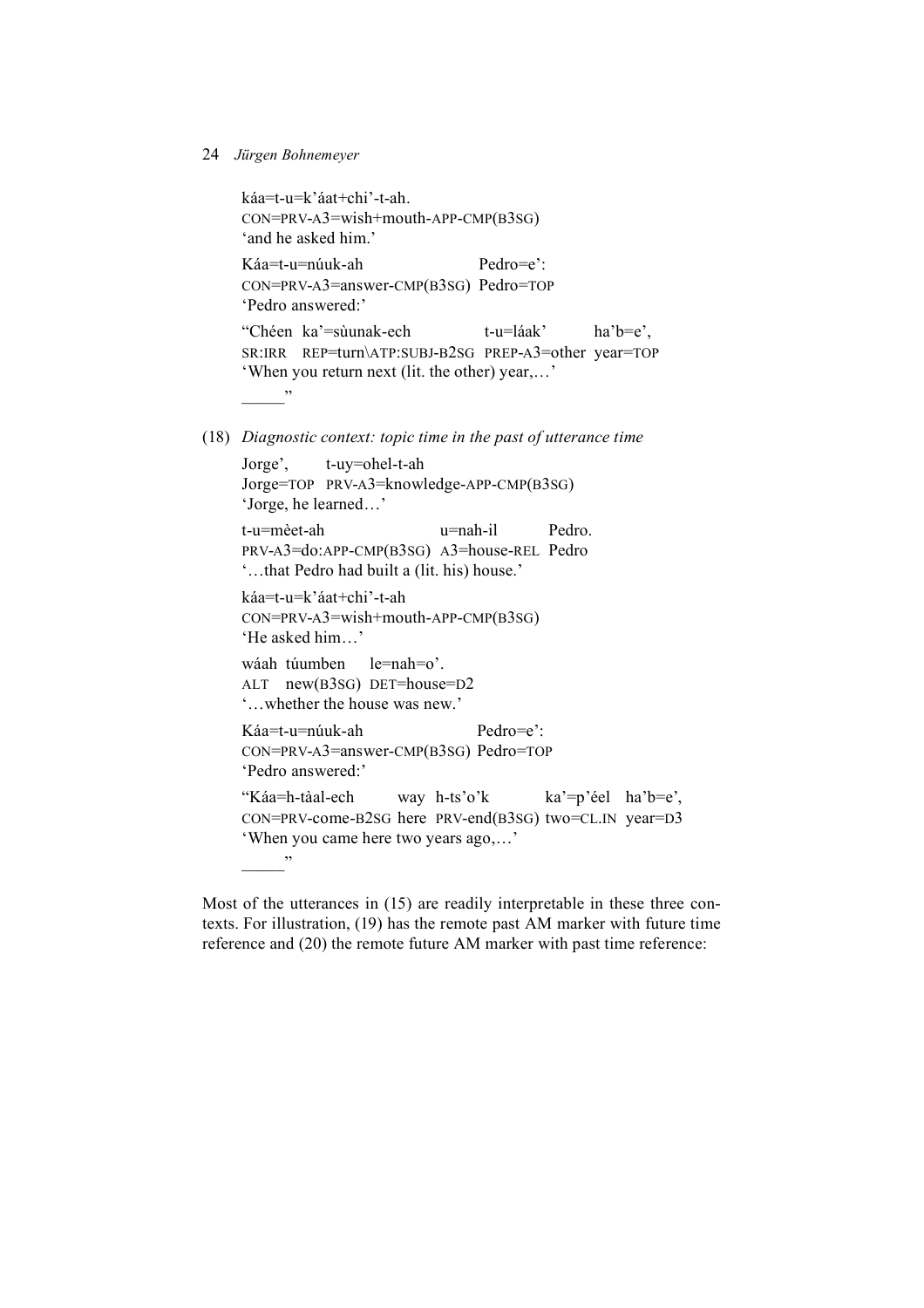```
káa=t-u=k'áat+chi'-t-ah. 
    CON=PRV-A3=wish+mouth-APP-CMP(B3SG)
     'and he asked him.'
    Káa=t-u=núuk-ah Pedro=e':
    CON=PRV-A3=answer-CMP(B3SG) Pedro=TOP
     'Pedro answered:'
    "Chéen ka'=sùunak-ech t-u=láak' ha'b=e',
    SR:IRR REP=turn\ATP:SUBJ-B2SG PREP-A3=other year=TOP
     'When you return next (lit. the other) year,…'
        \cdot(18) Diagnostic context: topic time in the past of utterance time 
    Jorge', t-uy=ohel-t-ah
     Jorge=TOP PRV-A3=knowledge-APP-CMP(B3SG)
     'Jorge, he learned…'
    t-u=mèet-ah u=nah-il Pedro.
    PRV-A3=do:APP-CMP(B3SG) A3=house-REL Pedro
     '…that Pedro had built a (lit. his) house.'
    káa=t-u=k'áat+chi'-t-ah
    CON=PRV-A3=wish+mouth-APP-CMP(B3SG)
     'He asked him…'
     wáah túumben le=nah=o'.
    ALT new(B3SG) DET=house=D2
     '…whether the house was new.'
    Káa=t-u=núuk-ah Pedro=e':
    CON=PRV-A3=answer-CMP(B3SG) Pedro=TOP
     'Pedro answered:'
    "Káa=h-tàal-ech way h-ts'o'k ka'=p'éel ha'b=e',
    CON=PRV-come-B2SG here PRV-end(B3SG) two=CL.IN year=D3
     'When you came here two years ago,…'
       \overline{\phantom{a}}
```
Most of the utterances in (15) are readily interpretable in these three contexts. For illustration, (19) has the remote past AM marker with future time reference and (20) the remote future AM marker with past time reference: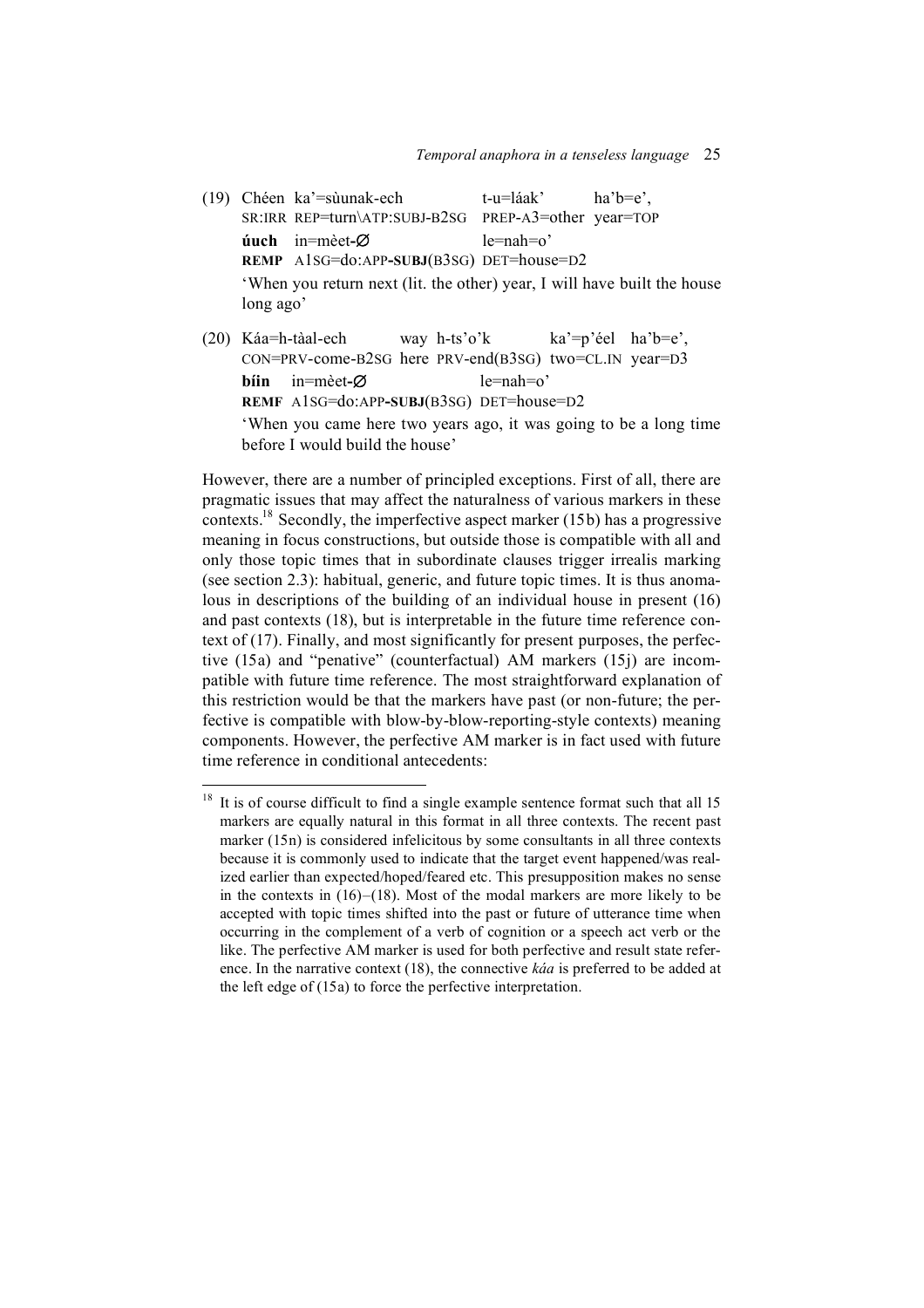- (19) Chéen ka'=sùunak-ech t-u=láak' ha'b=e', SR:IRR REP=turn\ATP:SUBJ-B2SG PREP-A3=other year=TOP **úuch** in=mèet**-**∅ le=nah=o' **REMP** A1SG=do:APP**-SUBJ**(B3SG) DET=house=D2 'When you return next (lit. the other) year, I will have built the house long ago'
- (20) Káa=h-tàal-ech way h-ts'o'k ka'=p'éel ha'b=e', CON=PRV-come-B2SG here PRV-end(B3SG) two=CL.IN year=D3 **bíin** in=mèet**-**⊘ le=nah=o' **REMF** A1SG=do:APP**-SUBJ**(B3SG) DET=house=D2 'When you came here two years ago, it was going to be a long time before I would build the house'

However, there are a number of principled exceptions. First of all, there are pragmatic issues that may affect the naturalness of various markers in these contexts. <sup>18</sup> Secondly, the imperfective aspect marker (15b) has a progressive meaning in focus constructions, but outside those is compatible with all and only those topic times that in subordinate clauses trigger irrealis marking (see section 2.3): habitual, generic, and future topic times. It is thus anomalous in descriptions of the building of an individual house in present (16) and past contexts (18), but is interpretable in the future time reference context of (17). Finally, and most significantly for present purposes, the perfective (15a) and "penative" (counterfactual) AM markers (15j) are incompatible with future time reference. The most straightforward explanation of this restriction would be that the markers have past (or non-future; the perfective is compatible with blow-by-blow-reporting-style contexts) meaning components. However, the perfective AM marker is in fact used with future time reference in conditional antecedents:

<sup>&</sup>lt;sup>18</sup> It is of course difficult to find a single example sentence format such that all 15 markers are equally natural in this format in all three contexts. The recent past marker (15n) is considered infelicitous by some consultants in all three contexts because it is commonly used to indicate that the target event happened/was realized earlier than expected/hoped/feared etc. This presupposition makes no sense in the contexts in (16)–(18). Most of the modal markers are more likely to be accepted with topic times shifted into the past or future of utterance time when occurring in the complement of a verb of cognition or a speech act verb or the like. The perfective AM marker is used for both perfective and result state reference. In the narrative context (18), the connective *káa* is preferred to be added at the left edge of (15a) to force the perfective interpretation.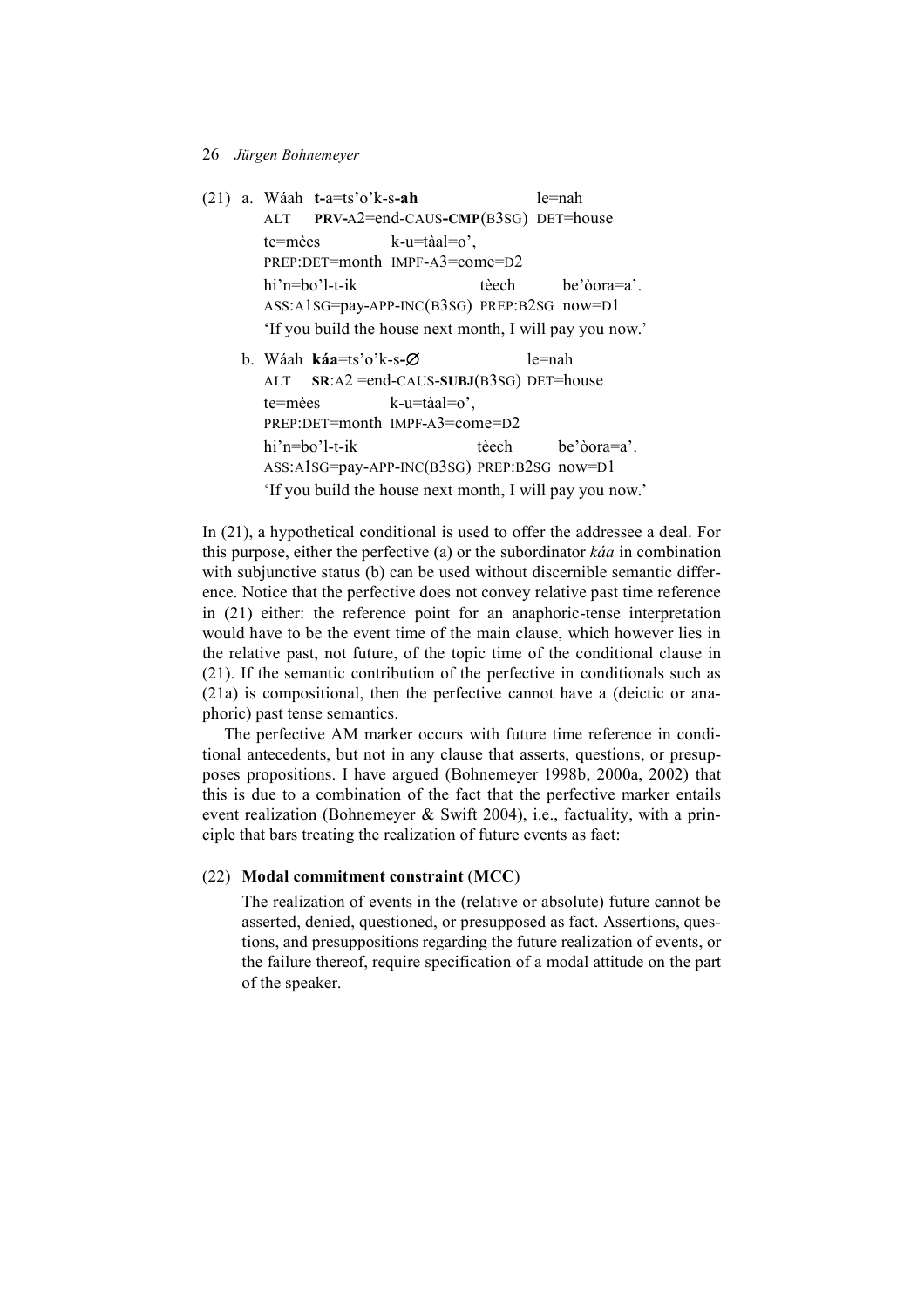- (21) a. Wáah **t-**a=ts'o'k-s**-ah** le=nah ALT **PRV-**A2=end-CAUS**-CMP**(B3SG) DET=house te=mèes k-u=tàal=o', PREP:DET=month IMPF-A3=come=D2 hi'n=bo'l-t-ik tèech be'òora=a'. ASS:A1SG=pay-APP-INC(B3SG) PREP:B2SG now=D1 'If you build the house next month, I will pay you now.'
	- b. Wáah **káa**=ts'o'k-s**-**∅ le=nah ALT **SR**:A2 =end-CAUS-**SUBJ**(B3SG) DET=house te=mèes k-u=tàal=o', PREP:DET=month IMPF-A3=come=D2 hi'n=bo'l-t-ik tèech be'òora=a'. ASS:A1SG=pay-APP-INC(B3SG) PREP:B2SG now=D1 'If you build the house next month, I will pay you now.'

In (21), a hypothetical conditional is used to offer the addressee a deal. For this purpose, either the perfective (a) or the subordinator *káa* in combination with subjunctive status (b) can be used without discernible semantic difference. Notice that the perfective does not convey relative past time reference in (21) either: the reference point for an anaphoric-tense interpretation would have to be the event time of the main clause, which however lies in the relative past, not future, of the topic time of the conditional clause in (21). If the semantic contribution of the perfective in conditionals such as (21a) is compositional, then the perfective cannot have a (deictic or anaphoric) past tense semantics.

The perfective AM marker occurs with future time reference in conditional antecedents, but not in any clause that asserts, questions, or presupposes propositions. I have argued (Bohnemeyer 1998b, 2000a, 2002) that this is due to a combination of the fact that the perfective marker entails event realization (Bohnemeyer & Swift 2004), i.e., factuality, with a principle that bars treating the realization of future events as fact:

# (22) **Modal commitment constraint** (**MCC**)

The realization of events in the (relative or absolute) future cannot be asserted, denied, questioned, or presupposed as fact. Assertions, questions, and presuppositions regarding the future realization of events, or the failure thereof, require specification of a modal attitude on the part of the speaker.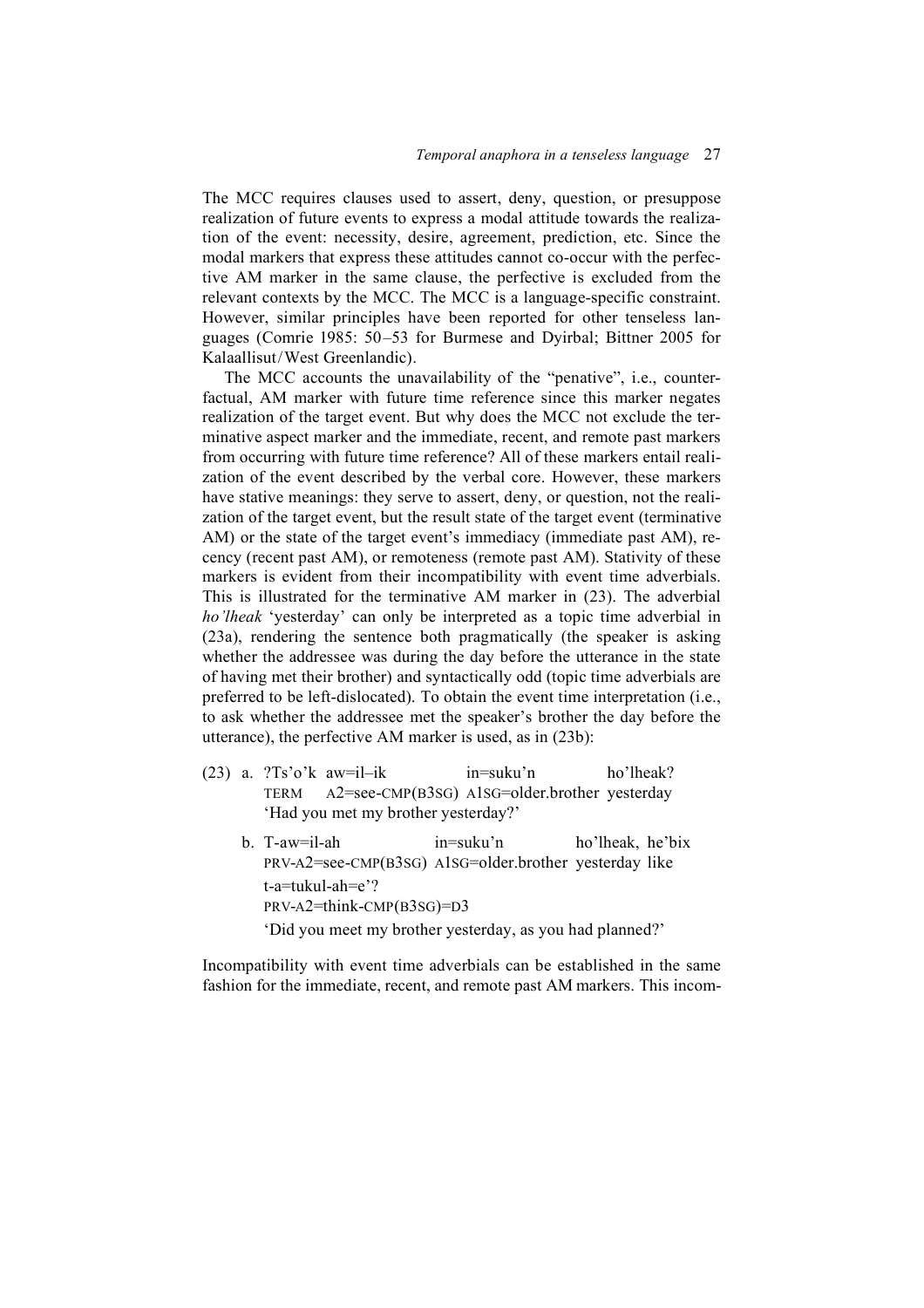The MCC requires clauses used to assert, deny, question, or presuppose realization of future events to express a modal attitude towards the realization of the event: necessity, desire, agreement, prediction, etc. Since the modal markers that express these attitudes cannot co-occur with the perfective AM marker in the same clause, the perfective is excluded from the relevant contexts by the MCC. The MCC is a language-specific constraint. However, similar principles have been reported for other tenseless languages (Comrie 1985: 50–53 for Burmese and Dyirbal; Bittner 2005 for Kalaallisut/West Greenlandic).

The MCC accounts the unavailability of the "penative", i.e., counterfactual, AM marker with future time reference since this marker negates realization of the target event. But why does the MCC not exclude the terminative aspect marker and the immediate, recent, and remote past markers from occurring with future time reference? All of these markers entail realization of the event described by the verbal core. However, these markers have stative meanings: they serve to assert, deny, or question, not the realization of the target event, but the result state of the target event (terminative AM) or the state of the target event's immediacy (immediate past AM), recency (recent past AM), or remoteness (remote past AM). Stativity of these markers is evident from their incompatibility with event time adverbials. This is illustrated for the terminative AM marker in (23). The adverbial *ho'lheak* 'yesterday' can only be interpreted as a topic time adverbial in (23a), rendering the sentence both pragmatically (the speaker is asking whether the addressee was during the day before the utterance in the state of having met their brother) and syntactically odd (topic time adverbials are preferred to be left-dislocated). To obtain the event time interpretation (i.e., to ask whether the addressee met the speaker's brother the day before the utterance), the perfective AM marker is used, as in (23b):

- (23) a. ?Ts'o'k aw=il–ik in=suku'n ho'lheak? TERM A2=see-CMP(B3SG) A1SG=older.brother yesterday 'Had you met my brother yesterday?'
	- b. T-aw=il-ah in=suku'n ho'lheak, he'bix PRV-A2=see-CMP(B3SG) A1SG=older.brother yesterday like t-a=tukul-ah=e'? PRV-A2=think-CMP(B3SG)=D3 'Did you meet my brother yesterday, as you had planned?'

Incompatibility with event time adverbials can be established in the same fashion for the immediate, recent, and remote past AM markers. This incom-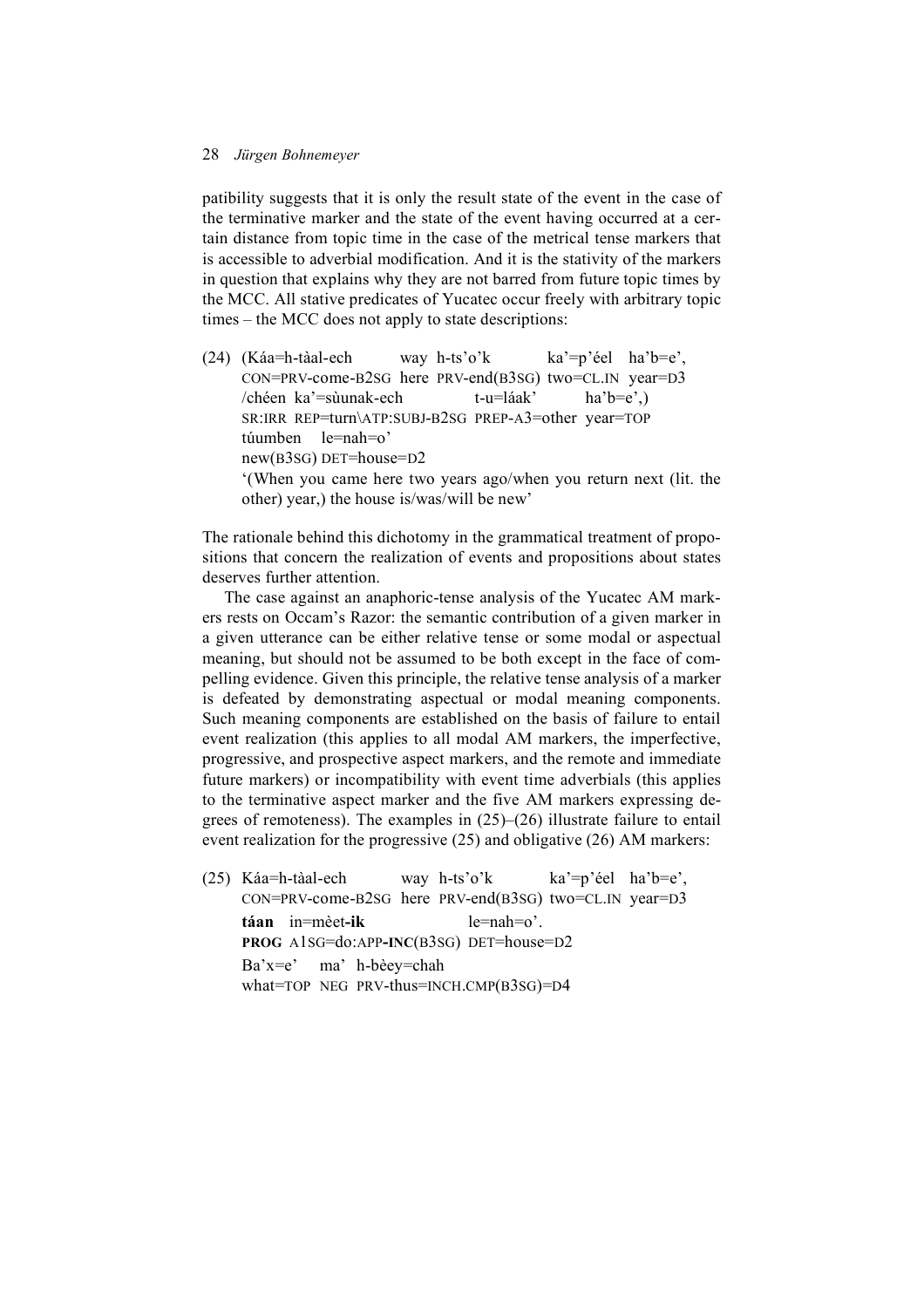patibility suggests that it is only the result state of the event in the case of the terminative marker and the state of the event having occurred at a certain distance from topic time in the case of the metrical tense markers that is accessible to adverbial modification. And it is the stativity of the markers in question that explains why they are not barred from future topic times by the MCC. All stative predicates of Yucatec occur freely with arbitrary topic times – the MCC does not apply to state descriptions:

(24) (Káa=h-tàal-ech way h-ts'o'k ka'=p'éel ha'b=e', CON=PRV-come-B2SG here PRV-end(B3SG) two=CL.IN year=D3 /chéen ka'=sùunak-ech t-u=láak' ha'b=e',) SR:IRR REP=turn\ATP:SUBJ-B2SG PREP-A3=other year=TOP túumben le=nah=o' new(B3SG) DET=house=D2 '(When you came here two years ago/when you return next (lit. the

other) year,) the house is/was/will be new'

The rationale behind this dichotomy in the grammatical treatment of propositions that concern the realization of events and propositions about states deserves further attention.

The case against an anaphoric-tense analysis of the Yucatec AM markers rests on Occam's Razor: the semantic contribution of a given marker in a given utterance can be either relative tense or some modal or aspectual meaning, but should not be assumed to be both except in the face of compelling evidence. Given this principle, the relative tense analysis of a marker is defeated by demonstrating aspectual or modal meaning components. Such meaning components are established on the basis of failure to entail event realization (this applies to all modal AM markers, the imperfective, progressive, and prospective aspect markers, and the remote and immediate future markers) or incompatibility with event time adverbials (this applies to the terminative aspect marker and the five AM markers expressing degrees of remoteness). The examples in  $(25)$ – $(26)$  illustrate failure to entail event realization for the progressive (25) and obligative (26) AM markers:

(25) Káa=h-tàal-ech way h-ts'o'k ka'=p'éel ha'b=e', CON=PRV-come-B2SG here PRV-end(B3SG) two=CL.IN year=D3 **táan** in=mèet**-ik** le=nah=o'. **PROG** A1SG=do:APP**-INC**(B3SG) DET=house=D2 Ba'x=e' ma' h-bèey=chah what=TOP NEG PRV-thus=INCH.CMP(B3SG)=D4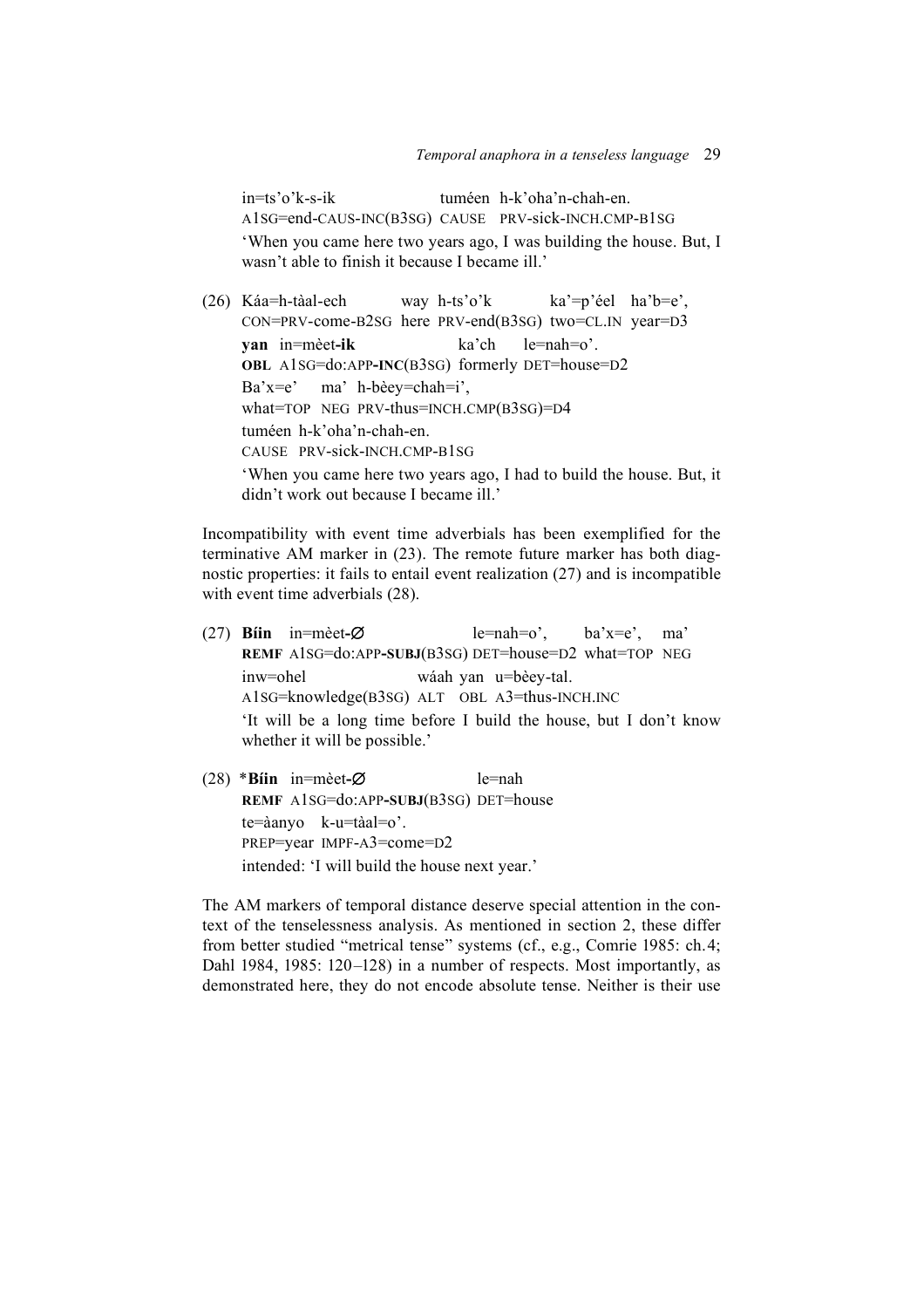in=ts'o'k-s-ik tuméen h-k'oha'n-chah-en. A1SG=end-CAUS-INC(B3SG) CAUSE PRV-sick-INCH.CMP-B1SG 'When you came here two years ago, I was building the house. But, I wasn't able to finish it because I became ill.'

(26) Káa=h-tàal-ech way h-ts'o'k ka'=p'éel ha'b=e', CON=PRV-come-B2SG here PRV-end(B3SG) two=CL.IN year=D3 **yan** in=mèet**-ik** ka'ch le=nah=o'. **OBL** A1SG=do:APP**-INC**(B3SG) formerly DET=house=D2 Ba'x=e' ma' h-bèey=chah=i', what=TOP NEG PRV-thus=INCH.CMP(B3SG)=D4 tuméen h-k'oha'n-chah-en. CAUSE PRV-sick-INCH.CMP-B1SG 'When you came here two years ago, I had to build the house. But, it didn't work out because I became ill.'

Incompatibility with event time adverbials has been exemplified for the terminative AM marker in (23). The remote future marker has both diagnostic properties: it fails to entail event realization (27) and is incompatible with event time adverbials (28).

- (27) **Bíin** in=mèet**-**∅ le=nah=o', ba'x=e', ma' **REMF** A1SG=do:APP**-SUBJ**(B3SG) DET=house=D2 what=TOP NEG inw=ohel wáah yan u=bèey-tal. A1SG=knowledge(B3SG) ALT OBL A3=thus-INCH.INC 'It will be a long time before I build the house, but I don't know whether it will be possible.'
- (28) \***Bíin** in=mèet**-**∅ le=nah **REMF** A1SG=do:APP**-SUBJ**(B3SG) DET=house te=àanyo k-u=tàal=o'. PREP=year IMPF-A3=come=D2 intended: 'I will build the house next year.'

The AM markers of temporal distance deserve special attention in the context of the tenselessness analysis. As mentioned in section 2, these differ from better studied "metrical tense" systems (cf., e.g., Comrie 1985: ch.4; Dahl 1984, 1985: 120–128) in a number of respects. Most importantly, as demonstrated here, they do not encode absolute tense. Neither is their use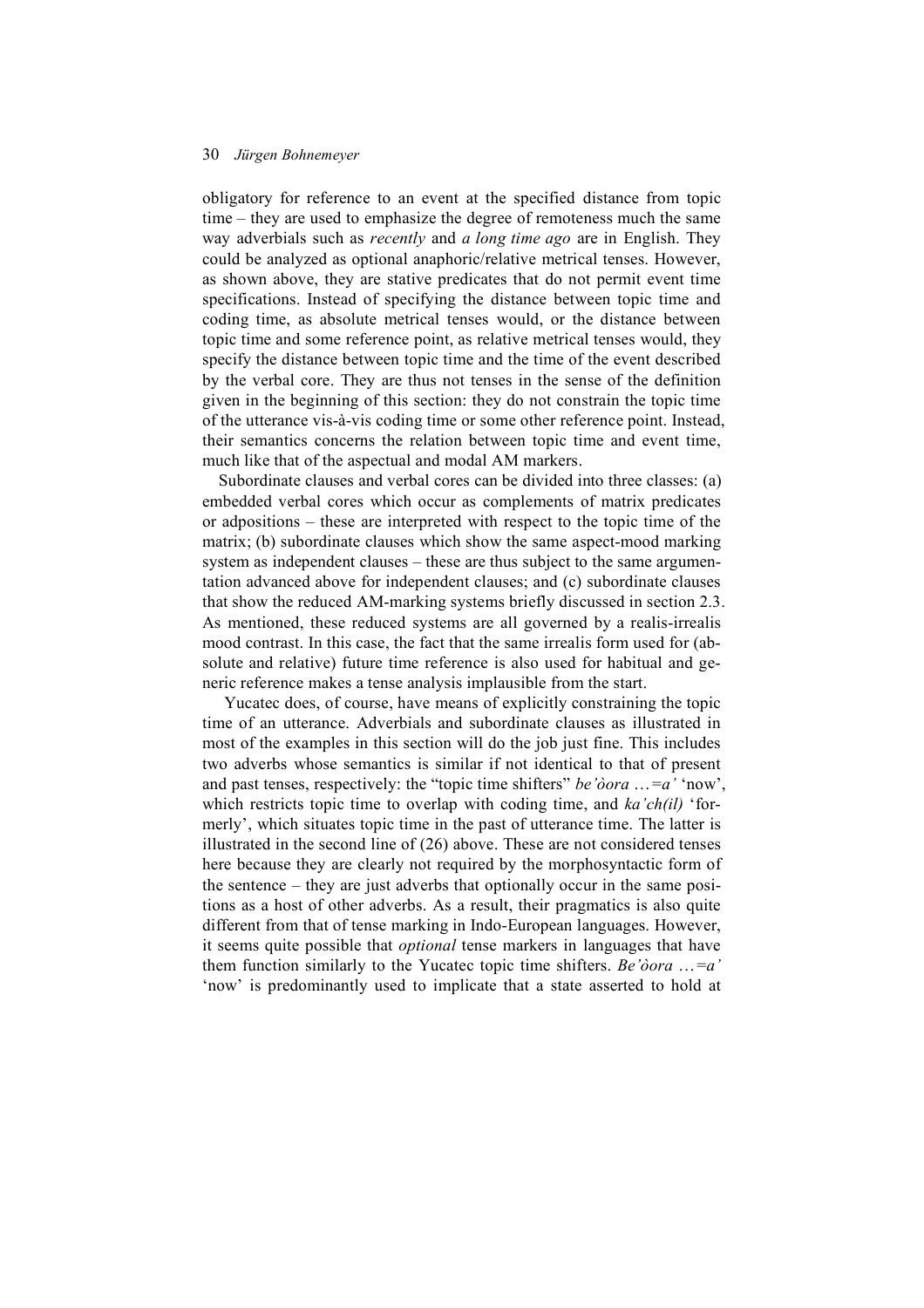obligatory for reference to an event at the specified distance from topic time – they are used to emphasize the degree of remoteness much the same way adverbials such as *recently* and *a long time ago* are in English. They could be analyzed as optional anaphoric/relative metrical tenses. However, as shown above, they are stative predicates that do not permit event time specifications. Instead of specifying the distance between topic time and coding time, as absolute metrical tenses would, or the distance between topic time and some reference point, as relative metrical tenses would, they specify the distance between topic time and the time of the event described by the verbal core. They are thus not tenses in the sense of the definition given in the beginning of this section: they do not constrain the topic time of the utterance vis-à-vis coding time or some other reference point. Instead, their semantics concerns the relation between topic time and event time, much like that of the aspectual and modal AM markers.

Subordinate clauses and verbal cores can be divided into three classes: (a) embedded verbal cores which occur as complements of matrix predicates or adpositions – these are interpreted with respect to the topic time of the matrix; (b) subordinate clauses which show the same aspect-mood marking system as independent clauses – these are thus subject to the same argumentation advanced above for independent clauses; and (c) subordinate clauses that show the reduced AM-marking systems briefly discussed in section 2.3. As mentioned, these reduced systems are all governed by a realis-irrealis mood contrast. In this case, the fact that the same irrealis form used for (absolute and relative) future time reference is also used for habitual and generic reference makes a tense analysis implausible from the start.

Yucatec does, of course, have means of explicitly constraining the topic time of an utterance. Adverbials and subordinate clauses as illustrated in most of the examples in this section will do the job just fine. This includes two adverbs whose semantics is similar if not identical to that of present and past tenses, respectively: the "topic time shifters" *be'òora* …*=a'* 'now', which restricts topic time to overlap with coding time, and *ka'ch(il)* 'formerly', which situates topic time in the past of utterance time. The latter is illustrated in the second line of (26) above. These are not considered tenses here because they are clearly not required by the morphosyntactic form of the sentence – they are just adverbs that optionally occur in the same positions as a host of other adverbs. As a result, their pragmatics is also quite different from that of tense marking in Indo-European languages. However, it seems quite possible that *optional* tense markers in languages that have them function similarly to the Yucatec topic time shifters. *Be'òora* …*=a'* 'now' is predominantly used to implicate that a state asserted to hold at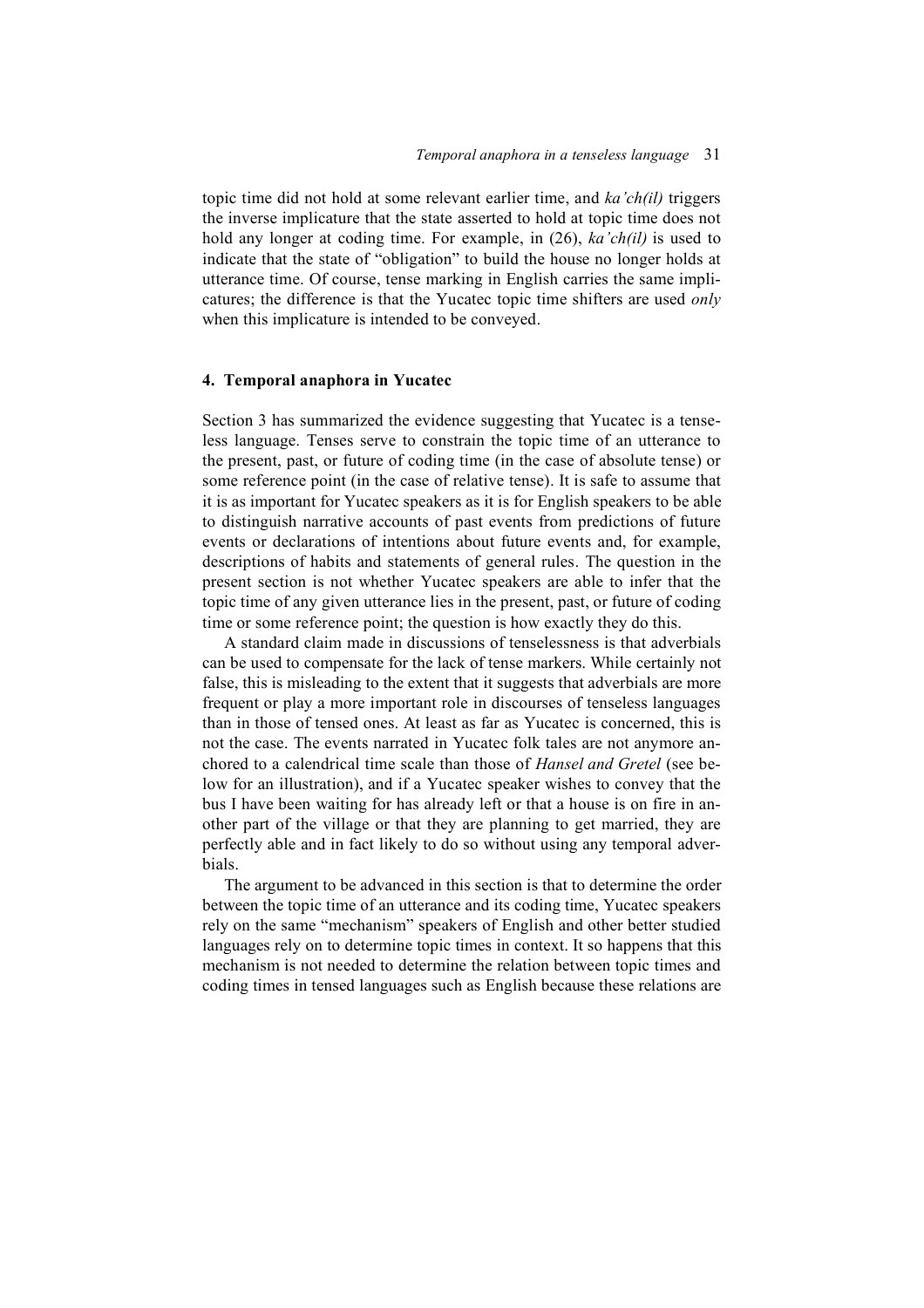topic time did not hold at some relevant earlier time, and *ka'ch(il)* triggers the inverse implicature that the state asserted to hold at topic time does not hold any longer at coding time. For example, in (26), *ka'ch(il)* is used to indicate that the state of "obligation" to build the house no longer holds at utterance time. Of course, tense marking in English carries the same implicatures; the difference is that the Yucatec topic time shifters are used *only* when this implicature is intended to be conveyed.

# **4. Temporal anaphora in Yucatec**

Section 3 has summarized the evidence suggesting that Yucatec is a tenseless language. Tenses serve to constrain the topic time of an utterance to the present, past, or future of coding time (in the case of absolute tense) or some reference point (in the case of relative tense). It is safe to assume that it is as important for Yucatec speakers as it is for English speakers to be able to distinguish narrative accounts of past events from predictions of future events or declarations of intentions about future events and, for example, descriptions of habits and statements of general rules. The question in the present section is not whether Yucatec speakers are able to infer that the topic time of any given utterance lies in the present, past, or future of coding time or some reference point; the question is how exactly they do this.

A standard claim made in discussions of tenselessness is that adverbials can be used to compensate for the lack of tense markers. While certainly not false, this is misleading to the extent that it suggests that adverbials are more frequent or play a more important role in discourses of tenseless languages than in those of tensed ones. At least as far as Yucatec is concerned, this is not the case. The events narrated in Yucatec folk tales are not anymore anchored to a calendrical time scale than those of *Hansel and Gretel* (see below for an illustration), and if a Yucatec speaker wishes to convey that the bus I have been waiting for has already left or that a house is on fire in another part of the village or that they are planning to get married, they are perfectly able and in fact likely to do so without using any temporal adverbials.

The argument to be advanced in this section is that to determine the order between the topic time of an utterance and its coding time, Yucatec speakers rely on the same "mechanism" speakers of English and other better studied languages rely on to determine topic times in context. It so happens that this mechanism is not needed to determine the relation between topic times and coding times in tensed languages such as English because these relations are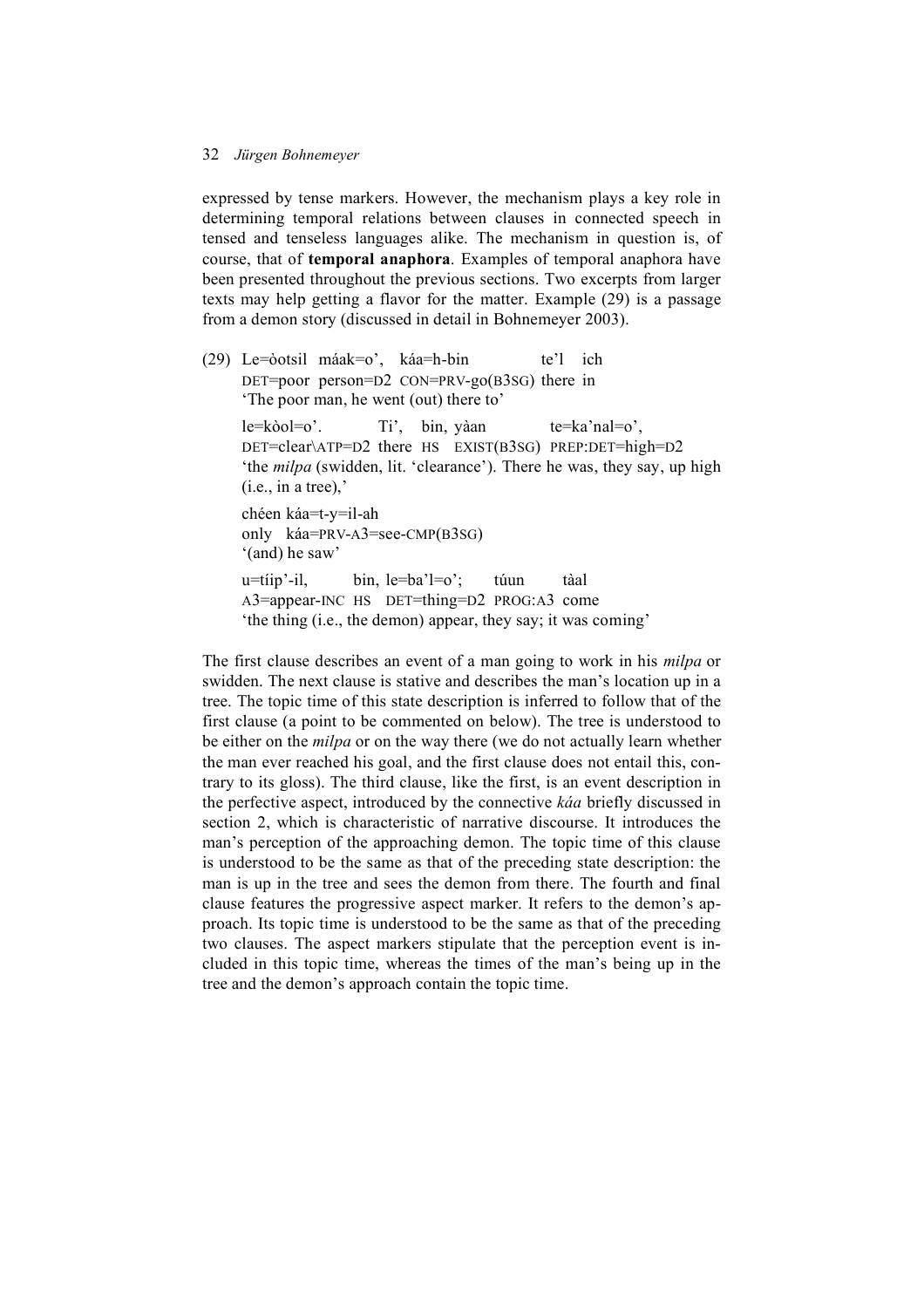expressed by tense markers. However, the mechanism plays a key role in determining temporal relations between clauses in connected speech in tensed and tenseless languages alike. The mechanism in question is, of course, that of **temporal anaphora**. Examples of temporal anaphora have been presented throughout the previous sections. Two excerpts from larger texts may help getting a flavor for the matter. Example (29) is a passage from a demon story (discussed in detail in Bohnemeyer 2003).

(29) Le=òotsil máak=o', káa=h-bin te'l ich DET=poor person=D2 CON=PRV-go(B3SG) there in 'The poor man, he went (out) there to' le=kòol=o'. Ti', bin, yàan te=ka'nal=o', DET=clear\ATP=D2 there HS EXIST(B3SG) PREP:DET=high=D2 'the *milpa* (swidden, lit. 'clearance'). There he was, they say, up high  $(i.e., in a tree),'$ chéen káa=t-y=il-ah only káa=PRV-A3=see-CMP(B3SG) '(and) he saw' u=tíip'-il, bin, le=ba'l=o'; túun tàal A3=appear-INC HS DET=thing=D2 PROG:A3 come 'the thing (i.e., the demon) appear, they say; it was coming'

The first clause describes an event of a man going to work in his *milpa* or swidden. The next clause is stative and describes the man's location up in a tree. The topic time of this state description is inferred to follow that of the first clause (a point to be commented on below). The tree is understood to be either on the *milpa* or on the way there (we do not actually learn whether the man ever reached his goal, and the first clause does not entail this, contrary to its gloss). The third clause, like the first, is an event description in the perfective aspect, introduced by the connective *káa* briefly discussed in section 2, which is characteristic of narrative discourse. It introduces the man's perception of the approaching demon. The topic time of this clause is understood to be the same as that of the preceding state description: the man is up in the tree and sees the demon from there. The fourth and final clause features the progressive aspect marker. It refers to the demon's approach. Its topic time is understood to be the same as that of the preceding two clauses. The aspect markers stipulate that the perception event is included in this topic time, whereas the times of the man's being up in the tree and the demon's approach contain the topic time.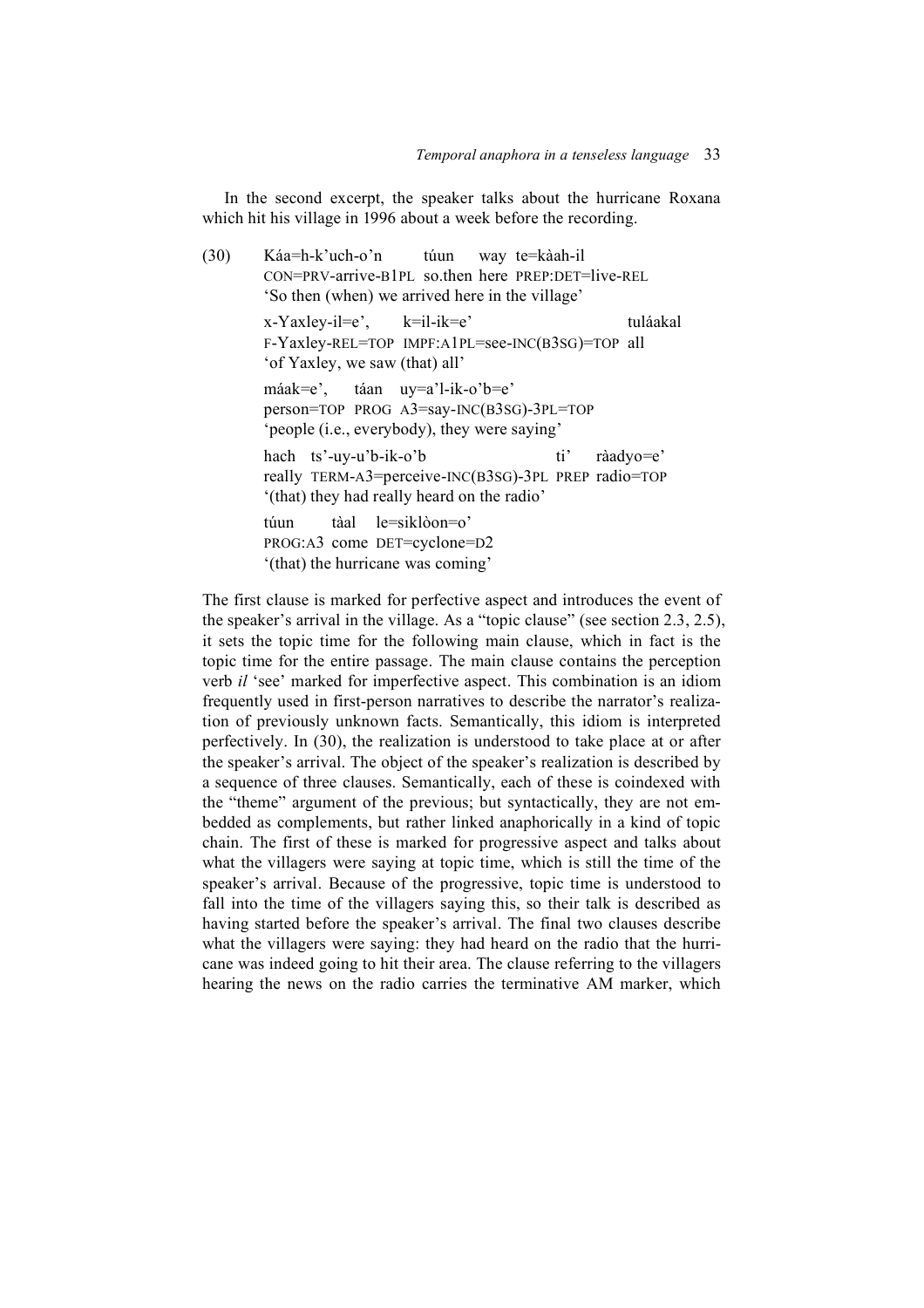In the second excerpt, the speaker talks about the hurricane Roxana which hit his village in 1996 about a week before the recording.

| (30) | Káa=h-k'uch-o'n túun way te=kàah-il<br>CON=PRV-arrive-B1PL so then here PREP:DET=live-REL<br>'So then (when) we arrived here in the village'  |
|------|-----------------------------------------------------------------------------------------------------------------------------------------------|
|      | $x-Yaxley-il=e'$ , $k=il-ike=e'$<br>tuláakal<br>F-Yaxley-REL=TOP IMPF:A1PL=see-INC(B3SG)=TOP all<br>'of Yaxley, we saw (that) all'            |
|      | máak=e', táan $uy=a'l-ik-o'b=e'$<br>person=TOP PROG A3=say-INC(B3SG)-3PL=TOP<br>'people (i.e., everybody), they were saying'                  |
|      | ti' ràadyo=e'<br>hach ts'-uy-u'b-ik-o'b<br>really TERM-A3=perceive-INC(B3SG)-3PL PREP radio=TOP<br>(that) they had really heard on the radio' |
|      | túun tàal le=siklòon=o'<br>PROG:A3 come DET=cyclone=D2<br>'(that) the hurricane was coming'                                                   |

The first clause is marked for perfective aspect and introduces the event of the speaker's arrival in the village. As a "topic clause" (see section 2.3, 2.5), it sets the topic time for the following main clause, which in fact is the topic time for the entire passage. The main clause contains the perception verb *il* 'see' marked for imperfective aspect. This combination is an idiom frequently used in first-person narratives to describe the narrator's realization of previously unknown facts. Semantically, this idiom is interpreted perfectively. In (30), the realization is understood to take place at or after the speaker's arrival. The object of the speaker's realization is described by a sequence of three clauses. Semantically, each of these is coindexed with the "theme" argument of the previous; but syntactically, they are not embedded as complements, but rather linked anaphorically in a kind of topic chain. The first of these is marked for progressive aspect and talks about what the villagers were saying at topic time, which is still the time of the speaker's arrival. Because of the progressive, topic time is understood to fall into the time of the villagers saying this, so their talk is described as having started before the speaker's arrival. The final two clauses describe what the villagers were saying: they had heard on the radio that the hurricane was indeed going to hit their area. The clause referring to the villagers hearing the news on the radio carries the terminative AM marker, which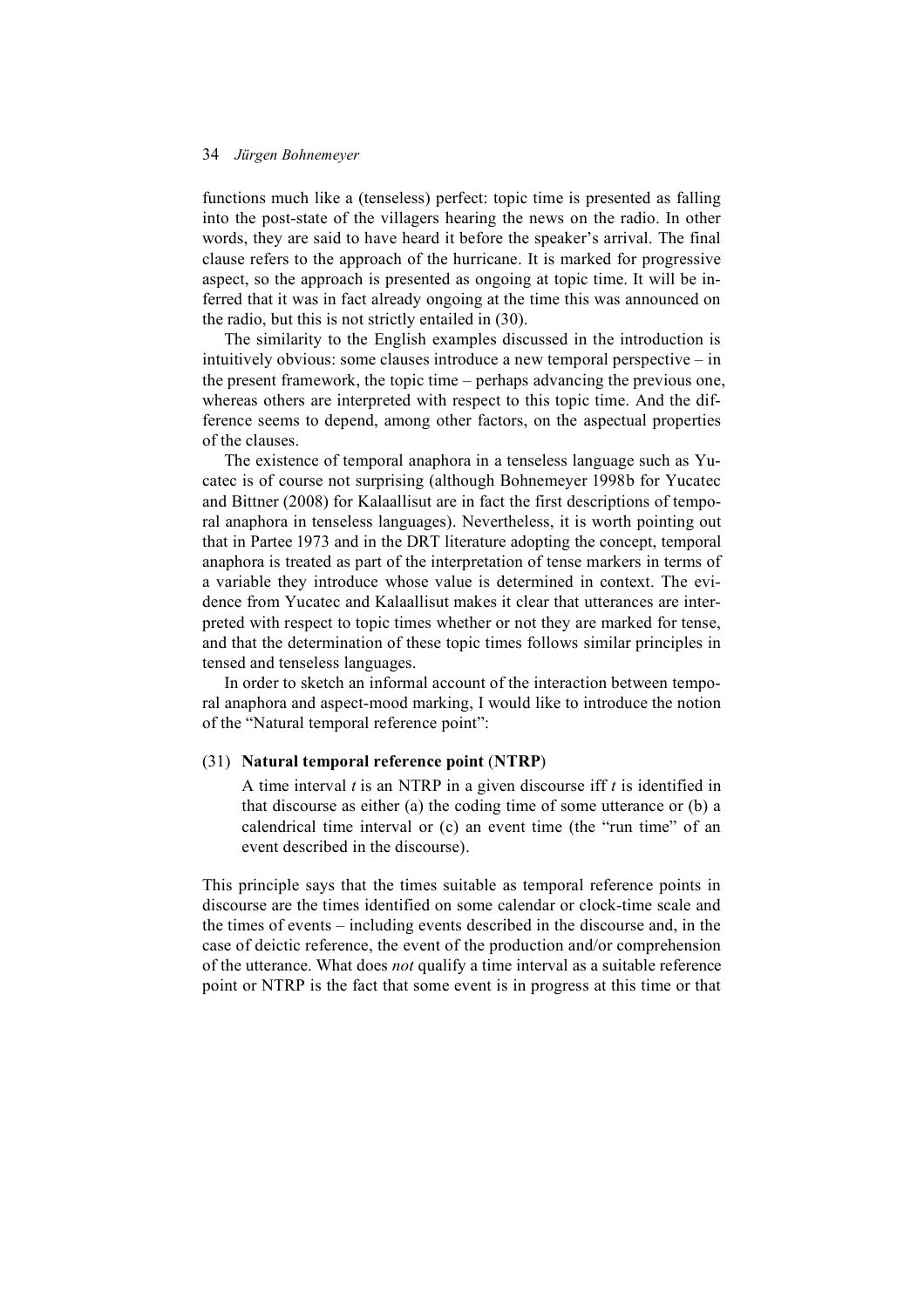functions much like a (tenseless) perfect: topic time is presented as falling into the post-state of the villagers hearing the news on the radio. In other words, they are said to have heard it before the speaker's arrival. The final clause refers to the approach of the hurricane. It is marked for progressive aspect, so the approach is presented as ongoing at topic time. It will be inferred that it was in fact already ongoing at the time this was announced on the radio, but this is not strictly entailed in (30).

The similarity to the English examples discussed in the introduction is intuitively obvious: some clauses introduce a new temporal perspective – in the present framework, the topic time – perhaps advancing the previous one, whereas others are interpreted with respect to this topic time. And the difference seems to depend, among other factors, on the aspectual properties of the clauses.

The existence of temporal anaphora in a tenseless language such as Yucatec is of course not surprising (although Bohnemeyer 1998b for Yucatec and Bittner (2008) for Kalaallisut are in fact the first descriptions of temporal anaphora in tenseless languages). Nevertheless, it is worth pointing out that in Partee 1973 and in the DRT literature adopting the concept, temporal anaphora is treated as part of the interpretation of tense markers in terms of a variable they introduce whose value is determined in context. The evidence from Yucatec and Kalaallisut makes it clear that utterances are interpreted with respect to topic times whether or not they are marked for tense, and that the determination of these topic times follows similar principles in tensed and tenseless languages.

In order to sketch an informal account of the interaction between temporal anaphora and aspect-mood marking, I would like to introduce the notion of the "Natural temporal reference point":

# (31) **Natural temporal reference point** (**NTRP**)

A time interval *t* is an NTRP in a given discourse iff *t* is identified in that discourse as either (a) the coding time of some utterance or (b) a calendrical time interval or (c) an event time (the "run time" of an event described in the discourse).

This principle says that the times suitable as temporal reference points in discourse are the times identified on some calendar or clock-time scale and the times of events – including events described in the discourse and, in the case of deictic reference, the event of the production and/or comprehension of the utterance. What does *not* qualify a time interval as a suitable reference point or NTRP is the fact that some event is in progress at this time or that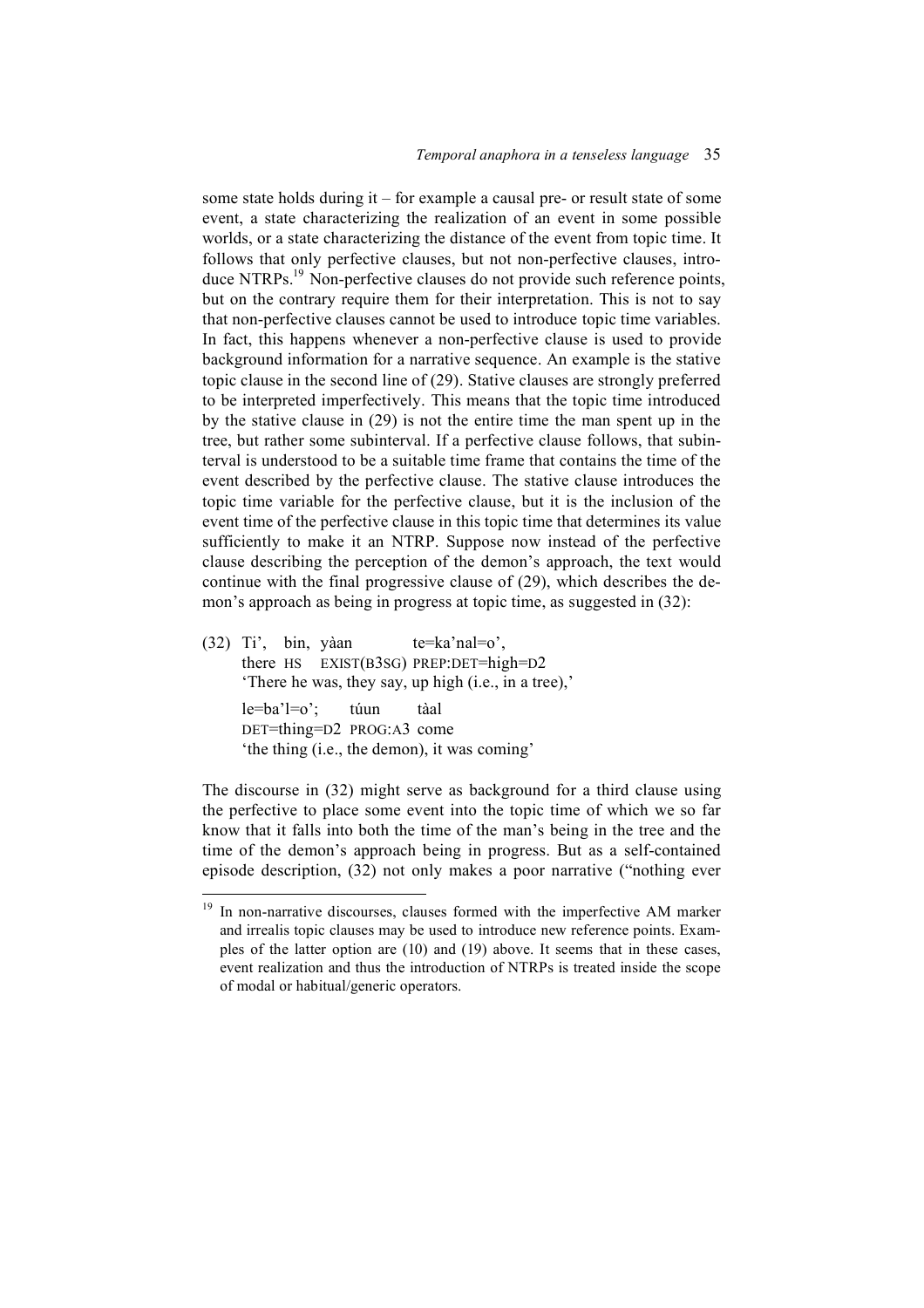some state holds during it – for example a causal pre- or result state of some event, a state characterizing the realization of an event in some possible worlds, or a state characterizing the distance of the event from topic time. It follows that only perfective clauses, but not non-perfective clauses, introduce NTRPs.<sup>19</sup> Non-perfective clauses do not provide such reference points, but on the contrary require them for their interpretation. This is not to say that non-perfective clauses cannot be used to introduce topic time variables. In fact, this happens whenever a non-perfective clause is used to provide background information for a narrative sequence. An example is the stative topic clause in the second line of (29). Stative clauses are strongly preferred to be interpreted imperfectively. This means that the topic time introduced by the stative clause in (29) is not the entire time the man spent up in the tree, but rather some subinterval. If a perfective clause follows, that subinterval is understood to be a suitable time frame that contains the time of the event described by the perfective clause. The stative clause introduces the topic time variable for the perfective clause, but it is the inclusion of the event time of the perfective clause in this topic time that determines its value sufficiently to make it an NTRP. Suppose now instead of the perfective clause describing the perception of the demon's approach, the text would continue with the final progressive clause of (29), which describes the demon's approach as being in progress at topic time, as suggested in (32):

(32) Ti', bin, yàan te=ka'nal=o', there HS EXIST(B3SG) PREP:DET=high=D2 'There he was, they say, up high (i.e., in a tree),' le=ba'l=o'; túun tàal DET=thing=D2 PROG:A3 come 'the thing (i.e., the demon), it was coming'

The discourse in (32) might serve as background for a third clause using the perfective to place some event into the topic time of which we so far know that it falls into both the time of the man's being in the tree and the time of the demon's approach being in progress. But as a self-contained episode description, (32) not only makes a poor narrative ("nothing ever

 $19$  In non-narrative discourses, clauses formed with the imperfective AM marker and irrealis topic clauses may be used to introduce new reference points. Examples of the latter option are (10) and (19) above. It seems that in these cases, event realization and thus the introduction of NTRPs is treated inside the scope of modal or habitual/generic operators.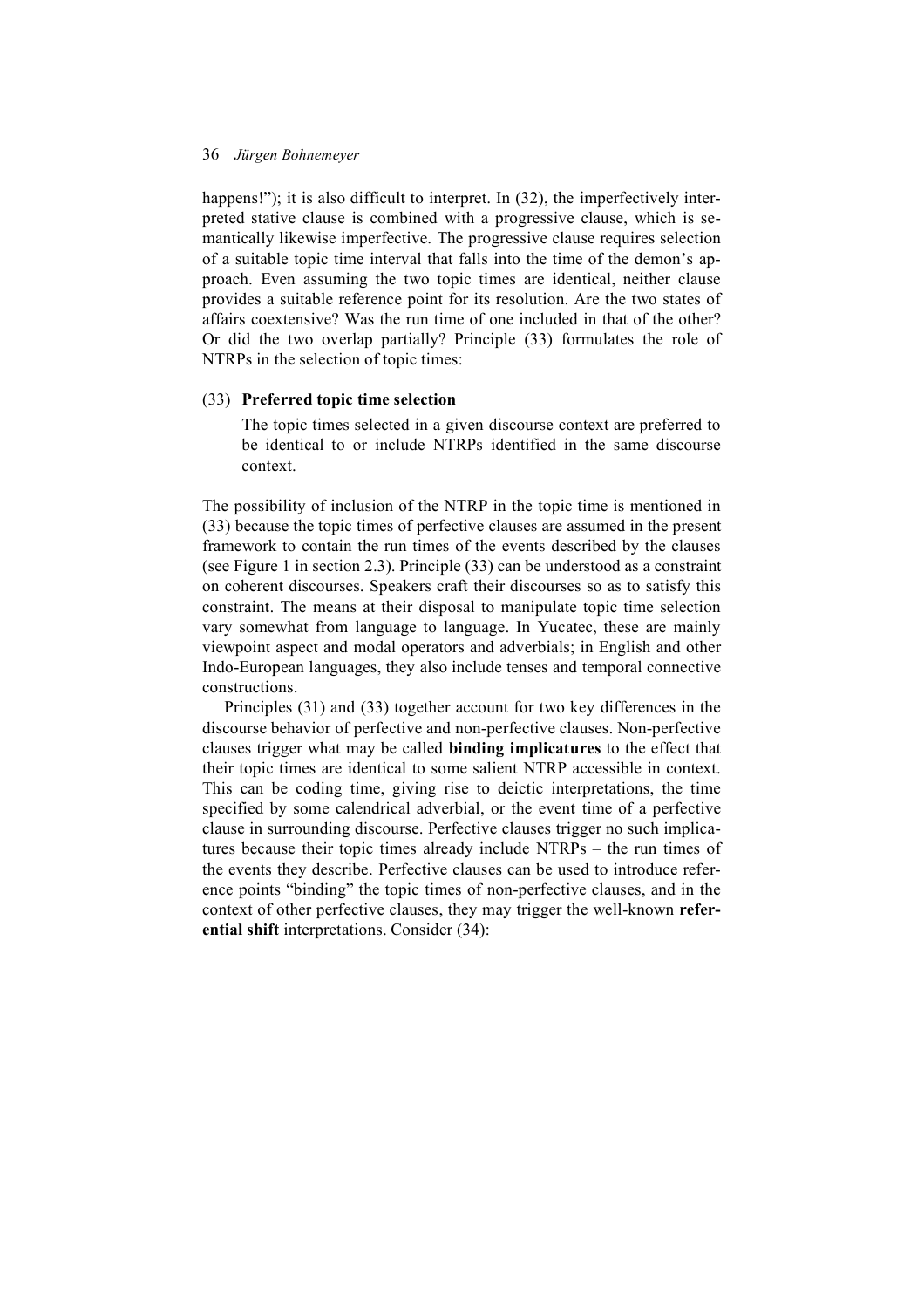happens!"); it is also difficult to interpret. In (32), the imperfectively interpreted stative clause is combined with a progressive clause, which is semantically likewise imperfective. The progressive clause requires selection of a suitable topic time interval that falls into the time of the demon's approach. Even assuming the two topic times are identical, neither clause provides a suitable reference point for its resolution. Are the two states of affairs coextensive? Was the run time of one included in that of the other? Or did the two overlap partially? Principle (33) formulates the role of NTRPs in the selection of topic times:

# (33) **Preferred topic time selection**

The topic times selected in a given discourse context are preferred to be identical to or include NTRPs identified in the same discourse context.

The possibility of inclusion of the NTRP in the topic time is mentioned in (33) because the topic times of perfective clauses are assumed in the present framework to contain the run times of the events described by the clauses (see Figure 1 in section 2.3). Principle (33) can be understood as a constraint on coherent discourses. Speakers craft their discourses so as to satisfy this constraint. The means at their disposal to manipulate topic time selection vary somewhat from language to language. In Yucatec, these are mainly viewpoint aspect and modal operators and adverbials; in English and other Indo-European languages, they also include tenses and temporal connective constructions.

Principles (31) and (33) together account for two key differences in the discourse behavior of perfective and non-perfective clauses. Non-perfective clauses trigger what may be called **binding implicatures** to the effect that their topic times are identical to some salient NTRP accessible in context. This can be coding time, giving rise to deictic interpretations, the time specified by some calendrical adverbial, or the event time of a perfective clause in surrounding discourse. Perfective clauses trigger no such implicatures because their topic times already include NTRPs – the run times of the events they describe. Perfective clauses can be used to introduce reference points "binding" the topic times of non-perfective clauses, and in the context of other perfective clauses, they may trigger the well-known **referential shift** interpretations. Consider (34):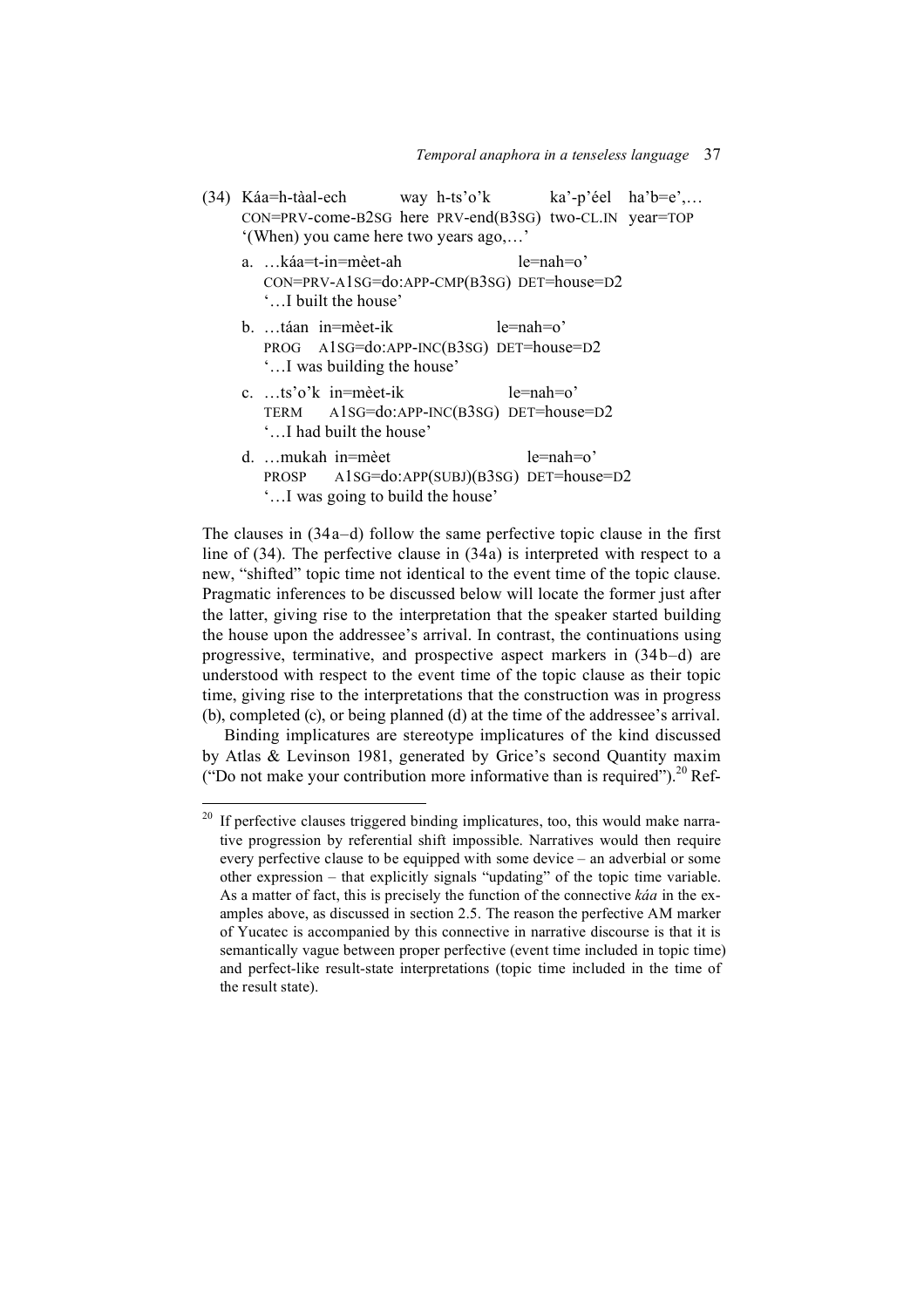- (34) Káa=h-tàal-ech way h-ts'o'k ka'-p'éel ha'b=e',... CON=PRV-come-B2SG here PRV-end(B3SG) two-CL.IN year=TOP '(When) you came here two years ago,…'
	- a. …káa=t-in=mèet-ah le=nah=o' CON=PRV-A1SG=do:APP-CMP(B3SG) DET=house=D2 '…I built the house'
	- b. …táan in=mèet-ik le=nah=o' PROG A1SG=do:APP-INC(B3SG) DET=house=D2 '…I was building the house'
	- c. …ts'o'k in=mèet-ik le=nah=o' TERM A1SG=do:APP-INC(B3SG) DET=house=D2 '…I had built the house'
	- d. …mukah in=mèet le=nah=o' PROSP A1SG=do:APP(SUBJ)(B3SG) DET=house=D2 '…I was going to build the house'

The clauses in (34a–d) follow the same perfective topic clause in the first line of (34). The perfective clause in (34a) is interpreted with respect to a new, "shifted" topic time not identical to the event time of the topic clause. Pragmatic inferences to be discussed below will locate the former just after the latter, giving rise to the interpretation that the speaker started building the house upon the addressee's arrival. In contrast, the continuations using progressive, terminative, and prospective aspect markers in (34b–d) are understood with respect to the event time of the topic clause as their topic time, giving rise to the interpretations that the construction was in progress (b), completed (c), or being planned (d) at the time of the addressee's arrival.

Binding implicatures are stereotype implicatures of the kind discussed by Atlas & Levinson 1981, generated by Grice's second Quantity maxim ("Do not make your contribution more informative than is required").<sup>20</sup> Ref-

<sup>&</sup>lt;sup>20</sup> If perfective clauses triggered binding implicatures, too, this would make narrative progression by referential shift impossible. Narratives would then require every perfective clause to be equipped with some device – an adverbial or some other expression – that explicitly signals "updating" of the topic time variable. As a matter of fact, this is precisely the function of the connective *káa* in the examples above, as discussed in section 2.5. The reason the perfective AM marker of Yucatec is accompanied by this connective in narrative discourse is that it is semantically vague between proper perfective (event time included in topic time) and perfect-like result-state interpretations (topic time included in the time of the result state).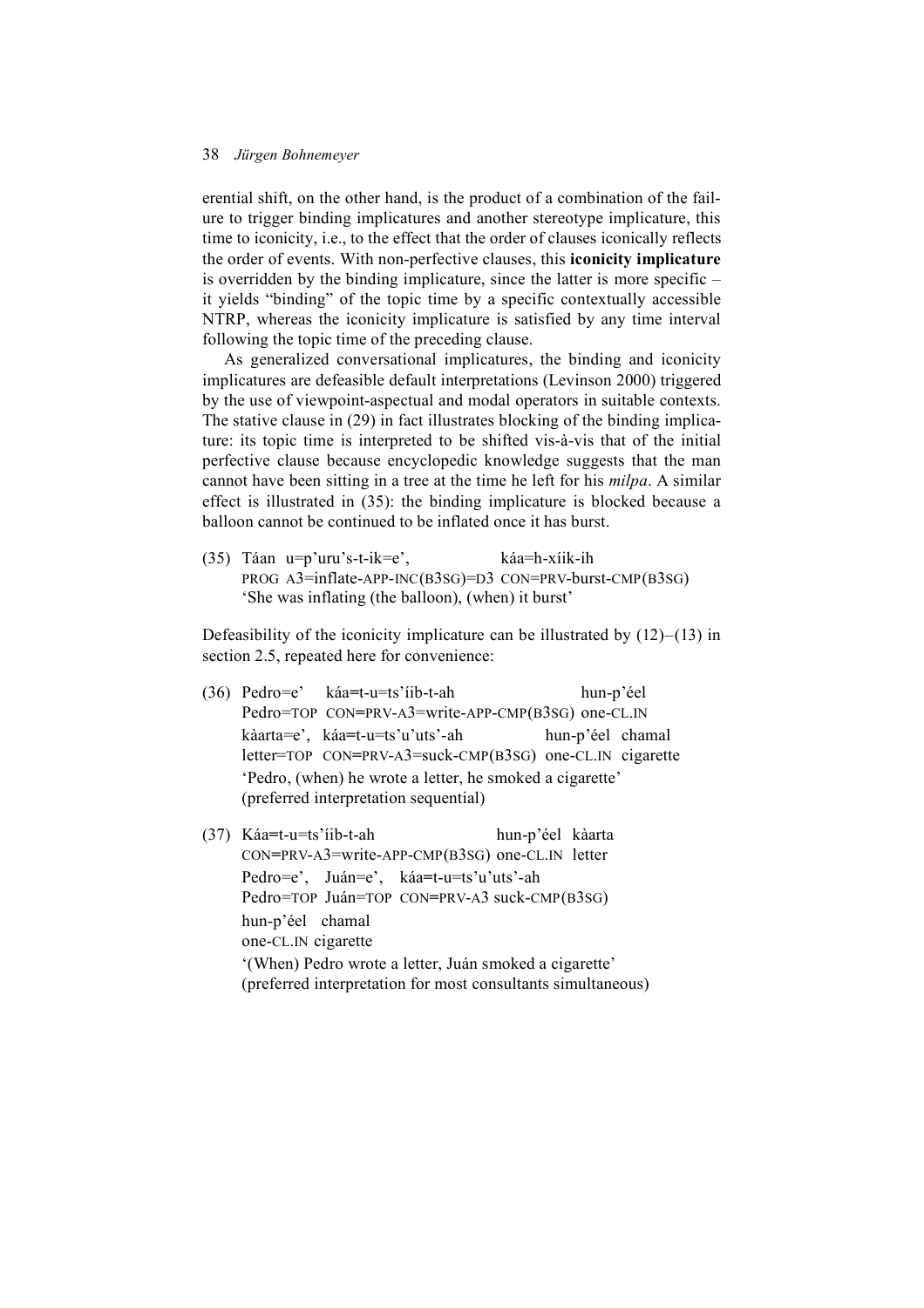erential shift, on the other hand, is the product of a combination of the failure to trigger binding implicatures and another stereotype implicature, this time to iconicity, i.e., to the effect that the order of clauses iconically reflects the order of events. With non-perfective clauses, this **iconicity implicature**  is overridden by the binding implicature, since the latter is more specific – it yields "binding" of the topic time by a specific contextually accessible NTRP, whereas the iconicity implicature is satisfied by any time interval following the topic time of the preceding clause.

As generalized conversational implicatures, the binding and iconicity implicatures are defeasible default interpretations (Levinson 2000) triggered by the use of viewpoint-aspectual and modal operators in suitable contexts. The stative clause in (29) in fact illustrates blocking of the binding implicature: its topic time is interpreted to be shifted vis-à-vis that of the initial perfective clause because encyclopedic knowledge suggests that the man cannot have been sitting in a tree at the time he left for his *milpa*. A similar effect is illustrated in (35): the binding implicature is blocked because a balloon cannot be continued to be inflated once it has burst.

(35) Táan u=p'uru's-t-ik=e', káa=h-xíik-ih PROG A3=inflate-APP-INC(B3SG)=D3 CON=PRV-burst-CMP(B3SG) 'She was inflating (the balloon), (when) it burst'

Defeasibility of the iconicity implicature can be illustrated by  $(12)$ – $(13)$  in section 2.5, repeated here for convenience:

- (36) Pedro=e' káa**=**t-u=ts'íib-t-ah hun-p'éel Pedro=TOP CON**=**PRV-A3=write-APP-CMP(B3SG) one-CL.IN kàarta=e', káa**=**t-u=ts'u'uts'-ah hun-p'éel chamal letter=TOP CON**=**PRV-A3=suck-CMP(B3SG) one-CL.IN cigarette 'Pedro, (when) he wrote a letter, he smoked a cigarette' (preferred interpretation sequential)
- (37) Káa**=**t-u=ts'íib-t-ah hun-p'éel kàarta CON**=**PRV-A3=write-APP-CMP(B3SG) one-CL.IN letter Pedro=e', Juán=e', káa**=**t-u=ts'u'uts'-ah Pedro=TOP Juán=TOP CON**=**PRV-A3 suck-CMP(B3SG) hun-p'éel chamal one-CL.IN cigarette '(When) Pedro wrote a letter, Juán smoked a cigarette' (preferred interpretation for most consultants simultaneous)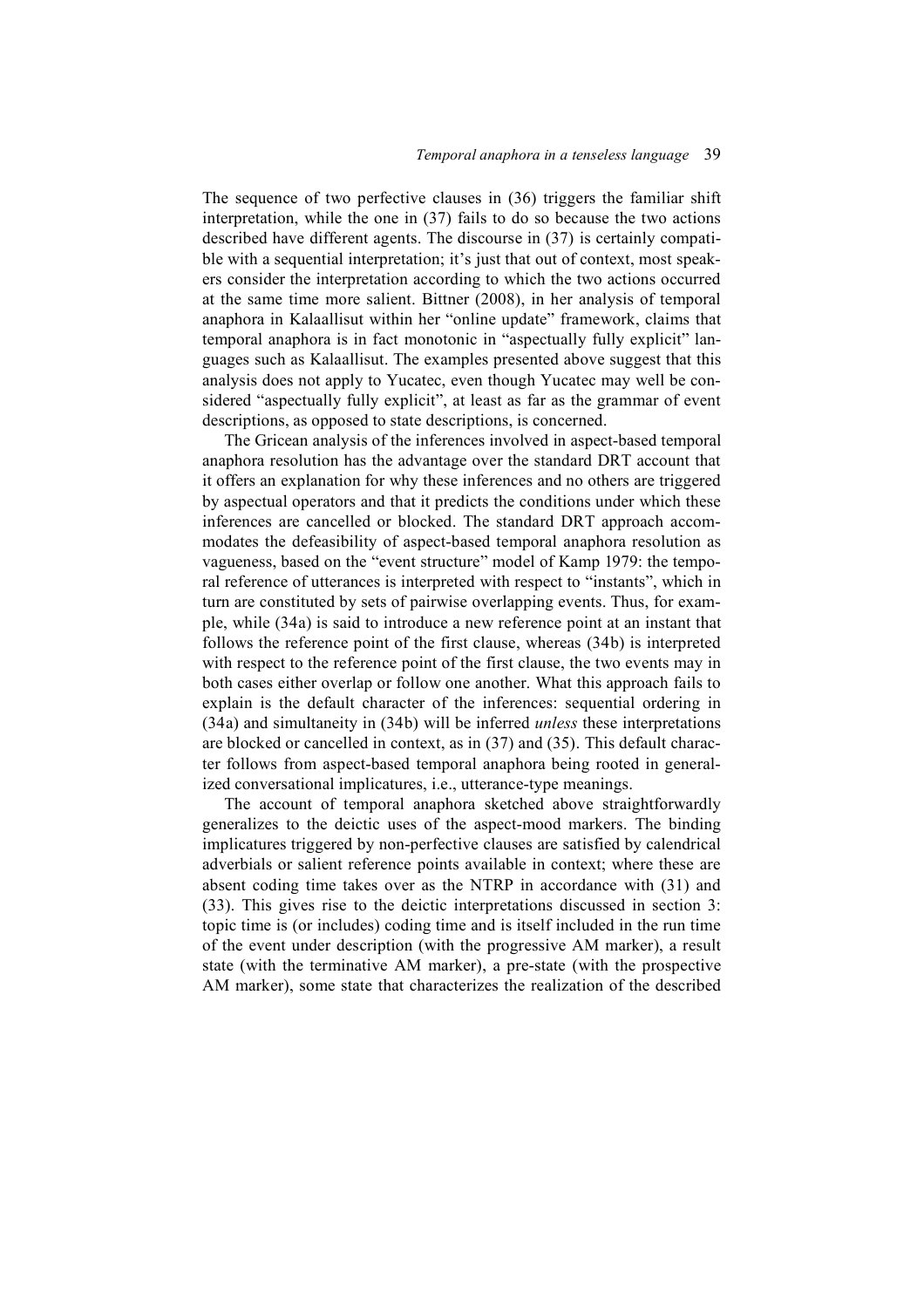The sequence of two perfective clauses in (36) triggers the familiar shift interpretation, while the one in (37) fails to do so because the two actions described have different agents. The discourse in (37) is certainly compatible with a sequential interpretation; it's just that out of context, most speakers consider the interpretation according to which the two actions occurred at the same time more salient. Bittner (2008), in her analysis of temporal anaphora in Kalaallisut within her "online update" framework, claims that temporal anaphora is in fact monotonic in "aspectually fully explicit" languages such as Kalaallisut. The examples presented above suggest that this analysis does not apply to Yucatec, even though Yucatec may well be considered "aspectually fully explicit", at least as far as the grammar of event descriptions, as opposed to state descriptions, is concerned.

The Gricean analysis of the inferences involved in aspect-based temporal anaphora resolution has the advantage over the standard DRT account that it offers an explanation for why these inferences and no others are triggered by aspectual operators and that it predicts the conditions under which these inferences are cancelled or blocked. The standard DRT approach accommodates the defeasibility of aspect-based temporal anaphora resolution as vagueness, based on the "event structure" model of Kamp 1979: the temporal reference of utterances is interpreted with respect to "instants", which in turn are constituted by sets of pairwise overlapping events. Thus, for example, while (34a) is said to introduce a new reference point at an instant that follows the reference point of the first clause, whereas (34b) is interpreted with respect to the reference point of the first clause, the two events may in both cases either overlap or follow one another. What this approach fails to explain is the default character of the inferences: sequential ordering in (34a) and simultaneity in (34b) will be inferred *unless* these interpretations are blocked or cancelled in context, as in (37) and (35). This default character follows from aspect-based temporal anaphora being rooted in generalized conversational implicatures, i.e., utterance-type meanings.

The account of temporal anaphora sketched above straightforwardly generalizes to the deictic uses of the aspect-mood markers. The binding implicatures triggered by non-perfective clauses are satisfied by calendrical adverbials or salient reference points available in context; where these are absent coding time takes over as the NTRP in accordance with (31) and (33). This gives rise to the deictic interpretations discussed in section 3: topic time is (or includes) coding time and is itself included in the run time of the event under description (with the progressive AM marker), a result state (with the terminative AM marker), a pre-state (with the prospective AM marker), some state that characterizes the realization of the described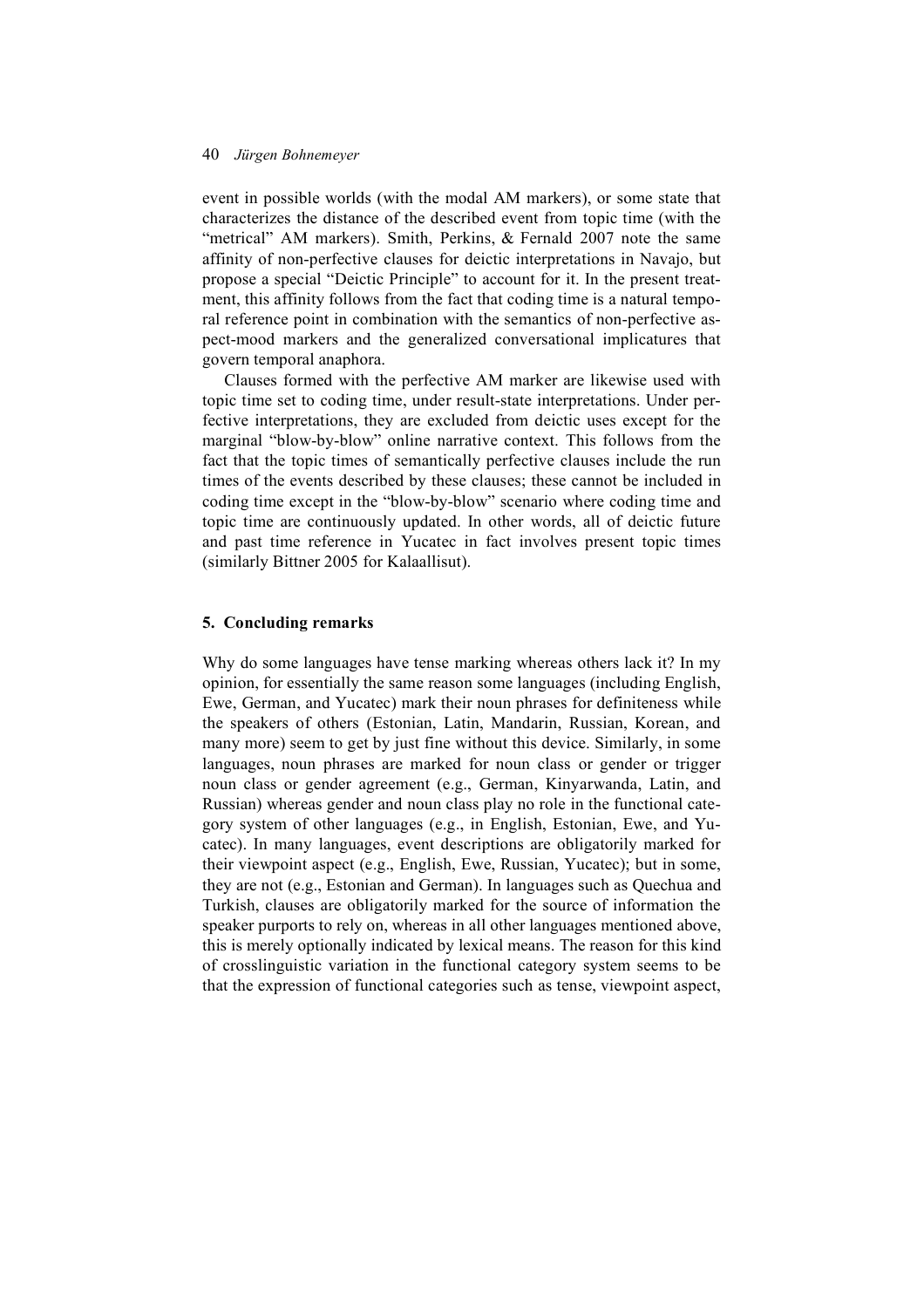event in possible worlds (with the modal AM markers), or some state that characterizes the distance of the described event from topic time (with the "metrical" AM markers). Smith, Perkins, & Fernald 2007 note the same affinity of non-perfective clauses for deictic interpretations in Navajo, but propose a special "Deictic Principle" to account for it. In the present treatment, this affinity follows from the fact that coding time is a natural temporal reference point in combination with the semantics of non-perfective aspect-mood markers and the generalized conversational implicatures that govern temporal anaphora.

Clauses formed with the perfective AM marker are likewise used with topic time set to coding time, under result-state interpretations. Under perfective interpretations, they are excluded from deictic uses except for the marginal "blow-by-blow" online narrative context. This follows from the fact that the topic times of semantically perfective clauses include the run times of the events described by these clauses; these cannot be included in coding time except in the "blow-by-blow" scenario where coding time and topic time are continuously updated. In other words, all of deictic future and past time reference in Yucatec in fact involves present topic times (similarly Bittner 2005 for Kalaallisut).

# **5. Concluding remarks**

Why do some languages have tense marking whereas others lack it? In my opinion, for essentially the same reason some languages (including English, Ewe, German, and Yucatec) mark their noun phrases for definiteness while the speakers of others (Estonian, Latin, Mandarin, Russian, Korean, and many more) seem to get by just fine without this device. Similarly, in some languages, noun phrases are marked for noun class or gender or trigger noun class or gender agreement (e.g., German, Kinyarwanda, Latin, and Russian) whereas gender and noun class play no role in the functional category system of other languages (e.g., in English, Estonian, Ewe, and Yucatec). In many languages, event descriptions are obligatorily marked for their viewpoint aspect (e.g., English, Ewe, Russian, Yucatec); but in some, they are not (e.g., Estonian and German). In languages such as Quechua and Turkish, clauses are obligatorily marked for the source of information the speaker purports to rely on, whereas in all other languages mentioned above, this is merely optionally indicated by lexical means. The reason for this kind of crosslinguistic variation in the functional category system seems to be that the expression of functional categories such as tense, viewpoint aspect,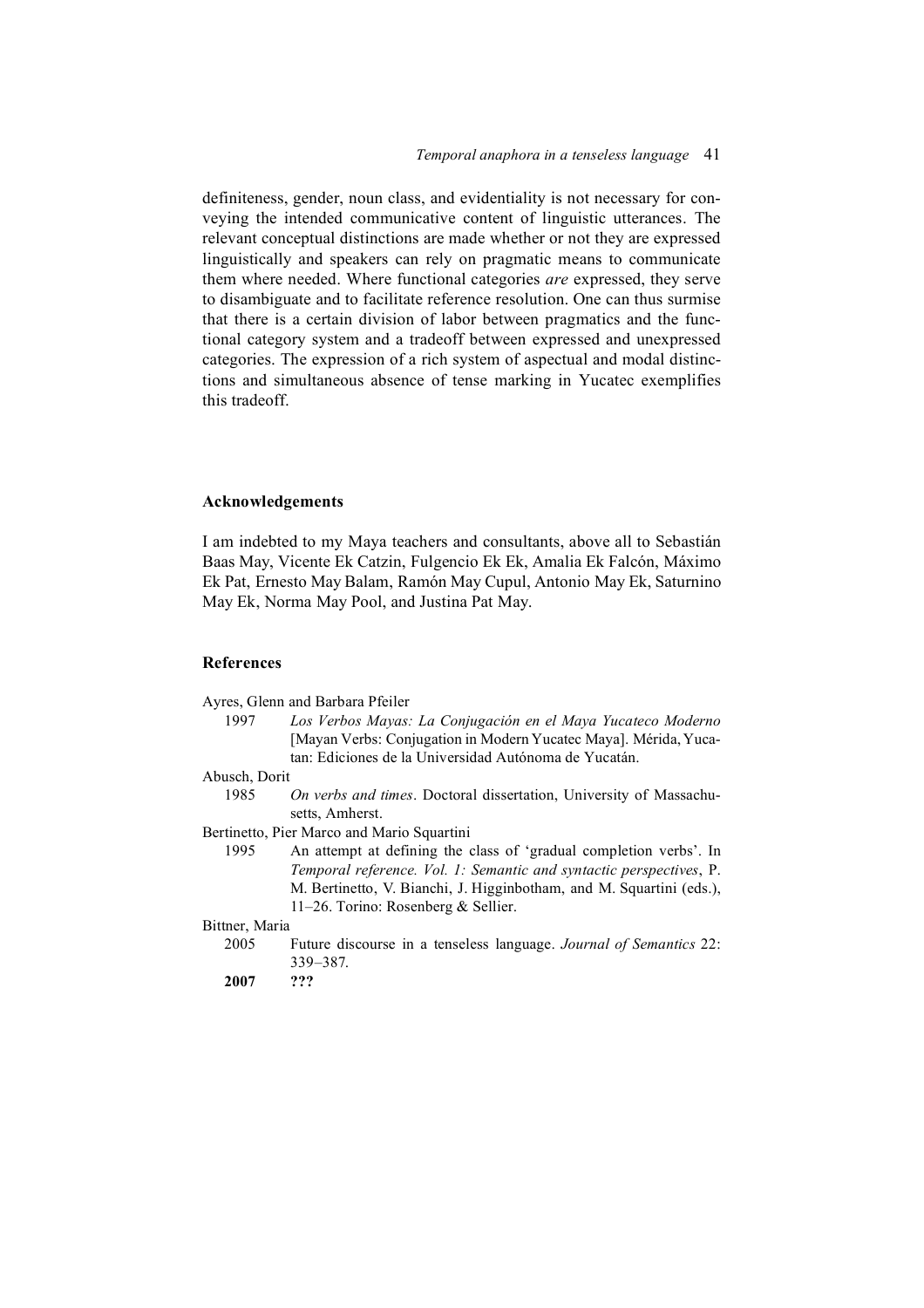definiteness, gender, noun class, and evidentiality is not necessary for conveying the intended communicative content of linguistic utterances. The relevant conceptual distinctions are made whether or not they are expressed linguistically and speakers can rely on pragmatic means to communicate them where needed. Where functional categories *are* expressed, they serve to disambiguate and to facilitate reference resolution. One can thus surmise that there is a certain division of labor between pragmatics and the functional category system and a tradeoff between expressed and unexpressed categories. The expression of a rich system of aspectual and modal distinctions and simultaneous absence of tense marking in Yucatec exemplifies this tradeoff.

# **Acknowledgements**

I am indebted to my Maya teachers and consultants, above all to Sebastián Baas May, Vicente Ek Catzin, Fulgencio Ek Ek, Amalia Ek Falcón, Máximo Ek Pat, Ernesto May Balam, Ramón May Cupul, Antonio May Ek, Saturnino May Ek, Norma May Pool, and Justina Pat May.

# **References**

Ayres, Glenn and Barbara Pfeiler

1997 *Los Verbos Mayas: La Conjugación en el Maya Yucateco Moderno*  [Mayan Verbs: Conjugation in Modern Yucatec Maya]. Mérida, Yucatan: Ediciones de la Universidad Autónoma de Yucatán.

### Abusch, Dorit

- 1985 *On verbs and times*. Doctoral dissertation, University of Massachusetts, Amherst.
- Bertinetto, Pier Marco and Mario Squartini
	- 1995 An attempt at defining the class of 'gradual completion verbs'. In *Temporal reference. Vol. 1: Semantic and syntactic perspectives*, P. M. Bertinetto, V. Bianchi, J. Higginbotham, and M. Squartini (eds.), 11–26. Torino: Rosenberg & Sellier.

# Bittner, Maria

- 2005 Future discourse in a tenseless language. *Journal of Semantics* 22: 339–387.
- **2007 ???**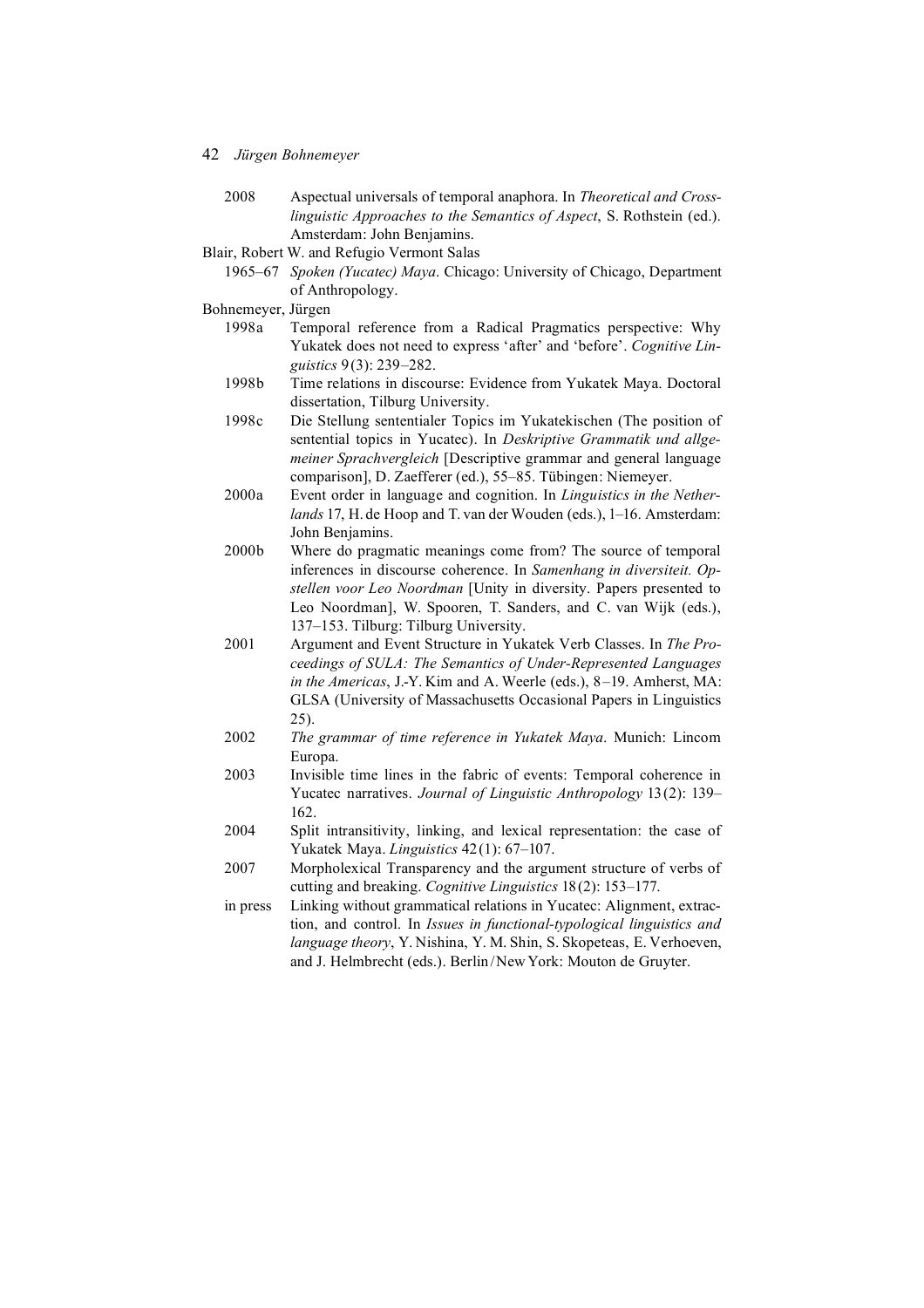- 42 *Jürgen Bohnemeyer*
	- 2008 Aspectual universals of temporal anaphora. In *Theoretical and Crosslinguistic Approaches to the Semantics of Aspect*, S. Rothstein (ed.). Amsterdam: John Benjamins.
- Blair, Robert W. and Refugio Vermont Salas
	- 1965–67 *Spoken (Yucatec) Maya*. Chicago: University of Chicago, Department of Anthropology.
- Bohnemeyer, Jürgen
	- 1998a Temporal reference from a Radical Pragmatics perspective: Why Yukatek does not need to express 'after' and 'before'. *Cognitive Linguistics* 9(3): 239–282.
	- 1998b Time relations in discourse: Evidence from Yukatek Maya. Doctoral dissertation, Tilburg University.
	- 1998c Die Stellung sententialer Topics im Yukatekischen (The position of sentential topics in Yucatec). In *Deskriptive Grammatik und allgemeiner Sprachvergleich* [Descriptive grammar and general language comparison], D. Zaefferer (ed.), 55–85. Tübingen: Niemeyer.
	- 2000a Event order in language and cognition. In *Linguistics in the Netherlands* 17, H. de Hoop and T. van der Wouden (eds.), 1–16. Amsterdam: John Benjamins.
	- 2000b Where do pragmatic meanings come from? The source of temporal inferences in discourse coherence. In *Samenhang in diversiteit. Opstellen voor Leo Noordman* [Unity in diversity. Papers presented to Leo Noordman], W. Spooren, T. Sanders, and C. van Wijk (eds.), 137–153. Tilburg: Tilburg University.
	- 2001 Argument and Event Structure in Yukatek Verb Classes. In *The Proceedings of SULA: The Semantics of Under-Represented Languages in the Americas*, J.-Y. Kim and A. Weerle (eds.), 8–19. Amherst, MA: GLSA (University of Massachusetts Occasional Papers in Linguistics 25).
	- 2002 *The grammar of time reference in Yukatek Maya*. Munich: Lincom Europa.
	- 2003 Invisible time lines in the fabric of events: Temporal coherence in Yucatec narratives. *Journal of Linguistic Anthropology* 13(2): 139– 162.
	- 2004 Split intransitivity, linking, and lexical representation: the case of Yukatek Maya. *Linguistics* 42(1): 67–107.
	- 2007 Morpholexical Transparency and the argument structure of verbs of cutting and breaking. *Cognitive Linguistics* 18(2): 153–177.
	- in press Linking without grammatical relations in Yucatec: Alignment, extraction, and control. In *Issues in functional-typological linguistics and language theory*, Y. Nishina, Y. M. Shin, S. Skopeteas, E. Verhoeven, and J. Helmbrecht (eds.). Berlin /New York: Mouton de Gruyter.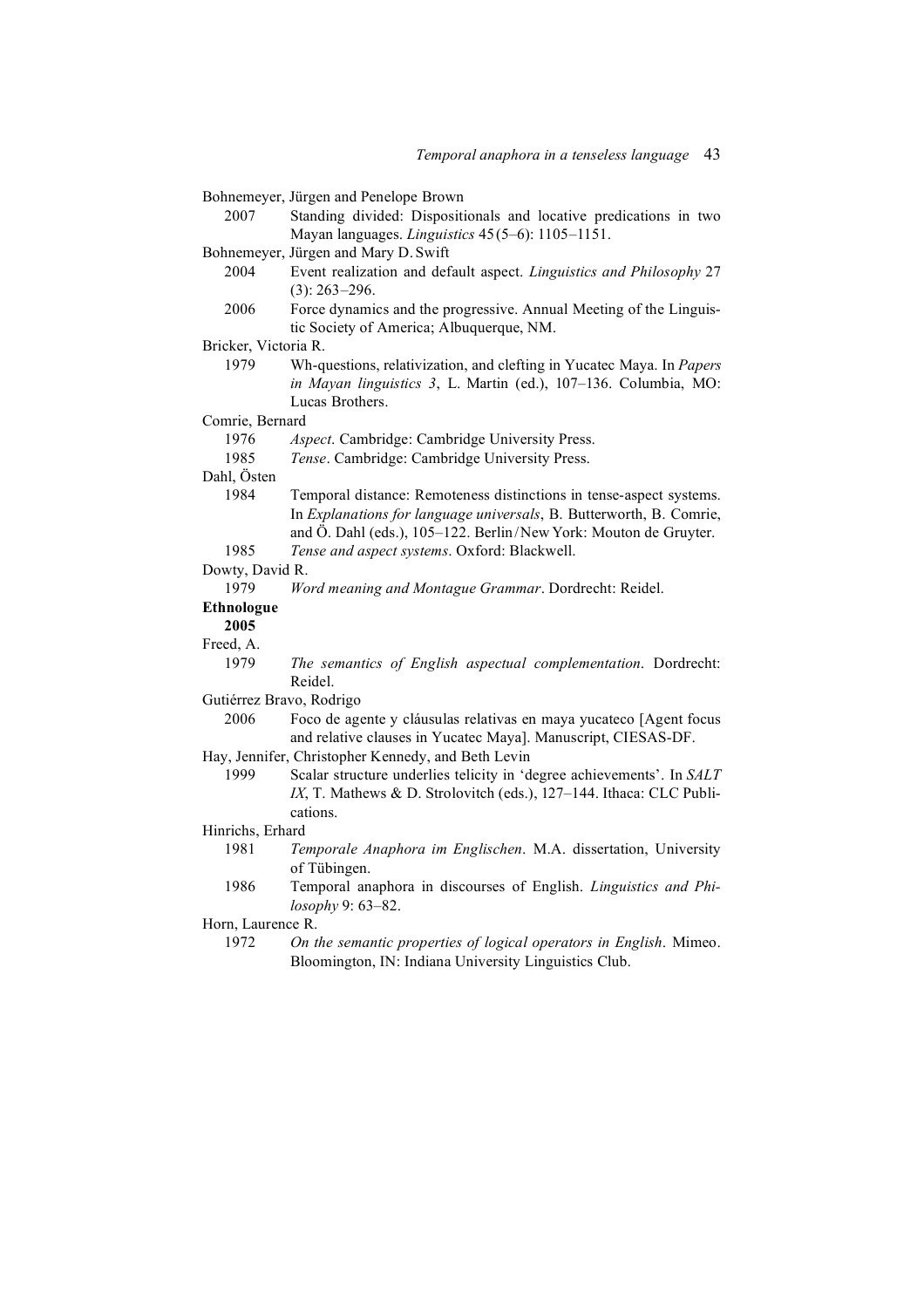Bohnemeyer, Jürgen and Penelope Brown

2007 Standing divided: Dispositionals and locative predications in two Mayan languages. *Linguistics* 45(5–6): 1105–1151.

Bohnemeyer, Jürgen and Mary D. Swift

- 2004 Event realization and default aspect. *Linguistics and Philosophy* 27 (3): 263–296.
- 2006 Force dynamics and the progressive. Annual Meeting of the Linguistic Society of America; Albuquerque, NM.

### Bricker, Victoria R.

1979 Wh-questions, relativization, and clefting in Yucatec Maya. In *Papers in Mayan linguistics 3*, L. Martin (ed.), 107–136. Columbia, MO: Lucas Brothers.

#### Comrie, Bernard

- 1976 *Aspect*. Cambridge: Cambridge University Press.
- 1985 *Tense*. Cambridge: Cambridge University Press.

# Dahl, Östen

- 1984 Temporal distance: Remoteness distinctions in tense-aspect systems. In *Explanations for language universals*, B. Butterworth, B. Comrie, and Ö. Dahl (eds.), 105–122. Berlin /New York: Mouton de Gruyter.
- 1985 *Tense and aspect systems*. Oxford: Blackwell.

# Dowty, David R.

1979 *Word meaning and Montague Grammar*. Dordrecht: Reidel.

# **Ethnologue**

# **2005**

- Freed, A.
	- 1979 *The semantics of English aspectual complementation*. Dordrecht: Reidel.

#### Gutiérrez Bravo, Rodrigo

- 2006 Foco de agente y cláusulas relativas en maya yucateco [Agent focus and relative clauses in Yucatec Maya]. Manuscript, CIESAS-DF.
- Hay, Jennifer, Christopher Kennedy, and Beth Levin

1999 Scalar structure underlies telicity in 'degree achievements'. In *SALT IX*, T. Mathews & D. Strolovitch (eds.), 127–144. Ithaca: CLC Publications.

#### Hinrichs, Erhard

- 1981 *Temporale Anaphora im Englischen*. M.A. dissertation, University of Tübingen.
- 1986 Temporal anaphora in discourses of English. *Linguistics and Philosophy* 9: 63–82.

# Horn, Laurence R.

1972 *On the semantic properties of logical operators in English*. Mimeo. Bloomington, IN: Indiana University Linguistics Club.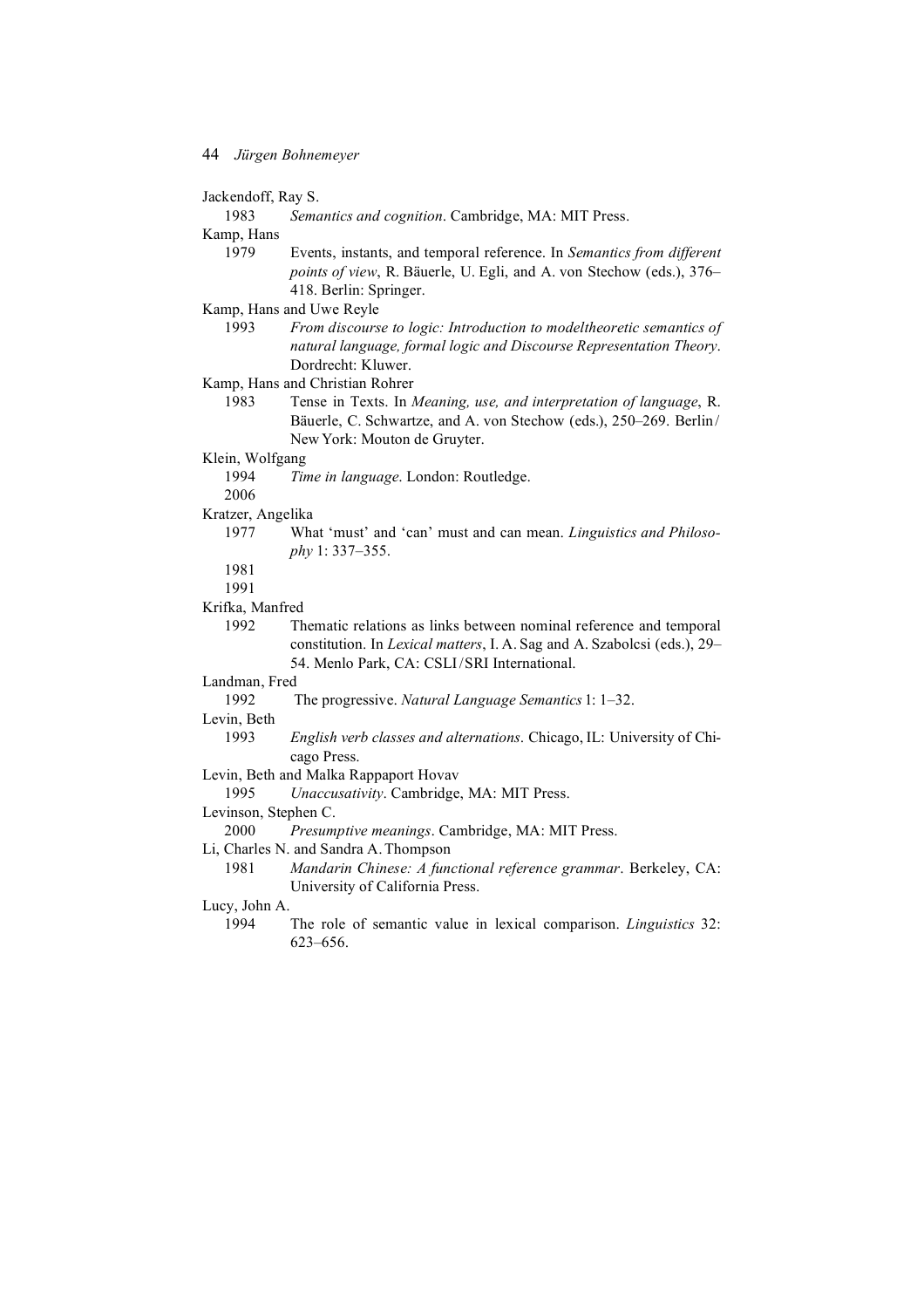| Jackendoff, Ray S. |  |
|--------------------|--|
|                    |  |

1983 *Semantics and cognition*. Cambridge, MA: MIT Press.

Kamp, Hans

- 1979 Events, instants, and temporal reference. In *Semantics from different points of view*, R. Bäuerle, U. Egli, and A. von Stechow (eds.), 376– 418. Berlin: Springer.
- Kamp, Hans and Uwe Reyle
	- 1993 *From discourse to logic: Introduction to modeltheoretic semantics of natural language, formal logic and Discourse Representation Theory*. Dordrecht: Kluwer.

Kamp, Hans and Christian Rohrer

1983 Tense in Texts. In *Meaning, use, and interpretation of language*, R. Bäuerle, C. Schwartze, and A. von Stechow (eds.), 250–269. Berlin / New York: Mouton de Gruyter.

#### Klein, Wolfgang

1994 *Time in language*. London: Routledge.

2006

- Kratzer, Angelika
	- 1977 What 'must' and 'can' must and can mean. *Linguistics and Philosophy* 1: 337–355.
	- 1981
	- 1991

#### Krifka, Manfred

1992 Thematic relations as links between nominal reference and temporal constitution. In *Lexical matters*, I. A. Sag and A. Szabolcsi (eds.), 29– 54. Menlo Park, CA: CSLI/SRI International.

### Landman, Fred

1992 The progressive. *Natural Language Semantics* 1: 1–32.

# Levin, Beth

1993 *English verb classes and alternations*. Chicago, IL: University of Chicago Press.

### Levin, Beth and Malka Rappaport Hovav

1995 *Unaccusativity*. Cambridge, MA: MIT Press.

#### Levinson, Stephen C.

2000 *Presumptive meanings*. Cambridge, MA: MIT Press.

#### Li, Charles N. and Sandra A. Thompson

1981 *Mandarin Chinese: A functional reference grammar*. Berkeley, CA: University of California Press.

# Lucy, John A.

1994 The role of semantic value in lexical comparison. *Linguistics* 32: 623–656.